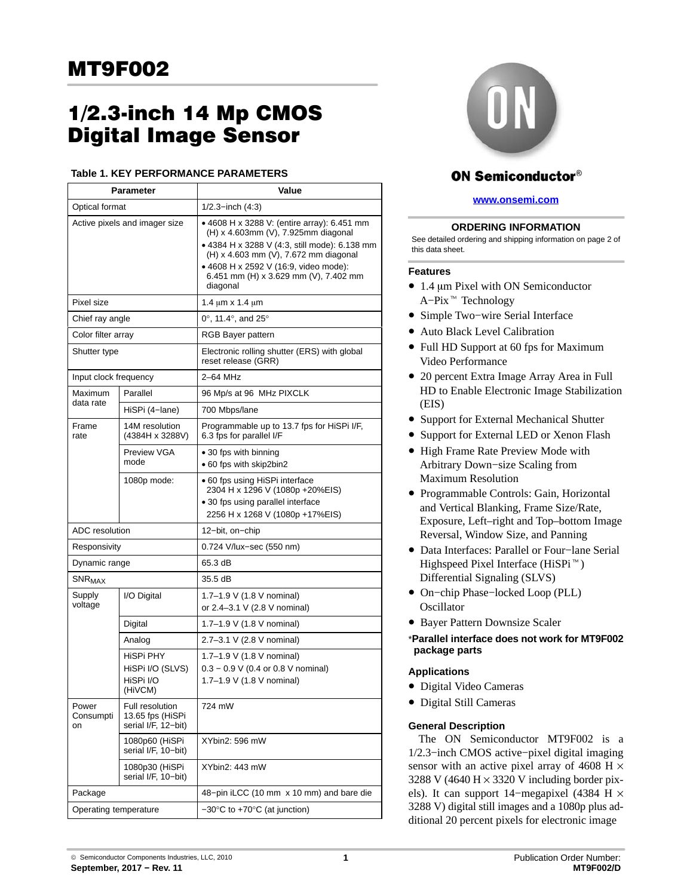# **Digital Image Sensor**  $\overline{S}$  is a sensor  $\overline{S}$

## **Table 1. KEY PERFORMANCE PARAMETERS**

| Parameter                     |                                                            | Value                                                                                                                                                                                                                                                                      |  |  |
|-------------------------------|------------------------------------------------------------|----------------------------------------------------------------------------------------------------------------------------------------------------------------------------------------------------------------------------------------------------------------------------|--|--|
| Optical format                |                                                            | $1/2.3$ –inch $(4:3)$                                                                                                                                                                                                                                                      |  |  |
| Active pixels and imager size |                                                            | • 4608 H x 3288 V: (entire array): 6.451 mm<br>(H) x 4.603mm (V), 7.925mm diagonal<br>• 4384 H x 3288 V (4:3, still mode): 6.138 mm<br>(H) x 4.603 mm (V), 7.672 mm diagonal<br>• 4608 H x 2592 V (16:9, video mode):<br>6.451 mm (H) x 3.629 mm (V), 7.402 mm<br>diagonal |  |  |
| Pixel size                    |                                                            | 1.4 $\mu$ m x 1.4 $\mu$ m                                                                                                                                                                                                                                                  |  |  |
| Chief ray angle               |                                                            | $0^\circ$ , 11.4 $^\circ$ , and 25 $^\circ$                                                                                                                                                                                                                                |  |  |
| Color filter array            |                                                            | RGB Bayer pattern                                                                                                                                                                                                                                                          |  |  |
| Shutter type                  |                                                            | Electronic rolling shutter (ERS) with global<br>reset release (GRR)                                                                                                                                                                                                        |  |  |
| Input clock frequency         |                                                            | 2-64 MHz                                                                                                                                                                                                                                                                   |  |  |
| Maximum                       | Parallel                                                   | 96 Mp/s at 96 MHz PIXCLK                                                                                                                                                                                                                                                   |  |  |
| data rate                     | HiSPi (4-lane)                                             | 700 Mbps/lane                                                                                                                                                                                                                                                              |  |  |
| Frame<br>rate                 | 14M resolution<br>(4384H x 3288V)                          | Programmable up to 13.7 fps for HiSPi I/F,<br>6.3 fps for parallel I/F                                                                                                                                                                                                     |  |  |
|                               | Preview VGA<br>mode                                        | • 30 fps with binning<br>• 60 fps with skip2bin2                                                                                                                                                                                                                           |  |  |
|                               | 1080p mode:                                                | • 60 fps using HiSPi interface<br>2304 H x 1296 V (1080p +20%EIS)<br>• 30 fps using parallel interface<br>2256 H x 1268 V (1080p +17%EIS)                                                                                                                                  |  |  |
| ADC resolution                |                                                            | 12-bit, on-chip                                                                                                                                                                                                                                                            |  |  |
| Responsivity                  |                                                            | 0.724 V/lux-sec (550 nm)                                                                                                                                                                                                                                                   |  |  |
| Dynamic range                 |                                                            | 65.3 dB                                                                                                                                                                                                                                                                    |  |  |
| $\mathsf{SNR}_{\textsf{MAX}}$ |                                                            | 35.5 dB                                                                                                                                                                                                                                                                    |  |  |
| Supply<br>voltage             | I/O Digital                                                | 1.7-1.9 V (1.8 V nominal)<br>or 2.4-3.1 V (2.8 V nominal)                                                                                                                                                                                                                  |  |  |
|                               | Digital                                                    | 1.7-1.9 V (1.8 V nominal)                                                                                                                                                                                                                                                  |  |  |
|                               | Analog                                                     | 2.7-3.1 V (2.8 V nominal)                                                                                                                                                                                                                                                  |  |  |
|                               | HISPI PHY<br>HiSPi I/O (SLVS)<br>HiSPi I/O<br>(HiVCM)      | 1.7-1.9 V (1.8 V nominal)<br>$0.3 - 0.9$ V (0.4 or 0.8 V nominal)<br>1.7-1.9 V (1.8 V nominal)                                                                                                                                                                             |  |  |
| Power<br>Consumpti<br>on      | Full resolution<br>13.65 fps (HiSPi<br>serial I/F, 12-bit) | 724 mW                                                                                                                                                                                                                                                                     |  |  |
|                               | 1080p60 (HiSPi<br>serial I/F, 10-bit)                      | XYbin2: 596 mW                                                                                                                                                                                                                                                             |  |  |
|                               | 1080p30 (HiSPi<br>serial I/F, 10-bit)                      | XYbin2: 443 mW                                                                                                                                                                                                                                                             |  |  |
| Package                       |                                                            | 48-pin iLCC (10 mm x 10 mm) and bare die                                                                                                                                                                                                                                   |  |  |
| Operating temperature         |                                                            | $-30^{\circ}$ C to +70 $^{\circ}$ C (at junction)                                                                                                                                                                                                                          |  |  |



# **ON Semiconductor®**

# **[www.onsemi.com]( http://www.onsemi.com/)**

## **ORDERING INFORMATION**

See detailed ordering and shipping information on page [2](#page-1-0) of this data sheet.

## **Features**

- 1.4  $\mu$ m Pixel with ON Semiconductor<br>A–Pix<sup> $\pi$ </sup> Technology  $A-Pix$ <sup>™</sup> Technology
- Simple Two−wire Serial Interface
- Auto Black Level Calibration
- Full HD Support at 60 fps for Maximum Video Performance
- 20 percent Extra Image Array Area in Full HD to Enable Electronic Image Stabilization (EIS)
- Support for External Mechanical Shutter
- Support for External LED or Xenon Flash
- High Frame Rate Preview Mode with Arbitrary Down−size Scaling from Maximum Resolution
- Programmable Controls: Gain, Horizontal and Vertical Blanking, Frame Size/Rate, Exposure, Left–right and Top–bottom Image Reversal, Window Size, and Panning
- Data Interfaces: Parallel or Four−lane Serial Neversal, Window Size, and Familia.<br>
Data Interfaces: Parallel or Four-lan<br>
Highspeed Pixel Interface (HiSPi™) Differential Signaling (SLVS)
- On−chip Phase−locked Loop (PLL) **Oscillator**
- Bayer Pattern Downsize Scaler
- \***Parallel interface does not work for MT9F002 package parts**

# **Applications**

- Digital Video Cameras
- Digital Still Cameras

## **General Description**

The ON Semiconductor MT9F002 is a 1/2.3−inch CMOS active−pixel digital imaging sensor with an active pixel array of 4608 H  $\times$ 3288 V (4640 H  $\times$  3320 V including border pixels). It can support 14−megapixel (4384 H × 3288 V) digital still images and a 1080p plus additional 20 percent pixels for electronic image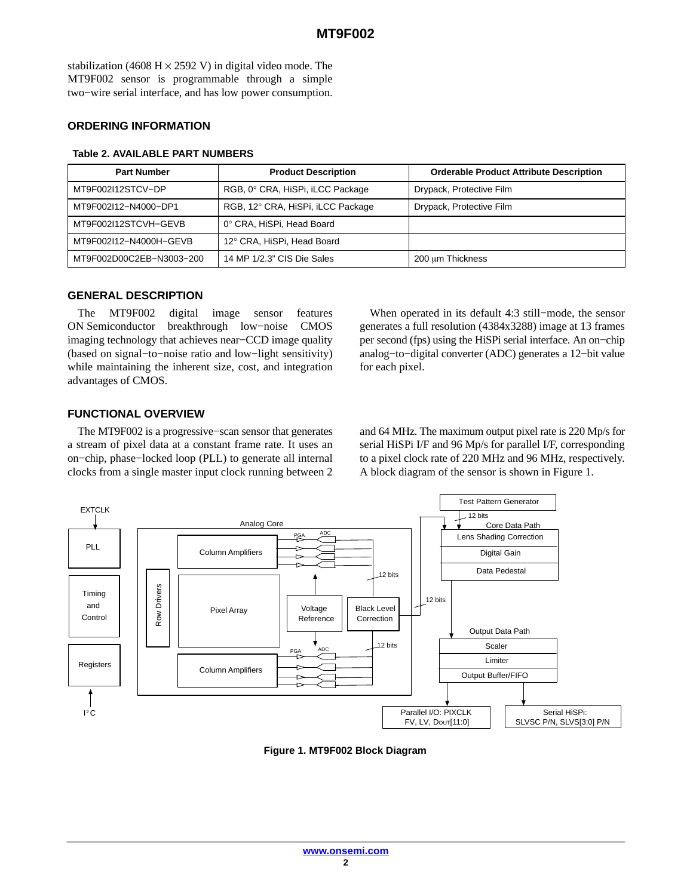<span id="page-1-0"></span>stabilization (4608 H  $\times$  2592 V) in digital video mode. The MT9F002 sensor is programmable through a simple two−wire serial interface, and has low power consumption.

## **ORDERING INFORMATION**

| <b>Part Number</b>       | <b>Product Description</b>        | <b>Orderable Product Attribute Description</b> |  |
|--------------------------|-----------------------------------|------------------------------------------------|--|
| MT9F002I12STCV-DP        | RGB, 0° CRA, HiSPi, iLCC Package  | Drypack, Protective Film                       |  |
| MT9F002I12-N4000-DP1     | RGB, 12° CRA, HiSPi, iLCC Package | Drypack, Protective Film                       |  |
| MT9F002I12STCVH-GEVB     | 0° CRA, HiSPi, Head Board         |                                                |  |
| MT9F002I12-N4000H-GEVB   | 12° CRA, HiSPi, Head Board        |                                                |  |
| MT9F002D00C2EB-N3003-200 | 14 MP 1/2.3" CIS Die Sales        | 200 um Thickness                               |  |

#### **Table 2. AVAILABLE PART NUMBERS**

## **GENERAL DESCRIPTION**

The MT9F002 digital image sensor features ON Semiconductor breakthrough low−noise CMOS imaging technology that achieves near−CCD image quality (based on signal−to−noise ratio and low−light sensitivity) while maintaining the inherent size, cost, and integration advantages of CMOS.

When operated in its default 4:3 still−mode, the sensor generates a full resolution (4384x3288) image at 13 frames per second (fps) using the HiSPi serial interface. An on−chip analog−to−digital converter (ADC) generates a 12−bit value for each pixel.

# **FUNCTIONAL OVERVIEW**

The MT9F002 is a progressive−scan sensor that generates a stream of pixel data at a constant frame rate. It uses an on−chip, phase−locked loop (PLL) to generate all internal clocks from a single master input clock running between 2 and 64 MHz. The maximum output pixel rate is 220 Mp/s for serial HiSPi I/F and 96 Mp/s for parallel I/F, corresponding to a pixel clock rate of 220 MHz and 96 MHz, respectively. A block diagram of the sensor is shown in Figure 1.



**Figure 1. MT9F002 Block Diagram**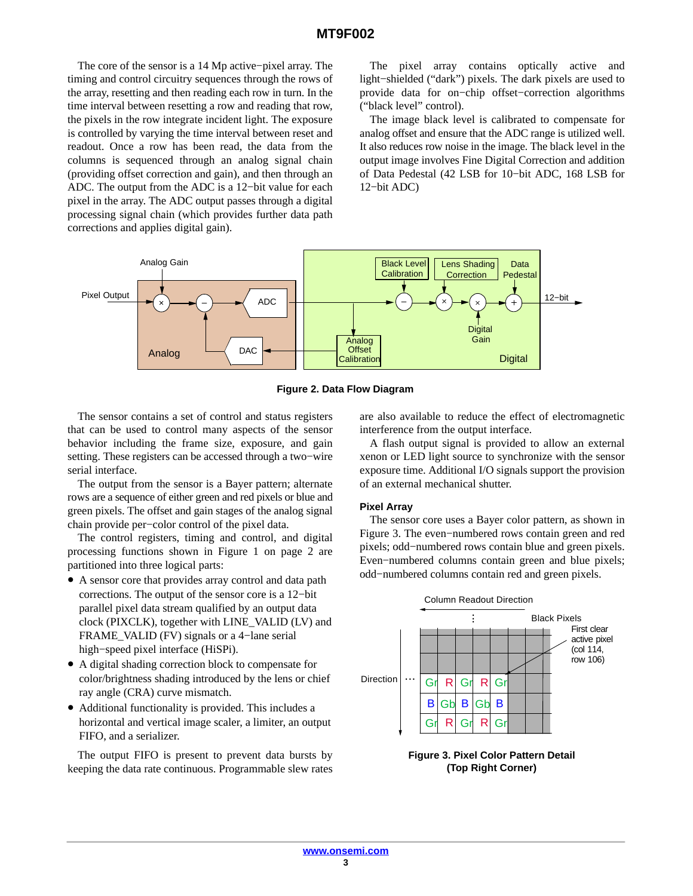The core of the sensor is a 14 Mp active−pixel array. The timing and control circuitry sequences through the rows of the array, resetting and then reading each row in turn. In the time interval between resetting a row and reading that row, the pixels in the row integrate incident light. The exposure is controlled by varying the time interval between reset and readout. Once a row has been read, the data from the columns is sequenced through an analog signal chain (providing offset correction and gain), and then through an ADC. The output from the ADC is a 12−bit value for each pixel in the array. The ADC output passes through a digital processing signal chain (which provides further data path corrections and applies digital gain).

The pixel array contains optically active and light−shielded ("dark") pixels. The dark pixels are used to provide data for on−chip offset−correction algorithms ("black level" control).

The image black level is calibrated to compensate for analog offset and ensure that the ADC range is utilized well. It also reduces row noise in the image. The black level in the output image involves Fine Digital Correction and addition of Data Pedestal (42 LSB for 10−bit ADC, 168 LSB for 12−bit ADC)



**Figure 2. Data Flow Diagram**

The sensor contains a set of control and status registers that can be used to control many aspects of the sensor behavior including the frame size, exposure, and gain setting. These registers can be accessed through a two−wire serial interface.

The output from the sensor is a Bayer pattern; alternate rows are a sequence of either green and red pixels or blue and green pixels. The offset and gain stages of the analog signal chain provide per−color control of the pixel data.

The control registers, timing and control, and digital processing functions shown in Figure 1 on page 2 are partitioned into three logical parts:

- A sensor core that provides array control and data path corrections. The output of the sensor core is a 12−bit parallel pixel data stream qualified by an output data clock (PIXCLK), together with LINE\_VALID (LV) and FRAME\_VALID (FV) signals or a 4−lane serial high−speed pixel interface (HiSPi).
- A digital shading correction block to compensate for color/brightness shading introduced by the lens or chief ray angle (CRA) curve mismatch.
- Additional functionality is provided. This includes a horizontal and vertical image scaler, a limiter, an output FIFO, and a serializer.

The output FIFO is present to prevent data bursts by keeping the data rate continuous. Programmable slew rates are also available to reduce the effect of electromagnetic interference from the output interface.

A flash output signal is provided to allow an external xenon or LED light source to synchronize with the sensor exposure time. Additional I/O signals support the provision of an external mechanical shutter.

#### **Pixel Array**

The sensor core uses a Bayer color pattern, as shown in Figure 3. The even−numbered rows contain green and red pixels; odd−numbered rows contain blue and green pixels. Even−numbered columns contain green and blue pixels; odd−numbered columns contain red and green pixels.



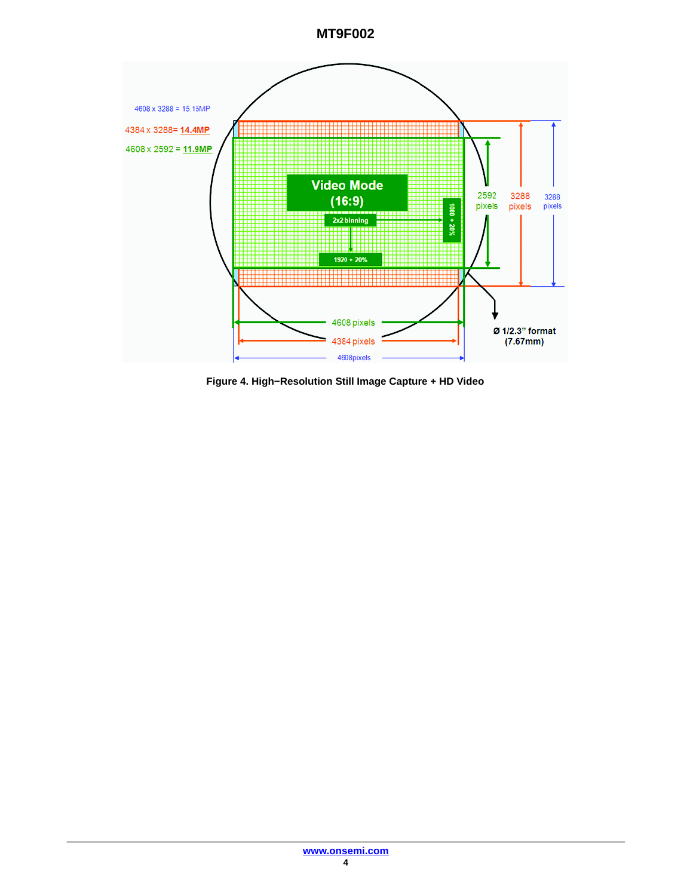

**Figure 4. High−Resolution Still Image Capture + HD Video**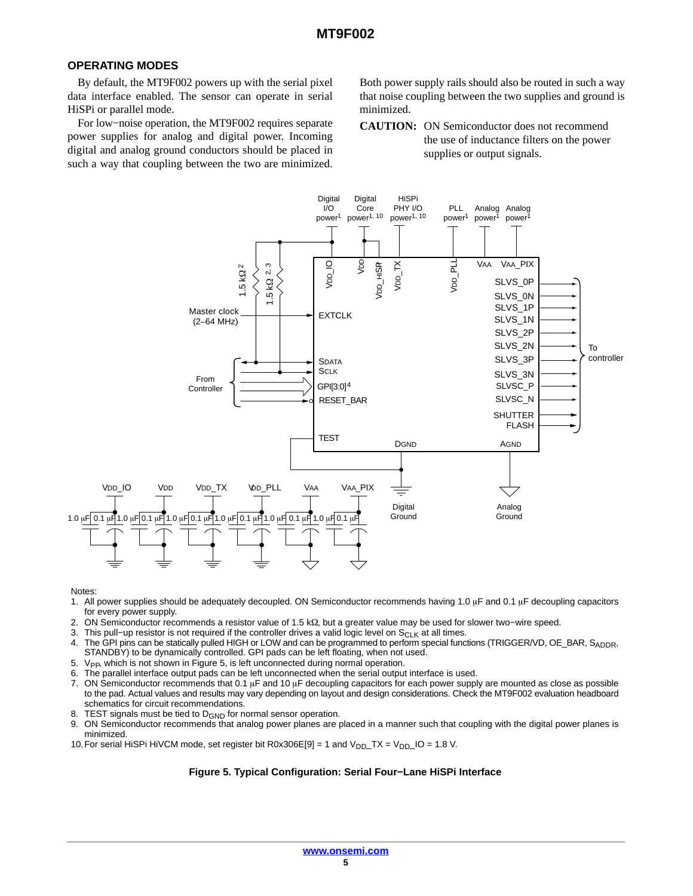## **OPERATING MODES**

By default, the MT9F002 powers up with the serial pixel data interface enabled. The sensor can operate in serial HiSPi or parallel mode.

For low−noise operation, the MT9F002 requires separate power supplies for analog and digital power. Incoming digital and analog ground conductors should be placed in such a way that coupling between the two are minimized.

Both power supply rails should also be routed in such a way that noise coupling between the two supplies and ground is minimized.

**CAUTION:** ON Semiconductor does not recommend the use of inductance filters on the power supplies or output signals.



Notes:

- 1. All power supplies should be adequately decoupled. ON Semiconductor recommends having 1.0  $\mu$ F and 0.1  $\mu$ F decoupling capacitors for every power supply.
- 2. ON Semiconductor recommends a resistor value of 1.5 kΩ, but a greater value may be used for slower two–wire speed.
- 3. This pull−up resistor is not required if the controller drives a valid logic level on S<sub>CLK</sub> at all times.
- 4. The GPI pins can be statically pulled HIGH or LOW and can be programmed to perform special functions (TRIGGER/VD, OE\_BAR, S<sub>ADDR</sub>, STANDBY) to be dynamically controlled. GPI pads can be left floating, when not used.
- 5.  $V_{\text{PP}}$ , which is not shown in Figure 5, is left unconnected during normal operation.
- 6. The parallel interface output pads can be left unconnected when the serial output interface is used.
- 7. ON Semiconductor recommends that 0.1  $\mu$ F and 10  $\mu$ F decoupling capacitors for each power supply are mounted as close as possible to the pad. Actual values and results may vary depending on layout and design considerations. Check the MT9F002 evaluation headboard schematics for circuit recommendations.
- 8. TEST signals must be tied to D<sub>GND</sub> for normal sensor operation.
- 9. ON Semiconductor recommends that analog power planes are placed in a manner such that coupling with the digital power planes is minimized.
- 10. For serial HiSPi HiVCM mode, set register bit R0x306E[9] = 1 and  $V_{DD}$  TX =  $V_{DD}$  IO = 1.8 V.

#### **Figure 5. Typical Configuration: Serial Four−Lane HiSPi Interface**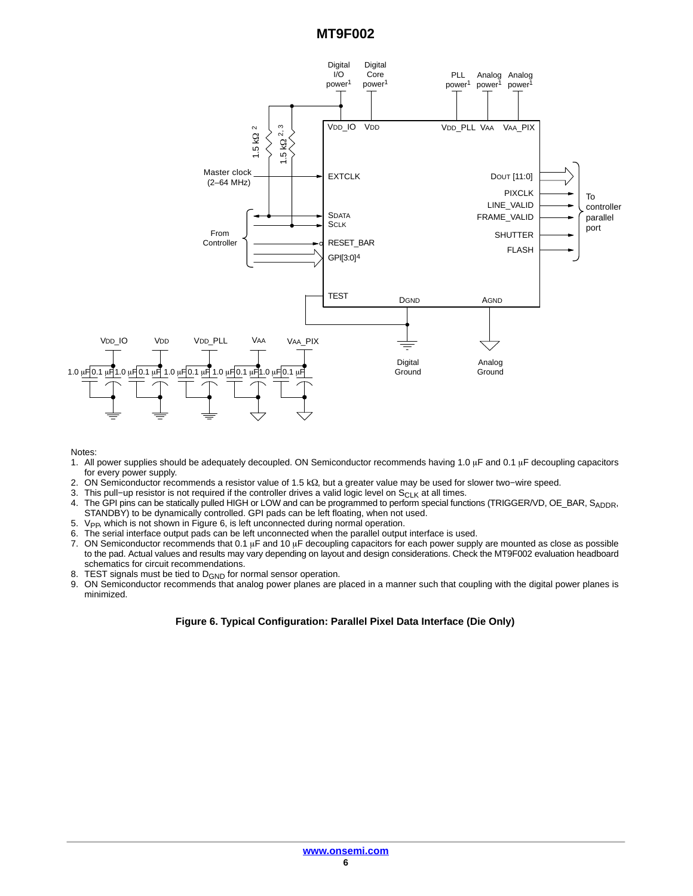

Notes:

- 1. All power supplies should be adequately decoupled. ON Semiconductor recommends having 1.0  $\mu$ F and 0.1  $\mu$ F decoupling capacitors for every power supply.
- 2. ON Semiconductor recommends a resistor value of 1.5 kΩ, but a greater value may be used for slower two–wire speed.
- 3. This pull−up resistor is not required if the controller drives a valid logic level on  $S_{CLK}$  at all times.
- 4. The GPI pins can be statically pulled HIGH or LOW and can be programmed to perform special functions (TRIGGER/VD, OE\_BAR, SADDR, STANDBY) to be dynamically controlled. GPI pads can be left floating, when not used.
- 5. V<sub>PP</sub>, which is not shown in Figure 6, is left unconnected during normal operation.
- 6. The serial interface output pads can be left unconnected when the parallel output interface is used.
- 7. ON Semiconductor recommends that 0.1  $\mu$ F and 10  $\mu$ F decoupling capacitors for each power supply are mounted as close as possible to the pad. Actual values and results may vary depending on layout and design considerations. Check the MT9F002 evaluation headboard schematics for circuit recommendations.
- 8. TEST signals must be tied to  $D_{GND}$  for normal sensor operation.<br>9. ON Semiconductor recommends that analog power planes are power
- 9. ON Semiconductor recommends that analog power planes are placed in a manner such that coupling with the digital power planes is minimized.

## **Figure 6. Typical Configuration: Parallel Pixel Data Interface (Die Only)**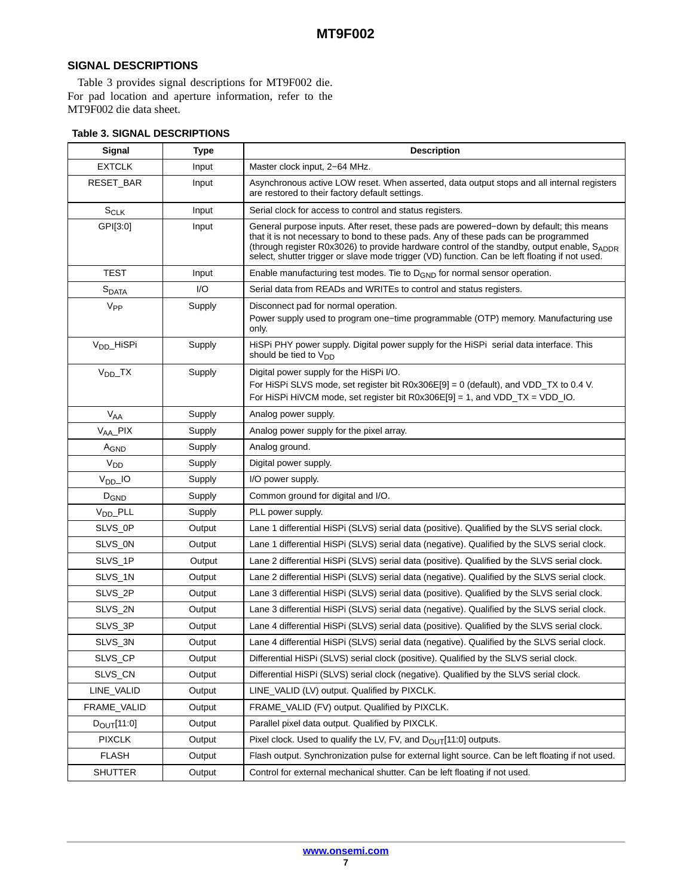# **SIGNAL DESCRIPTIONS**

Table 3 provides signal descriptions for MT9F002 die. For pad location and aperture information, refer to the MT9F002 die data sheet.

| Signal                 | <b>Type</b> | <b>Description</b>                                                                                                                                                                                                                                                                                                                                                              |  |
|------------------------|-------------|---------------------------------------------------------------------------------------------------------------------------------------------------------------------------------------------------------------------------------------------------------------------------------------------------------------------------------------------------------------------------------|--|
| <b>EXTCLK</b>          | Input       | Master clock input, 2-64 MHz.                                                                                                                                                                                                                                                                                                                                                   |  |
| RESET_BAR              | Input       | Asynchronous active LOW reset. When asserted, data output stops and all internal registers<br>are restored to their factory default settings.                                                                                                                                                                                                                                   |  |
| $S_{CLK}$              | Input       | Serial clock for access to control and status registers.                                                                                                                                                                                                                                                                                                                        |  |
| GPI[3:0]               | Input       | General purpose inputs. After reset, these pads are powered–down by default; this means<br>that it is not necessary to bond to these pads. Any of these pads can be programmed<br>(through register R0x3026) to provide hardware control of the standby, output enable, SADDR<br>select, shutter trigger or slave mode trigger (VD) function. Can be left floating if not used. |  |
| <b>TEST</b>            | Input       | Enable manufacturing test modes. Tie to $D_{\text{GND}}$ for normal sensor operation.                                                                                                                                                                                                                                                                                           |  |
| $S_{DATA}$             | I/O         | Serial data from READs and WRITEs to control and status registers.                                                                                                                                                                                                                                                                                                              |  |
| V <sub>PP</sub>        | Supply      | Disconnect pad for normal operation.<br>Power supply used to program one–time programmable (OTP) memory. Manufacturing use<br>only.                                                                                                                                                                                                                                             |  |
| V <sub>DD</sub> _HiSPi | Supply      | HiSPi PHY power supply. Digital power supply for the HiSPi serial data interface. This<br>should be tied to $V_{DD}$                                                                                                                                                                                                                                                            |  |
| $V_{DD-}TX$            | Supply      | Digital power supply for the HiSPi I/O.<br>For HiSPi SLVS mode, set register bit R0x306E[9] = 0 (default), and VDD_TX to 0.4 V.<br>For HiSPi HiVCM mode, set register bit $R0x306E[9] = 1$ , and VDD_TX = VDD_IO.                                                                                                                                                               |  |
| <b>V<sub>AA</sub></b>  | Supply      | Analog power supply.                                                                                                                                                                                                                                                                                                                                                            |  |
| V <sub>AA</sub> _PIX   | Supply      | Analog power supply for the pixel array.                                                                                                                                                                                                                                                                                                                                        |  |
| AGND                   | Supply      | Analog ground.                                                                                                                                                                                                                                                                                                                                                                  |  |
| V <sub>DD</sub>        | Supply      | Digital power supply.                                                                                                                                                                                                                                                                                                                                                           |  |
| $V_{DD}$ IO            | Supply      | I/O power supply.                                                                                                                                                                                                                                                                                                                                                               |  |
| D <sub>GND</sub>       | Supply      | Common ground for digital and I/O.                                                                                                                                                                                                                                                                                                                                              |  |
| V <sub>DD</sub> _PLL   | Supply      | PLL power supply.                                                                                                                                                                                                                                                                                                                                                               |  |
| SLVS_0P                | Output      | Lane 1 differential HiSPi (SLVS) serial data (positive). Qualified by the SLVS serial clock.                                                                                                                                                                                                                                                                                    |  |
| SLVS_0N                | Output      | Lane 1 differential HiSPi (SLVS) serial data (negative). Qualified by the SLVS serial clock.                                                                                                                                                                                                                                                                                    |  |
| SLVS_1P                | Output      | Lane 2 differential HiSPi (SLVS) serial data (positive). Qualified by the SLVS serial clock.                                                                                                                                                                                                                                                                                    |  |
| SLVS_1N                | Output      | Lane 2 differential HiSPi (SLVS) serial data (negative). Qualified by the SLVS serial clock.                                                                                                                                                                                                                                                                                    |  |
| SLVS_2P                | Output      | Lane 3 differential HiSPi (SLVS) serial data (positive). Qualified by the SLVS serial clock.                                                                                                                                                                                                                                                                                    |  |
| SLVS_2N                | Output      | Lane 3 differential HiSPi (SLVS) serial data (negative). Qualified by the SLVS serial clock.                                                                                                                                                                                                                                                                                    |  |
| SLVS_3P                | Output      | Lane 4 differential HiSPi (SLVS) serial data (positive). Qualified by the SLVS serial clock.                                                                                                                                                                                                                                                                                    |  |
| SLVS_3N                | Output      | Lane 4 differential HiSPi (SLVS) serial data (negative). Qualified by the SLVS serial clock.                                                                                                                                                                                                                                                                                    |  |
| SLVS_CP                | Output      | Differential HiSPi (SLVS) serial clock (positive). Qualified by the SLVS serial clock.                                                                                                                                                                                                                                                                                          |  |
| SLVS_CN                | Output      | Differential HiSPi (SLVS) serial clock (negative). Qualified by the SLVS serial clock.                                                                                                                                                                                                                                                                                          |  |
| LINE_VALID             | Output      | LINE_VALID (LV) output. Qualified by PIXCLK.                                                                                                                                                                                                                                                                                                                                    |  |
| FRAME_VALID            | Output      | FRAME_VALID (FV) output. Qualified by PIXCLK.                                                                                                                                                                                                                                                                                                                                   |  |
| $D_{\text{OUT}}[11:0]$ | Output      | Parallel pixel data output. Qualified by PIXCLK.                                                                                                                                                                                                                                                                                                                                |  |
| <b>PIXCLK</b>          | Output      | Pixel clock. Used to qualify the LV, FV, and $D_{OUT}[11:0]$ outputs.                                                                                                                                                                                                                                                                                                           |  |
| <b>FLASH</b>           | Output      | Flash output. Synchronization pulse for external light source. Can be left floating if not used.                                                                                                                                                                                                                                                                                |  |
| SHUTTER                | Output      | Control for external mechanical shutter. Can be left floating if not used.                                                                                                                                                                                                                                                                                                      |  |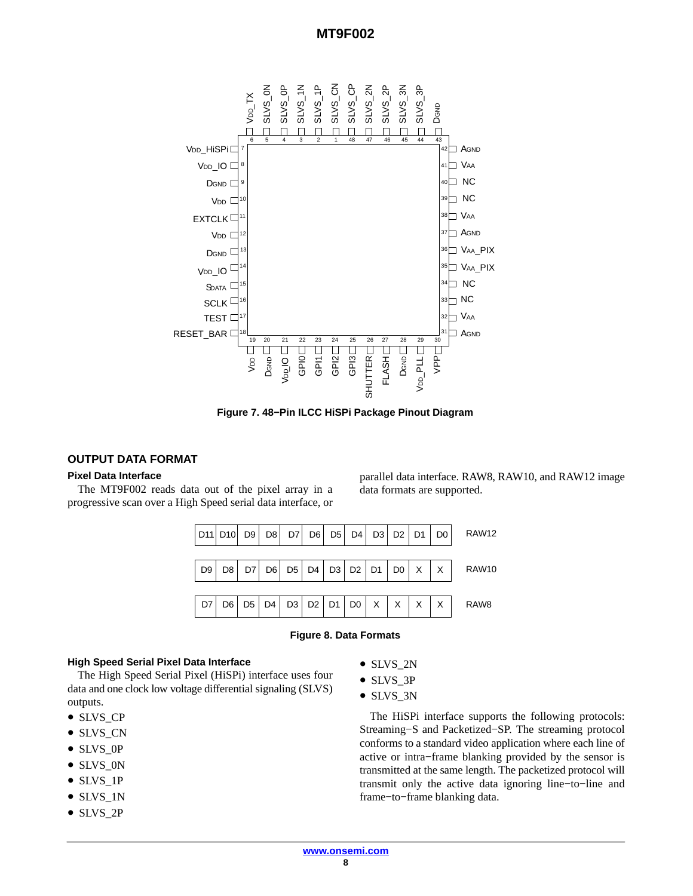

**Figure 7. 48−Pin ILCC HiSPi Package Pinout Diagram**

#### **OUTPUT DATA FORMAT**

#### **Pixel Data Interface**

The MT9F002 reads data out of the pixel array in a progressive scan over a High Speed serial data interface, or

> RAW12  $D2 | D1 | D0 | X | X$  RAW10 D7 | D6 | D5 | D4 | D3 | D2 | D1 | D0 | X | X | X | X | RAW8 D9 | D8 | D7 | D6 | D5 | D4 | D3 | D2 | D1 | D0 D11|D10| D9| D8| D7| D6| D5| D4| D3| D2|D1| D0

#### **Figure 8. Data Formats**

#### **High Speed Serial Pixel Data Interface**

The High Speed Serial Pixel (HiSPi) interface uses four data and one clock low voltage differential signaling (SLVS) outputs.

- SLVS CP
- SLVS\_CN
- SLVS OP
- SLVS\_0N
- SLVS\_1P
- SLVS\_1N
- SLVS\_2P

• SLVS 2N

data formats are supported.

- SLVS\_3P
- SLVS\_3N

The HiSPi interface supports the following protocols: Streaming−S and Packetized−SP. The streaming protocol conforms to a standard video application where each line of active or intra−frame blanking provided by the sensor is transmitted at the same length. The packetized protocol will transmit only the active data ignoring line−to−line and frame−to−frame blanking data.

parallel data interface. RAW8, RAW10, and RAW12 image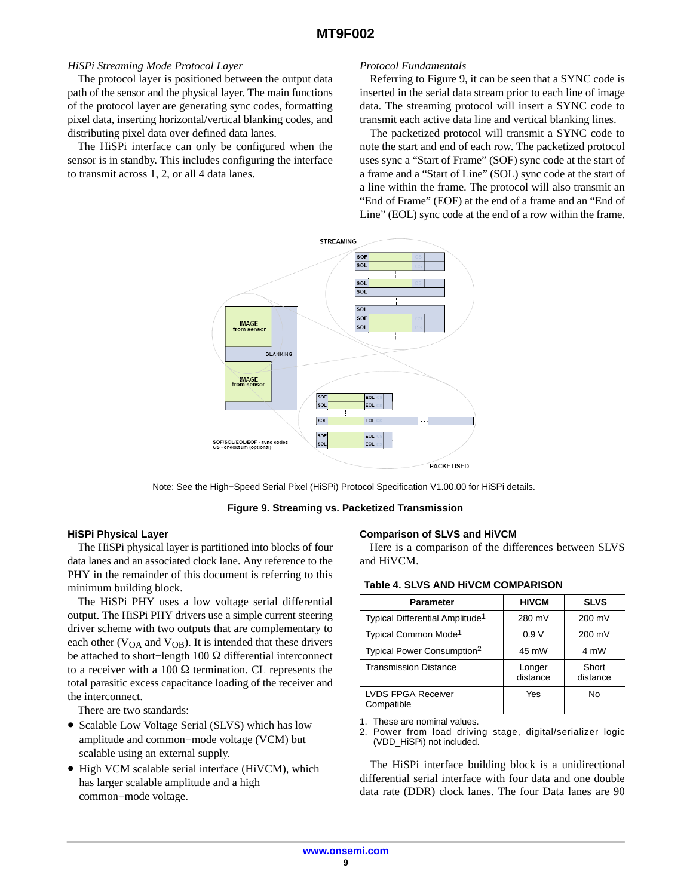#### *HiSPi Streaming Mode Protocol Layer*

The protocol layer is positioned between the output data path of the sensor and the physical layer. The main functions of the protocol layer are generating sync codes, formatting pixel data, inserting horizontal/vertical blanking codes, and distributing pixel data over defined data lanes.

The HiSPi interface can only be configured when the sensor is in standby. This includes configuring the interface to transmit across 1, 2, or all 4 data lanes.

#### *Protocol Fundamentals*

Referring to Figure 9, it can be seen that a SYNC code is inserted in the serial data stream prior to each line of image data. The streaming protocol will insert a SYNC code to transmit each active data line and vertical blanking lines.

The packetized protocol will transmit a SYNC code to note the start and end of each row. The packetized protocol uses sync a "Start of Frame" (SOF) sync code at the start of a frame and a "Start of Line" (SOL) sync code at the start of a line within the frame. The protocol will also transmit an "End of Frame" (EOF) at the end of a frame and an "End of Line" (EOL) sync code at the end of a row within the frame.



Note: See the High−Speed Serial Pixel (HiSPi) Protocol Specification V1.00.00 for HiSPi details.

#### **Figure 9. Streaming vs. Packetized Transmission**

#### **HiSPi Physical Layer**

The HiSPi physical layer is partitioned into blocks of four data lanes and an associated clock lane. Any reference to the PHY in the remainder of this document is referring to this minimum building block.

The HiSPi PHY uses a low voltage serial differential output. The HiSPi PHY drivers use a simple current steering driver scheme with two outputs that are complementary to each other ( $V<sub>OA</sub>$  and  $V<sub>OB</sub>$ ). It is intended that these drivers be attached to short–length 100 Ω differential interconnect to a receiver with a 100  $\Omega$  termination. CL represents the total parasitic excess capacitance loading of the receiver and the interconnect.

There are two standards:

- Scalable Low Voltage Serial (SLVS) which has low amplitude and common−mode voltage (VCM) but scalable using an external supply.
- High VCM scalable serial interface (HiVCM), which has larger scalable amplitude and a high common−mode voltage.

#### **Comparison of SLVS and HiVCM**

Here is a comparison of the differences between SLVS and HiVCM.

| Parameter                                   | <b>HIVCM</b>       | <b>SLVS</b>       |
|---------------------------------------------|--------------------|-------------------|
| Typical Differential Amplitude <sup>1</sup> | 280 mV             | 200 mV            |
| Typical Common Mode <sup>1</sup>            | 0.9V               | 200 mV            |
| Typical Power Consumption <sup>2</sup>      | 45 mW              | 4 mW              |
| <b>Transmission Distance</b>                | Longer<br>distance | Short<br>distance |
| <b>LVDS FPGA Receiver</b><br>Compatible     | Yes                | No                |

**Table 4. SLVS AND HiVCM COMPARISON**

1. These are nominal values.

2. Power from load driving stage, digital/serializer logic (VDD\_HiSPi) not included.

The HiSPi interface building block is a unidirectional differential serial interface with four data and one double data rate (DDR) clock lanes. The four Data lanes are 90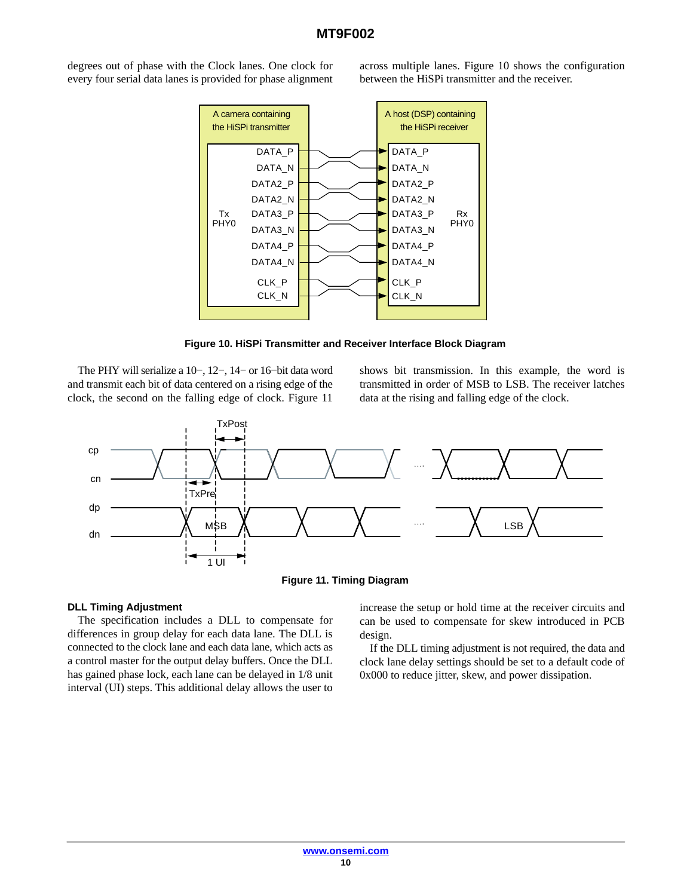degrees out of phase with the Clock lanes. One clock for every four serial data lanes is provided for phase alignment across multiple lanes. Figure 10 shows the configuration between the HiSPi transmitter and the receiver.



**Figure 10. HiSPi Transmitter and Receiver Interface Block Diagram**

The PHY will serialize a 10−, 12−, 14− or 16−bit data word and transmit each bit of data centered on a rising edge of the clock, the second on the falling edge of clock. Figure 11

shows bit transmission. In this example, the word is transmitted in order of MSB to LSB. The receiver latches data at the rising and falling edge of the clock.





## **DLL Timing Adjustment**

The specification includes a DLL to compensate for differences in group delay for each data lane. The DLL is connected to the clock lane and each data lane, which acts as a control master for the output delay buffers. Once the DLL has gained phase lock, each lane can be delayed in 1/8 unit interval (UI) steps. This additional delay allows the user to

increase the setup or hold time at the receiver circuits and can be used to compensate for skew introduced in PCB design.

If the DLL timing adjustment is not required, the data and clock lane delay settings should be set to a default code of 0x000 to reduce jitter, skew, and power dissipation.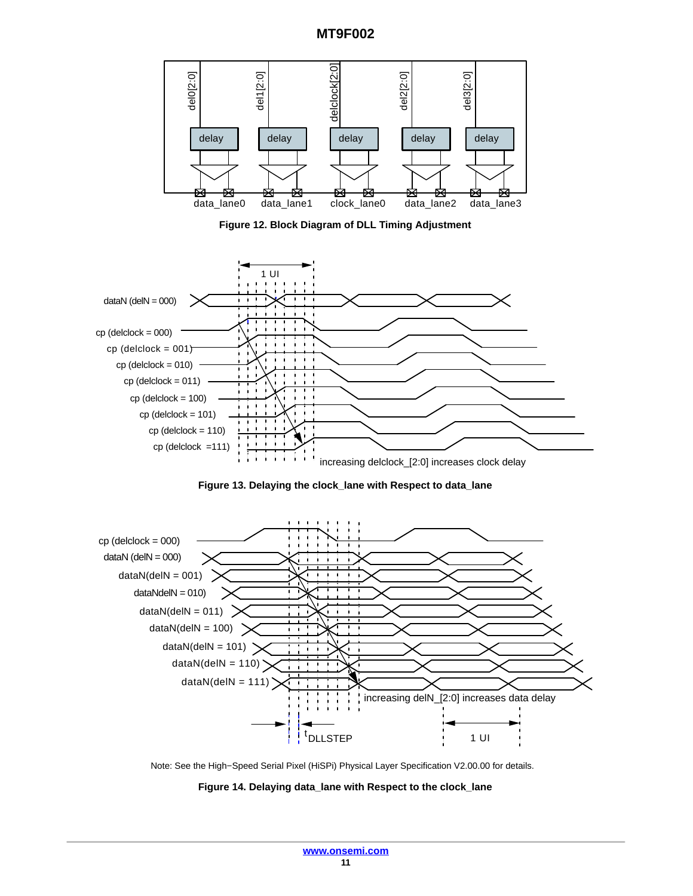

**Figure 12. Block Diagram of DLL Timing Adjustment**







Note: See the High−Speed Serial Pixel (HiSPi) Physical Layer Specification V2.00.00 for details.

**Figure 14. Delaying data\_lane with Respect to the clock\_lane**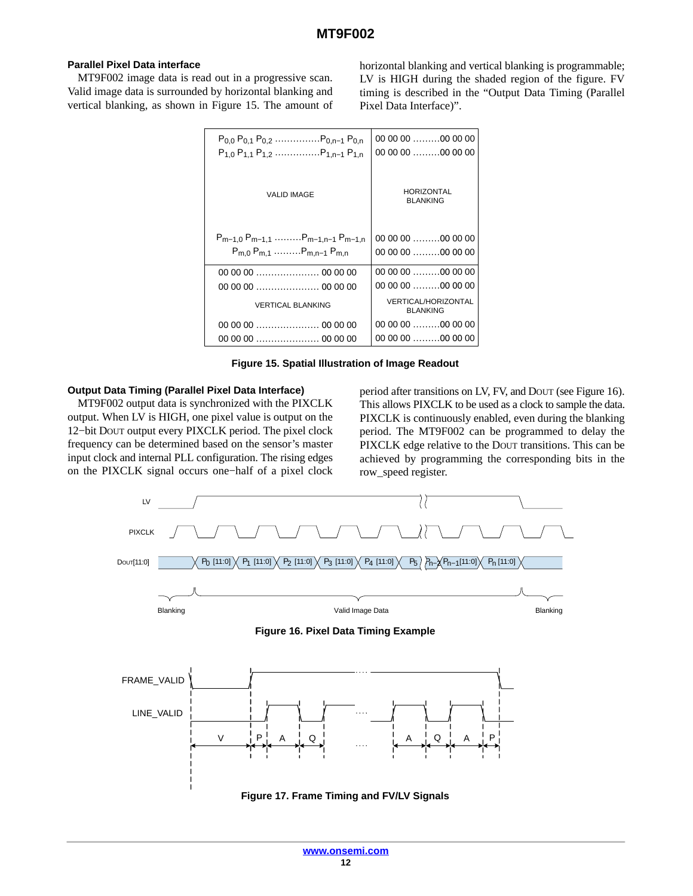## <span id="page-11-0"></span>**Parallel Pixel Data interface**

MT9F002 image data is read out in a progressive scan. Valid image data is surrounded by horizontal blanking and vertical blanking, as shown in Figure 15. The amount of

horizontal blanking and vertical blanking is programmable; LV is HIGH during the shaded region of the figure. FV timing is described in the "Output Data Timing (Parallel Pixel Data Interface)".

| $P_{0,0}$ $P_{0,1}$ $P_{0,2}$ $P_{0,n-1}$ $P_{0,n}$<br>$P_{1,0}$ $P_{1,1}$ $P_{1,2}$ $P_{1,n-1}$ $P_{1,n}$ | 00 00 00 00 00 00<br>00 00 00 00 00 00        |
|------------------------------------------------------------------------------------------------------------|-----------------------------------------------|
| <b>VALID IMAGE</b>                                                                                         | <b>HORIZONTAL</b><br><b>BLANKING</b>          |
| $P_{m-1,0} P_{m-1,1}$ $P_{m-1,n-1} P_{m-1,n}$                                                              | 00 00 00 00 00 00                             |
| $P_{m,0}$ $P_{m,1}$ $P_{m,n-1}$ $P_{m,n}$                                                                  | 00 00 00 00 00 00                             |
|                                                                                                            | $000000$ 00 00 00                             |
|                                                                                                            | 00 00 00 00 00 00                             |
| <b>VERTICAL BLANKING</b>                                                                                   | <b>VERTICAL/HORIZONTAL</b><br><b>BLANKING</b> |
|                                                                                                            | $000000$ 00 00 00                             |
|                                                                                                            | $000000$ 00 00 00                             |

**Figure 15. Spatial Illustration of Image Readout**

#### **Output Data Timing (Parallel Pixel Data Interface)**

MT9F002 output data is synchronized with the PIXCLK output. When LV is HIGH, one pixel value is output on the 12−bit DOUT output every PIXCLK period. The pixel clock frequency can be determined based on the sensor's master input clock and internal PLL configuration. The rising edges on the PIXCLK signal occurs one−half of a pixel clock

period after transitions on LV, FV, and DOUT (see Figure 16). This allows PIXCLK to be used as a clock to sample the data. PIXCLK is continuously enabled, even during the blanking period. The MT9F002 can be programmed to delay the PIXCLK edge relative to the DOUT transitions. This can be achieved by programming the corresponding bits in the row\_speed register.

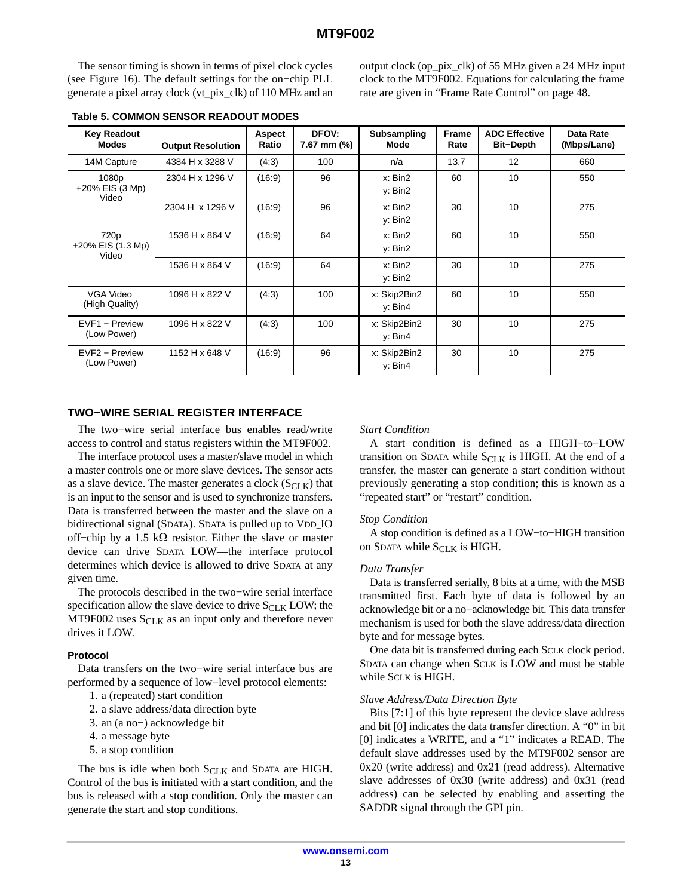The sensor timing is shown in terms of pixel clock cycles (see Figure [16](#page-11-0)). The default settings for the on−chip PLL generate a pixel array clock (vt\_pix\_clk) of 110 MHz and an output clock (op\_pix\_clk) of 55 MHz given a 24 MHz input clock to the MT9F002. Equations for calculating the frame rate are given in "Frame Rate Control" on page 48.

| <b>Key Readout</b><br><b>Modes</b> | <b>Output Resolution</b> | Aspect<br>Ratio | DFOV:<br>7.67 mm (%) | <b>Subsampling</b><br>Mode | <b>Frame</b><br>Rate | <b>ADC Effective</b><br><b>Bit-Depth</b> | Data Rate<br>(Mbps/Lane) |
|------------------------------------|--------------------------|-----------------|----------------------|----------------------------|----------------------|------------------------------------------|--------------------------|
| 14M Capture                        | 4384 H x 3288 V          | (4:3)           | 100                  | n/a                        | 13.7                 | 12                                       | 660                      |
| 1080p<br>+20% EIS (3 Mp)<br>Video  | 2304 H x 1296 V          | (16.9)          | 96                   | x: Bin2<br>y: Bin2         | 60                   | 10                                       | 550                      |
|                                    | 2304 H x 1296 V          | (16.9)          | 96                   | x: Bin2<br>y: Bin2         | 30                   | 10                                       | 275                      |
| 720p<br>+20% EIS (1.3 Mp)<br>Video | 1536 H x 864 V           | (16.9)          | 64                   | x: Bin2<br>y: Bin2         | 60                   | 10                                       | 550                      |
|                                    | 1536 H x 864 V           | (16.9)          | 64                   | x: Bin2<br>v: Bin2         | 30                   | 10                                       | 275                      |
| VGA Video<br>(High Quality)        | 1096 H x 822 V           | (4:3)           | 100                  | x: Skip2Bin2<br>y: Bin4    | 60                   | 10                                       | 550                      |
| EVF1 - Preview<br>(Low Power)      | 1096 H x 822 V           | (4:3)           | 100                  | x: Skip2Bin2<br>y: Bin4    | 30                   | 10                                       | 275                      |
| EVF2 - Preview<br>(Low Power)      | 1152 H x 648 V           | (16.9)          | 96                   | x: Skip2Bin2<br>y: Bin4    | 30                   | 10                                       | 275                      |

#### **Table 5. COMMON SENSOR READOUT MODES**

#### **TWO−WIRE SERIAL REGISTER INTERFACE**

The two−wire serial interface bus enables read/write access to control and status registers within the MT9F002.

The interface protocol uses a master/slave model in which a master controls one or more slave devices. The sensor acts as a slave device. The master generates a clock  $(S_{CLK})$  that is an input to the sensor and is used to synchronize transfers. Data is transferred between the master and the slave on a bidirectional signal (SDATA). SDATA is pulled up to VDD IO off–chip by a 1.5 k $\Omega$  resistor. Either the slave or master device can drive SDATA LOW—the interface protocol determines which device is allowed to drive SDATA at any given time.

The protocols described in the two−wire serial interface specification allow the slave device to drive  $S_{CLK}$  LOW; the MT9F002 uses  $S_{CLK}$  as an input only and therefore never drives it LOW.

#### **Protocol**

Data transfers on the two−wire serial interface bus are performed by a sequence of low−level protocol elements:

- 1. a (repeated) start condition
- 2. a slave address/data direction byte
- 3. an (a no−) acknowledge bit
- 4. a message byte
- 5. a stop condition

The bus is idle when both  $S_{CLK}$  and SDATA are HIGH. Control of the bus is initiated with a start condition, and the bus is released with a stop condition. Only the master can generate the start and stop conditions.

#### *Start Condition*

A start condition is defined as a HIGH−to−LOW transition on SDATA while  $S_{CLK}$  is HIGH. At the end of a transfer, the master can generate a start condition without previously generating a stop condition; this is known as a "repeated start" or "restart" condition.

#### *Stop Condition*

A stop condition is defined as a LOW−to−HIGH transition on SDATA while  $S_{CLK}$  is HIGH.

#### *Data Transfer*

Data is transferred serially, 8 bits at a time, with the MSB transmitted first. Each byte of data is followed by an acknowledge bit or a no−acknowledge bit. This data transfer mechanism is used for both the slave address/data direction byte and for message bytes.

One data bit is transferred during each SCLK clock period. SDATA can change when SCLK is LOW and must be stable while SCLK is HIGH.

#### *Slave Address/Data Direction Byte*

Bits [7:1] of this byte represent the device slave address and bit [0] indicates the data transfer direction. A "0" in bit [0] indicates a WRITE, and a "1" indicates a READ. The default slave addresses used by the MT9F002 sensor are 0x20 (write address) and 0x21 (read address). Alternative slave addresses of 0x30 (write address) and 0x31 (read address) can be selected by enabling and asserting the SADDR signal through the GPI pin.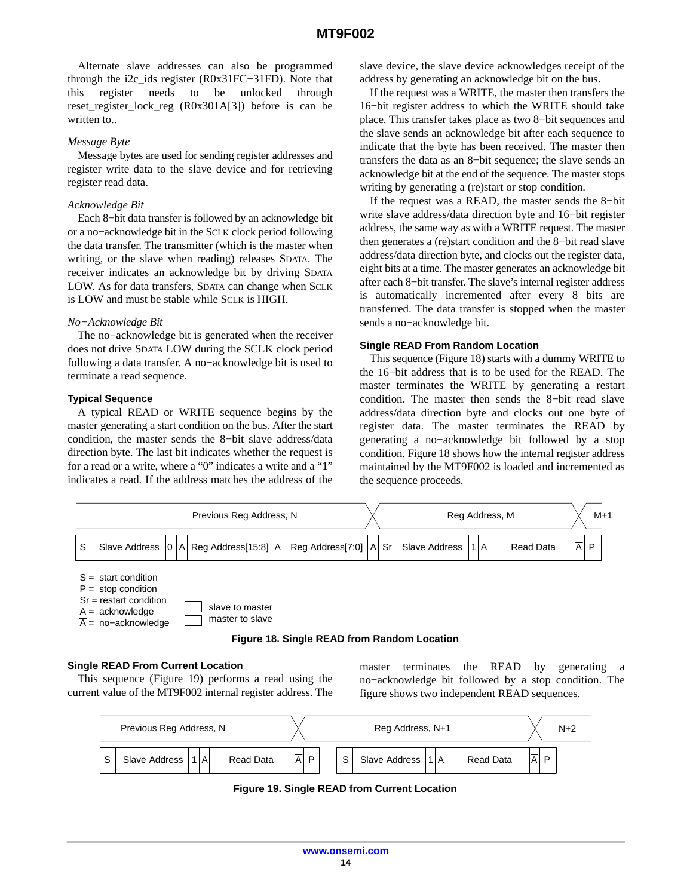<span id="page-13-0"></span>Alternate slave addresses can also be programmed through the i2c\_ids register (R0x31FC−31FD). Note that this register needs to be unlocked through reset\_register\_lock\_reg (R0x301A[3]) before is can be written to...

#### *Message Byte*

Message bytes are used for sending register addresses and register write data to the slave device and for retrieving register read data.

#### *Acknowledge Bit*

Each 8−bit data transfer is followed by an acknowledge bit or a no−acknowledge bit in the SCLK clock period following the data transfer. The transmitter (which is the master when writing, or the slave when reading) releases SDATA. The receiver indicates an acknowledge bit by driving SDATA LOW. As for data transfers, SDATA can change when SCLK is LOW and must be stable while SCLK is HIGH.

#### *No−Acknowledge Bit*

The no−acknowledge bit is generated when the receiver does not drive SDATA LOW during the SCLK clock period following a data transfer. A no−acknowledge bit is used to terminate a read sequence.

## **Typical Sequence**

A typical READ or WRITE sequence begins by the master generating a start condition on the bus. After the start condition, the master sends the 8−bit slave address/data direction byte. The last bit indicates whether the request is for a read or a write, where a "0" indicates a write and a "1" indicates a read. If the address matches the address of the slave device, the slave device acknowledges receipt of the address by generating an acknowledge bit on the bus.

If the request was a WRITE, the master then transfers the 16−bit register address to which the WRITE should take place. This transfer takes place as two 8−bit sequences and the slave sends an acknowledge bit after each sequence to indicate that the byte has been received. The master then transfers the data as an 8−bit sequence; the slave sends an acknowledge bit at the end of the sequence. The master stops writing by generating a (re)start or stop condition.

If the request was a READ, the master sends the 8−bit write slave address/data direction byte and 16−bit register address, the same way as with a WRITE request. The master then generates a (re)start condition and the 8−bit read slave address/data direction byte, and clocks out the register data, eight bits at a time. The master generates an acknowledge bit after each 8−bit transfer. The slave's internal register address is automatically incremented after every 8 bits are transferred. The data transfer is stopped when the master sends a no−acknowledge bit.

#### **Single READ From Random Location**

This sequence (Figure 18) starts with a dummy WRITE to the 16−bit address that is to be used for the READ. The master terminates the WRITE by generating a restart condition. The master then sends the 8−bit read slave address/data direction byte and clocks out one byte of register data. The master terminates the READ by generating a no−acknowledge bit followed by a stop condition. Figure 18 shows how the internal register address maintained by the MT9F002 is loaded and incremented as the sequence proceeds.



#### **Figure 18. Single READ from Random Location**

## **Single READ From Current Location**

This sequence (Figure 19) performs a read using the current value of the MT9F002 internal register address. The master terminates the READ by generating a no−acknowledge bit followed by a stop condition. The figure shows two independent READ sequences.



**Figure 19. Single READ from Current Location**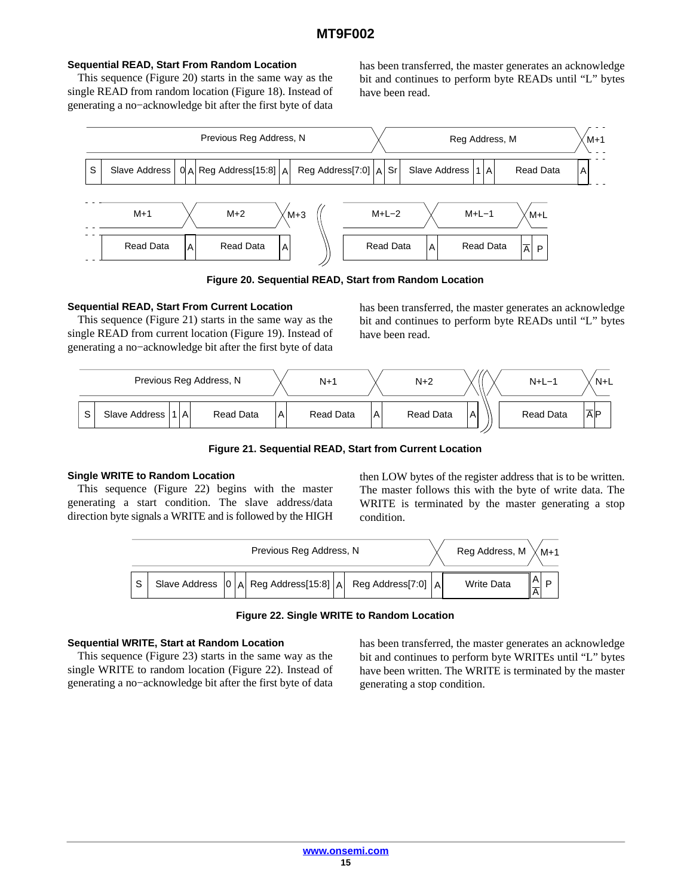## **Sequential READ, Start From Random Location**

This sequence (Figure 20) starts in the same way as the single READ from random location (Figure [18](#page-13-0)). Instead of generating a no−acknowledge bit after the first byte of data has been transferred, the master generates an acknowledge bit and continues to perform byte READs until "L" bytes have been read.



**Figure 20. Sequential READ, Start from Random Location**

## **Sequential READ, Start From Current Location**

This sequence (Figure 21) starts in the same way as the single READ from current location (Figure [19\)](#page-13-0). Instead of generating a no−acknowledge bit after the first byte of data has been transferred, the master generates an acknowledge bit and continues to perform byte READs until "L" bytes have been read.



**Figure 21. Sequential READ, Start from Current Location**

## **Single WRITE to Random Location**

This sequence (Figure 22) begins with the master generating a start condition. The slave address/data direction byte signals a WRITE and is followed by the HIGH then LOW bytes of the register address that is to be written. The master follows this with the byte of write data. The WRITE is terminated by the master generating a stop condition.



**Figure 22. Single WRITE to Random Location**

#### **Sequential WRITE, Start at Random Location**

This sequence (Figure [23](#page-15-0)) starts in the same way as the single WRITE to random location (Figure 22). Instead of generating a no−acknowledge bit after the first byte of data

has been transferred, the master generates an acknowledge bit and continues to perform byte WRITEs until "L" bytes have been written. The WRITE is terminated by the master generating a stop condition.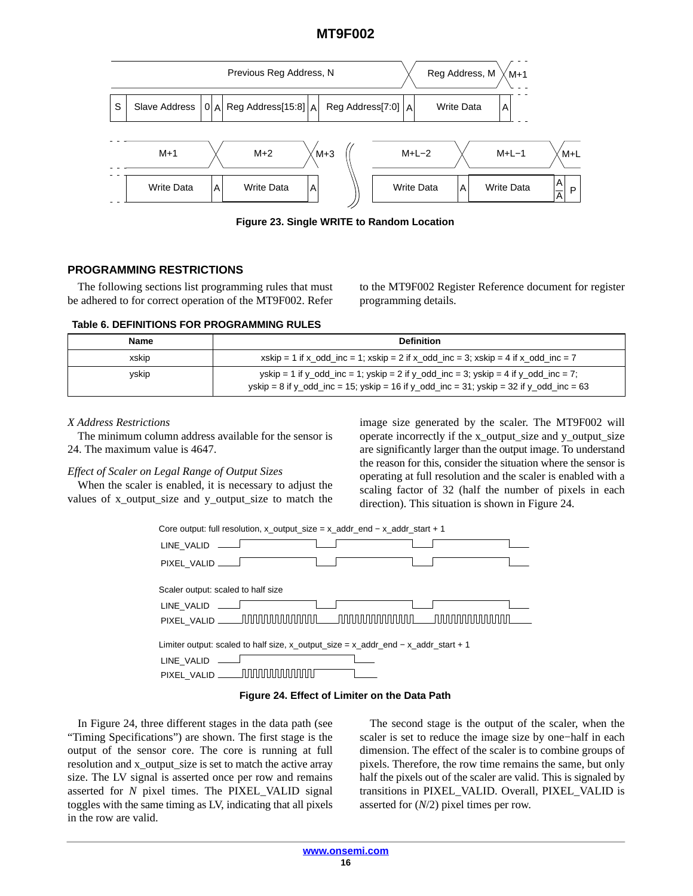<span id="page-15-0"></span>

**Figure 23. Single WRITE to Random Location**

# **PROGRAMMING RESTRICTIONS**

The following sections list programming rules that must be adhered to for correct operation of the MT9F002. Refer to the MT9F002 Register Reference document for register programming details.

#### **Table 6. DEFINITIONS FOR PROGRAMMING RULES**

| <b>Name</b> | <b>Definition</b>                                                                                                                                                              |
|-------------|--------------------------------------------------------------------------------------------------------------------------------------------------------------------------------|
| xskip       | xskip = 1 if x_odd_inc = 1; xskip = 2 if x_odd_inc = 3; xskip = 4 if x_odd_inc = 7                                                                                             |
| yskip       | yskip = 1 if y_odd_inc = 1; yskip = 2 if y_odd_inc = 3; yskip = 4 if y_odd_inc = 7;<br>yskip = 8 if y_odd_inc = 15; yskip = 16 if y_odd_inc = 31; yskip = 32 if y_odd_inc = 63 |

# *X Address Restrictions*

The minimum column address available for the sensor is 24. The maximum value is 4647.

## *Effect of Scaler on Legal Range of Output Sizes*

When the scaler is enabled, it is necessary to adjust the values of x\_output\_size and y\_output\_size to match the

image size generated by the scaler. The MT9F002 will operate incorrectly if the x\_output\_size and y\_output\_size are significantly larger than the output image. To understand the reason for this, consider the situation where the sensor is operating at full resolution and the scaler is enabled with a scaling factor of 32 (half the number of pixels in each direction). This situation is shown in Figure 24.





In Figure 24, three different stages in the data path (see "Timing Specifications") are shown. The first stage is the output of the sensor core. The core is running at full resolution and x\_output\_size is set to match the active array size. The LV signal is asserted once per row and remains asserted for *N* pixel times. The PIXEL\_VALID signal toggles with the same timing as LV, indicating that all pixels in the row are valid.

The second stage is the output of the scaler, when the scaler is set to reduce the image size by one−half in each dimension. The effect of the scaler is to combine groups of pixels. Therefore, the row time remains the same, but only half the pixels out of the scaler are valid. This is signaled by transitions in PIXEL\_VALID. Overall, PIXEL\_VALID is asserted for (*N*/2) pixel times per row.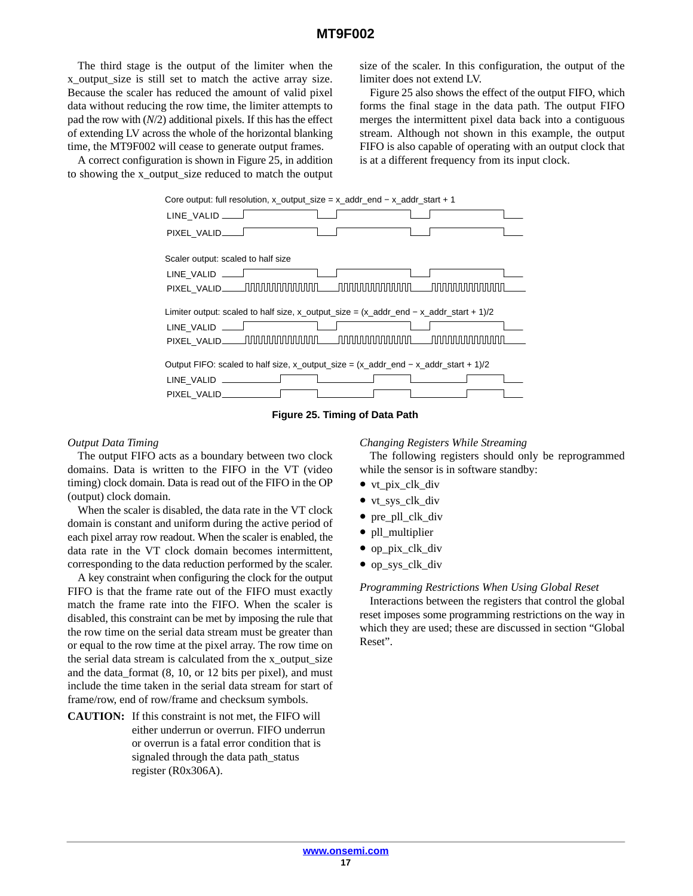The third stage is the output of the limiter when the x\_output\_size is still set to match the active array size. Because the scaler has reduced the amount of valid pixel data without reducing the row time, the limiter attempts to pad the row with (*N*/2) additional pixels. If this has the effect of extending LV across the whole of the horizontal blanking time, the MT9F002 will cease to generate output frames.

A correct configuration is shown in Figure 25, in addition to showing the x\_output\_size reduced to match the output

size of the scaler. In this configuration, the output of the limiter does not extend LV.

Figure 25 also shows the effect of the output FIFO, which forms the final stage in the data path. The output FIFO merges the intermittent pixel data back into a contiguous stream. Although not shown in this example, the output FIFO is also capable of operating with an output clock that is at a different frequency from its input clock.





#### *Output Data Timing*

The output FIFO acts as a boundary between two clock domains. Data is written to the FIFO in the VT (video timing) clock domain. Data is read out of the FIFO in the OP (output) clock domain.

When the scaler is disabled, the data rate in the VT clock domain is constant and uniform during the active period of each pixel array row readout. When the scaler is enabled, the data rate in the VT clock domain becomes intermittent, corresponding to the data reduction performed by the scaler.

A key constraint when configuring the clock for the output FIFO is that the frame rate out of the FIFO must exactly match the frame rate into the FIFO. When the scaler is disabled, this constraint can be met by imposing the rule that the row time on the serial data stream must be greater than or equal to the row time at the pixel array. The row time on the serial data stream is calculated from the x\_output\_size and the data\_format (8, 10, or 12 bits per pixel), and must include the time taken in the serial data stream for start of frame/row, end of row/frame and checksum symbols.

**CAUTION:** If this constraint is not met, the FIFO will either underrun or overrun. FIFO underrun or overrun is a fatal error condition that is signaled through the data path\_status register (R0x306A).

#### *Changing Registers While Streaming*

The following registers should only be reprogrammed while the sensor is in software standby:

- vt\_pix\_clk\_div
- vt\_sys\_clk\_div
- pre\_pll\_clk\_div
- pll\_multiplier
- op pix clk div
- op\_sys\_clk\_div

#### *Programming Restrictions When Using Global Reset*

Interactions between the registers that control the global reset imposes some programming restrictions on the way in which they are used; these are discussed in section "Global Reset".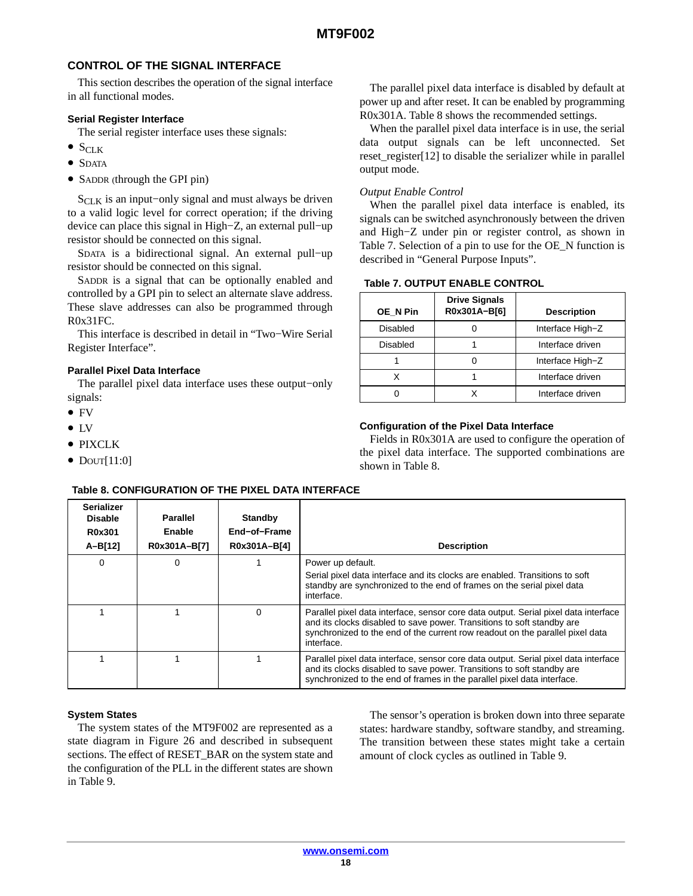# **CONTROL OF THE SIGNAL INTERFACE**

This section describes the operation of the signal interface in all functional modes.

# **Serial Register Interface**

The serial register interface uses these signals:

- $\bullet$  S<sub>CLK</sub>
- SDATA
- SADDR (through the GPI pin)

 $S<sub>CLK</sub>$  is an input–only signal and must always be driven to a valid logic level for correct operation; if the driving device can place this signal in High−Z, an external pull−up resistor should be connected on this signal.

SDATA is a bidirectional signal. An external pull−up resistor should be connected on this signal.

SADDR is a signal that can be optionally enabled and controlled by a GPI pin to select an alternate slave address. These slave addresses can also be programmed through R0x31FC.

This interface is described in detail in "Two−Wire Serial Register Interface".

## **Parallel Pixel Data Interface**

The parallel pixel data interface uses these output−only signals:

- FV
- LV
- PIXCLK
- $\bullet$  Dout[11:0]

## **Table 8. CONFIGURATION OF THE PIXEL DATA INTERFACE**

The parallel pixel data interface is disabled by default at power up and after reset. It can be enabled by programming R0x301A. Table 8 shows the recommended settings.

When the parallel pixel data interface is in use, the serial data output signals can be left unconnected. Set reset\_register[12] to disable the serializer while in parallel output mode.

## *Output Enable Control*

When the parallel pixel data interface is enabled, its signals can be switched asynchronously between the driven and High−Z under pin or register control, as shown in Table 7. Selection of a pin to use for the OE\_N function is described in "General Purpose Inputs".

## **Table 7. OUTPUT ENABLE CONTROL**

| OE N Pin        | <b>Drive Signals</b><br>R0x301A-B[6] | <b>Description</b> |
|-----------------|--------------------------------------|--------------------|
| Disabled        |                                      | Interface High-Z   |
| <b>Disabled</b> |                                      | Interface driven   |
|                 |                                      | Interface High-Z   |
|                 |                                      | Interface driven   |
|                 |                                      | Interface driven   |

# **Configuration of the Pixel Data Interface**

Fields in R0x301A are used to configure the operation of the pixel data interface. The supported combinations are shown in Table 8.

| <b>Serializer</b><br><b>Disable</b><br>R0x301 | <b>Parallel</b><br>Enable | Standby<br>End-of-Frame |                                                                                                                                                                                                                                                              |
|-----------------------------------------------|---------------------------|-------------------------|--------------------------------------------------------------------------------------------------------------------------------------------------------------------------------------------------------------------------------------------------------------|
| A-B[12]                                       | R0x301A-B[7]              | R0x301A-B[4]            | <b>Description</b>                                                                                                                                                                                                                                           |
| 0                                             | $\Omega$                  |                         | Power up default.<br>Serial pixel data interface and its clocks are enabled. Transitions to soft<br>standby are synchronized to the end of frames on the serial pixel data<br>interface.                                                                     |
|                                               |                           | 0                       | Parallel pixel data interface, sensor core data output. Serial pixel data interface<br>and its clocks disabled to save power. Transitions to soft standby are<br>synchronized to the end of the current row readout on the parallel pixel data<br>interface. |
|                                               |                           |                         | Parallel pixel data interface, sensor core data output. Serial pixel data interface<br>and its clocks disabled to save power. Transitions to soft standby are<br>synchronized to the end of frames in the parallel pixel data interface.                     |

#### **System States**

The system states of the MT9F002 are represented as a state diagram in Figure [26](#page-18-0) and described in subsequent sections. The effect of RESET\_BAR on the system state and the configuration of the PLL in the different states are shown in Table [9.](#page-18-0)

The sensor's operation is broken down into three separate states: hardware standby, software standby, and streaming. The transition between these states might take a certain amount of clock cycles as outlined in Table [9](#page-18-0).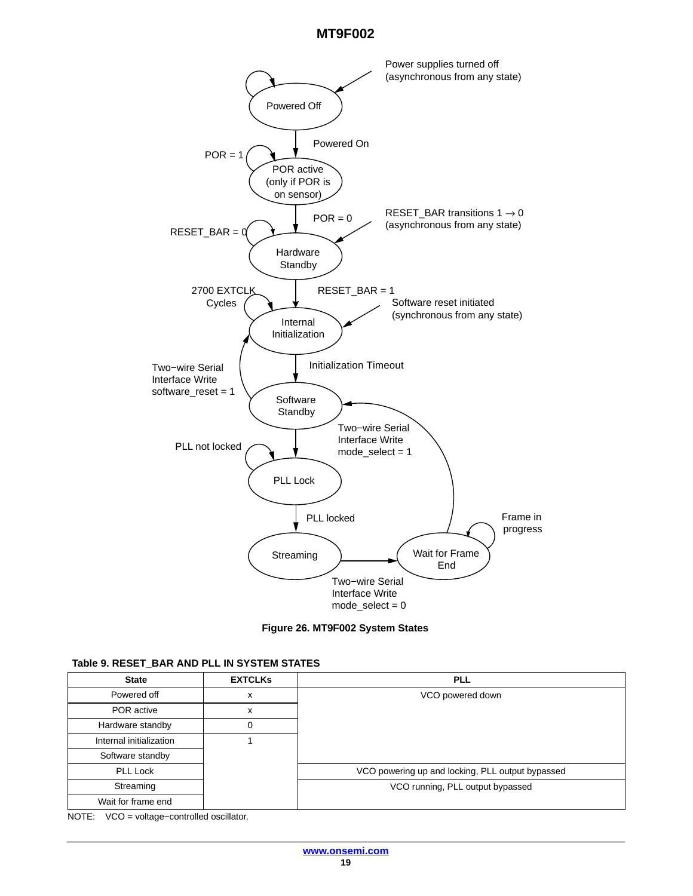<span id="page-18-0"></span>



| Table 9. RESET BAR AND PLL IN SYSTEM STATES |  |  |  |
|---------------------------------------------|--|--|--|
|---------------------------------------------|--|--|--|

| <b>State</b>            | <b>EXTCLKS</b> | <b>PLL</b>                                       |
|-------------------------|----------------|--------------------------------------------------|
| Powered off             | X              | VCO powered down                                 |
| POR active              | X              |                                                  |
| Hardware standby        | 0              |                                                  |
| Internal initialization |                |                                                  |
| Software standby        |                |                                                  |
| <b>PLL Lock</b>         |                | VCO powering up and locking, PLL output bypassed |
| Streaming               |                | VCO running, PLL output bypassed                 |
| Wait for frame end      |                |                                                  |

NOTE: VCO = voltage−controlled oscillator.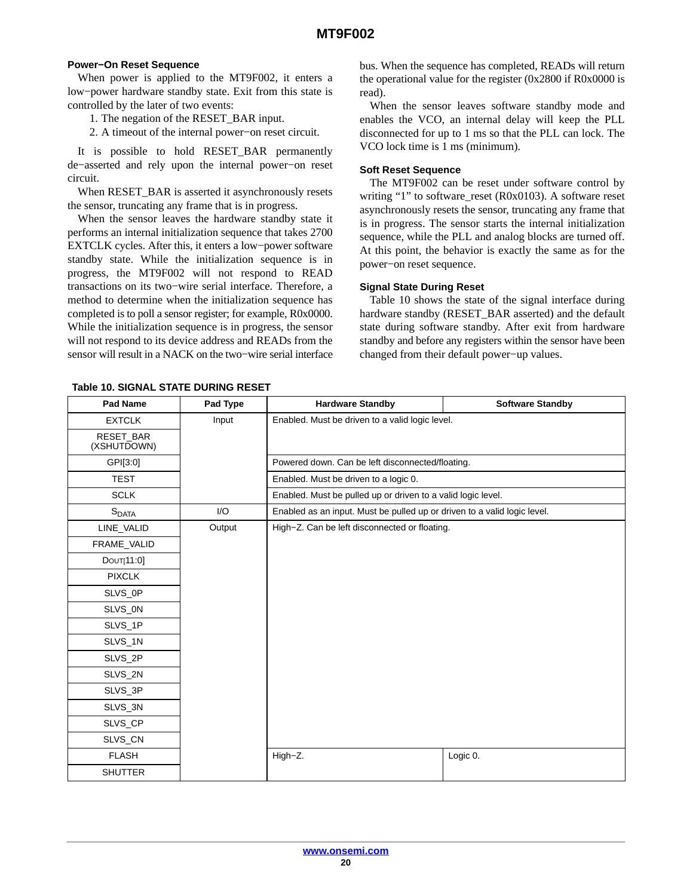## **Power−On Reset Sequence**

When power is applied to the MT9F002, it enters a low−power hardware standby state. Exit from this state is controlled by the later of two events:

- 1. The negation of the RESET\_BAR input.
- 2. A timeout of the internal power−on reset circuit.

It is possible to hold RESET\_BAR permanently de−asserted and rely upon the internal power−on reset circuit.

When RESET\_BAR is asserted it asynchronously resets the sensor, truncating any frame that is in progress.

When the sensor leaves the hardware standby state it performs an internal initialization sequence that takes 2700 EXTCLK cycles. After this, it enters a low−power software standby state. While the initialization sequence is in progress, the MT9F002 will not respond to READ transactions on its two−wire serial interface. Therefore, a method to determine when the initialization sequence has completed is to poll a sensor register; for example, R0x0000. While the initialization sequence is in progress, the sensor will not respond to its device address and READs from the sensor will result in a NACK on the two−wire serial interface bus. When the sequence has completed, READs will return the operational value for the register (0x2800 if R0x0000 is read).

When the sensor leaves software standby mode and enables the VCO, an internal delay will keep the PLL disconnected for up to 1 ms so that the PLL can lock. The VCO lock time is 1 ms (minimum).

#### **Soft Reset Sequence**

The MT9F002 can be reset under software control by writing "1" to software reset ( $R0x0103$ ). A software reset asynchronously resets the sensor, truncating any frame that is in progress. The sensor starts the internal initialization sequence, while the PLL and analog blocks are turned off. At this point, the behavior is exactly the same as for the power−on reset sequence.

#### **Signal State During Reset**

Table 10 shows the state of the signal interface during hardware standby (RESET\_BAR asserted) and the default state during software standby. After exit from hardware standby and before any registers within the sensor have been changed from their default power−up values.

| Pad Name                        | Pad Type | <b>Hardware Standby</b>                                                  | <b>Software Standby</b> |
|---------------------------------|----------|--------------------------------------------------------------------------|-------------------------|
| <b>EXTCLK</b>                   | Input    | Enabled. Must be driven to a valid logic level.                          |                         |
| <b>RESET BAR</b><br>(XSHUTDOWN) |          |                                                                          |                         |
| GPI[3:0]                        |          | Powered down. Can be left disconnected/floating.                         |                         |
| <b>TEST</b>                     |          | Enabled. Must be driven to a logic 0.                                    |                         |
| <b>SCLK</b>                     |          | Enabled. Must be pulled up or driven to a valid logic level.             |                         |
| S <sub>DATA</sub>               | 1/O      | Enabled as an input. Must be pulled up or driven to a valid logic level. |                         |
| LINE_VALID                      | Output   | High-Z. Can be left disconnected or floating.                            |                         |
| FRAME_VALID                     |          |                                                                          |                         |
| DOUT[11:0]                      |          |                                                                          |                         |
| <b>PIXCLK</b>                   |          |                                                                          |                         |
| SLVS OP                         |          |                                                                          |                         |
| SLVS_0N                         |          |                                                                          |                         |
| SLVS_1P                         |          |                                                                          |                         |
| SLVS_1N                         |          |                                                                          |                         |
| SLVS_2P                         |          |                                                                          |                         |
| SLVS_2N                         |          |                                                                          |                         |
| SLVS_3P                         |          |                                                                          |                         |
| SLVS_3N                         |          |                                                                          |                         |
| SLVS_CP                         |          |                                                                          |                         |
| SLVS_CN                         |          |                                                                          |                         |
| <b>FLASH</b>                    |          | High-Z.                                                                  | Logic 0.                |
| <b>SHUTTER</b>                  |          |                                                                          |                         |

**Table 10. SIGNAL STATE DURING RESET**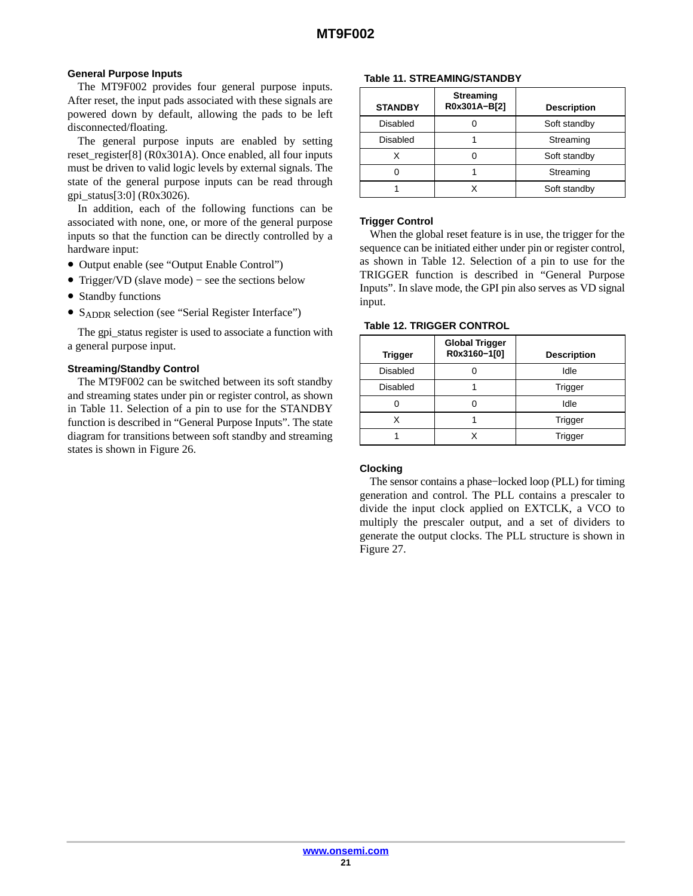## **General Purpose Inputs**

The MT9F002 provides four general purpose inputs. After reset, the input pads associated with these signals are powered down by default, allowing the pads to be left disconnected/floating.

The general purpose inputs are enabled by setting reset\_register[8] (R0x301A). Once enabled, all four inputs must be driven to valid logic levels by external signals. The state of the general purpose inputs can be read through gpi\_status[3:0] (R0x3026).

In addition, each of the following functions can be associated with none, one, or more of the general purpose inputs so that the function can be directly controlled by a hardware input:

- Output enable (see "Output Enable Control")
- Trigger/VD (slave mode) − see the sections below
- Standby functions
- S<sub>ADDR</sub> selection (see "Serial Register Interface")

The gpi\_status register is used to associate a function with a general purpose input.

#### **Streaming/Standby Control**

The MT9F002 can be switched between its soft standby and streaming states under pin or register control, as shown in Table 11. Selection of a pin to use for the STANDBY function is described in "General Purpose Inputs". The state diagram for transitions between soft standby and streaming states is shown in Figure [26.](#page-18-0)

# **Table 11. STREAMING/STANDBY**

| <b>STANDBY</b> | <b>Streaming</b><br>R0x301A-B[2] | <b>Description</b> |
|----------------|----------------------------------|--------------------|
| Disabled       |                                  | Soft standby       |
| Disabled       |                                  | Streaming          |
|                |                                  | Soft standby       |
|                |                                  | Streaming          |
|                |                                  | Soft standby       |

#### **Trigger Control**

When the global reset feature is in use, the trigger for the sequence can be initiated either under pin or register control, as shown in Table 12. Selection of a pin to use for the TRIGGER function is described in "General Purpose Inputs". In slave mode, the GPI pin also serves as VD signal input.

| <b>Trigger</b>  | <b>Global Trigger</b><br>R0x3160-1[0] | <b>Description</b> |
|-----------------|---------------------------------------|--------------------|
| <b>Disabled</b> |                                       | Idle               |
| <b>Disabled</b> |                                       | Trigger            |
|                 |                                       | Idle               |
| x               |                                       | Trigger            |
|                 |                                       | Trigger            |

#### **Clocking**

The sensor contains a phase−locked loop (PLL) for timing generation and control. The PLL contains a prescaler to divide the input clock applied on EXTCLK, a VCO to multiply the prescaler output, and a set of dividers to generate the output clocks. The PLL structure is shown in Figure 27.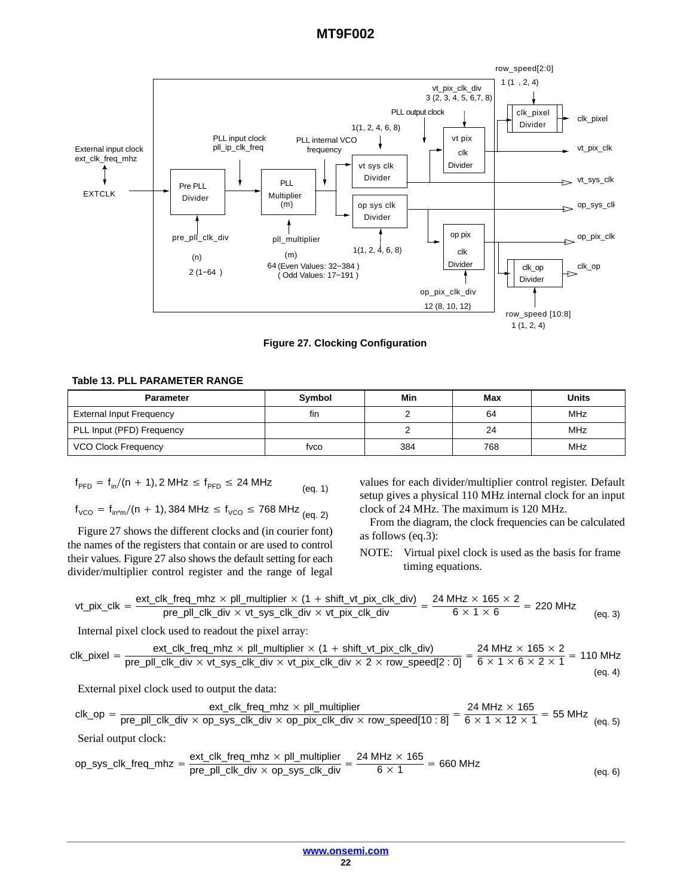

**Figure 27. Clocking Configuration**

#### **Table 13. PLL PARAMETER RANGE**

| <b>Parameter</b>           | Symbol | Min | Max | <b>Units</b> |
|----------------------------|--------|-----|-----|--------------|
| External Input Frequency   | fin    |     | 64  | <b>MHz</b>   |
| PLL Input (PFD) Frequency  |        |     | 24  | MHz          |
| <b>VCO Clock Frequency</b> | fvco   | 384 | 768 | MHz          |

$$
f_{PFD} = f_{in}/(n + 1), 2 MHz \le f_{PFD} \le 24 MHz
$$
 (eq. 1)

$$
f_{\text{VCO}} = f_{\text{in}^*m}/(n + 1),384 \text{ MHz} \le f_{\text{VCO}} \le 768 \text{ MHz}
$$
 (eq. 2)

Figure 27 shows the different clocks and (in courier font) the names of the registers that contain or are used to control their values. Figure 27 also shows the default setting for each divider/multiplier control register and the range of legal values for each divider/multiplier control register. Default setup gives a physical 110 MHz internal clock for an input clock of 24 MHz. The maximum is 120 MHz.

From the diagram, the clock frequencies can be calculated as follows (eq.3):

NOTE: Virtual pixel clock is used as the basis for frame timing equations.

$$
vt\_pix\_clk = \frac{ext\_clk\_freq\_mhz \times pl\_multiplier \times (1 + shift\_vt\_pix\_clk\_div)}{pre\_pl\_clk\_div \times vt\_sys\_clk\_div \times vt\_pix\_clk\_div} = \frac{24 \text{ MHz} \times 165 \times 2}{6 \times 1 \times 6} = 220 \text{ MHz}
$$
 (eq. 3)

Internal pixel clock used to readout the pixel array:

$$
clk\_pixel = \frac{ext\_clk\_freq\_mhz \times pl\_multiplier \times (1 + shift\_vt\_pix\_clk\_div)}{pre\_pl\_clk\_div \times vt\_sys\_clk\_div \times vt\_pix\_clk\_div \times 2 \times row\_speed[2:0]} = \frac{24 \text{ MHz} \times 165 \times 2}{6 \times 1 \times 6 \times 2 \times 1} = 110 \text{ MHz}
$$
\n
$$
(eq. 4)
$$

External pixel clock used to output the data:

$$
clk\_op = \frac{ext\_clk\_freq\_mk \times pl\_multiplier}{pre\_pl\_clk\_div \times op\_sys\_clk\_div \times op\_pix\_clk\_div \times row\_speed[10:8]} = \frac{24 \text{ MHz} \times 165}{6 \times 1 \times 12 \times 1} = 55 \text{ MHz}
$$
(eq. 5)   
Serial output clock:

$$
op\_sys\_clk\_freq\_mhz = \frac{ext\_clk\_freq\_mhz \times pl\_multiplier}{pre\_pl\_clk\_div \times op\_sys\_clk\_div} = \frac{24 MHz \times 165}{6 \times 1} = 660 MHz
$$
\n
$$
(eq. 6)
$$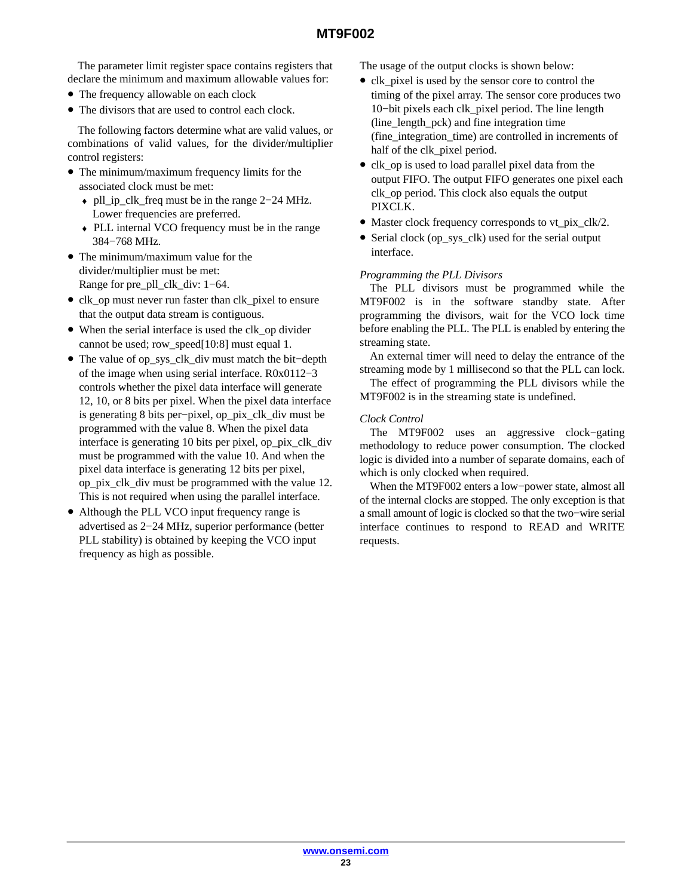The parameter limit register space contains registers that declare the minimum and maximum allowable values for:

- The frequency allowable on each clock
- The divisors that are used to control each clock.

The following factors determine what are valid values, or combinations of valid values, for the divider/multiplier control registers:

- The minimum/maximum frequency limits for the associated clock must be met:
	- ♦ pll\_ip\_clk\_freq must be in the range 2−24 MHz. Lower frequencies are preferred.
	- ♦ PLL internal VCO frequency must be in the range 384−768 MHz.
- The minimum/maximum value for the divider/multiplier must be met: Range for pre\_pll\_clk\_div: 1−64.
- clk op must never run faster than clk pixel to ensure that the output data stream is contiguous.
- When the serial interface is used the clk\_op divider cannot be used; row\_speed[10:8] must equal 1.
- The value of op\_sys\_clk\_div must match the bit−depth of the image when using serial interface. R0x0112−3 controls whether the pixel data interface will generate 12, 10, or 8 bits per pixel. When the pixel data interface is generating 8 bits per−pixel, op\_pix\_clk\_div must be programmed with the value 8. When the pixel data interface is generating 10 bits per pixel, op\_pix\_clk\_div must be programmed with the value 10. And when the pixel data interface is generating 12 bits per pixel, op\_pix\_clk\_div must be programmed with the value 12. This is not required when using the parallel interface.
- Although the PLL VCO input frequency range is advertised as 2−24 MHz, superior performance (better PLL stability) is obtained by keeping the VCO input frequency as high as possible.

The usage of the output clocks is shown below:

- clk\_pixel is used by the sensor core to control the timing of the pixel array. The sensor core produces two 10−bit pixels each clk\_pixel period. The line length (line\_length\_pck) and fine integration time (fine\_integration\_time) are controlled in increments of half of the clk\_pixel period.
- clk\_op is used to load parallel pixel data from the output FIFO. The output FIFO generates one pixel each clk\_op period. This clock also equals the output PIXCLK.
- Master clock frequency corresponds to vt\_pix\_clk/2.
- Serial clock (op sys clk) used for the serial output interface.

# *Programming the PLL Divisors*

The PLL divisors must be programmed while the MT9F002 is in the software standby state. After programming the divisors, wait for the VCO lock time before enabling the PLL. The PLL is enabled by entering the streaming state.

An external timer will need to delay the entrance of the streaming mode by 1 millisecond so that the PLL can lock.

The effect of programming the PLL divisors while the MT9F002 is in the streaming state is undefined.

# *Clock Control*

The MT9F002 uses an aggressive clock−gating methodology to reduce power consumption. The clocked logic is divided into a number of separate domains, each of which is only clocked when required.

When the MT9F002 enters a low−power state, almost all of the internal clocks are stopped. The only exception is that a small amount of logic is clocked so that the two−wire serial interface continues to respond to READ and WRITE requests.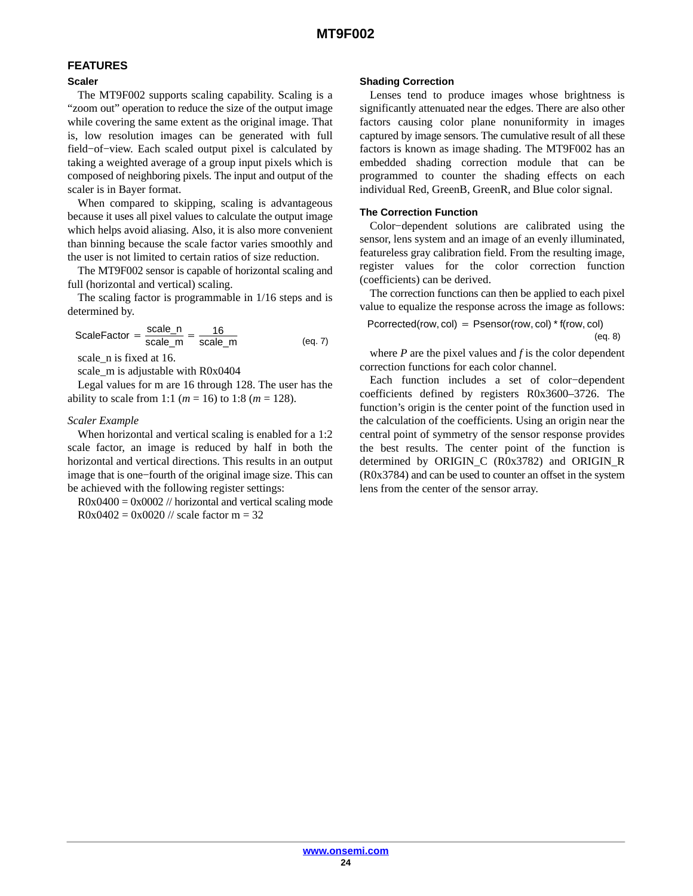# **FEATURES**

## **Scaler**

The MT9F002 supports scaling capability. Scaling is a "zoom out" operation to reduce the size of the output image while covering the same extent as the original image. That is, low resolution images can be generated with full field−of−view. Each scaled output pixel is calculated by taking a weighted average of a group input pixels which is composed of neighboring pixels. The input and output of the scaler is in Bayer format.

When compared to skipping, scaling is advantageous because it uses all pixel values to calculate the output image which helps avoid aliasing. Also, it is also more convenient than binning because the scale factor varies smoothly and the user is not limited to certain ratios of size reduction.

The MT9F002 sensor is capable of horizontal scaling and full (horizontal and vertical) scaling.

The scaling factor is programmable in 1/16 steps and is determined by.

$$
ScaleFactor = \frac{scale_n}{scale_m} = \frac{16}{scale_m}
$$
 (eq. 7)

scale n is fixed at 16.

scale\_m is adjustable with R0x0404

Legal values for m are 16 through 128. The user has the ability to scale from 1:1 ( $m = 16$ ) to 1:8 ( $m = 128$ ).

# *Scaler Example*

When horizontal and vertical scaling is enabled for a 1:2 scale factor, an image is reduced by half in both the horizontal and vertical directions. This results in an output image that is one−fourth of the original image size. This can be achieved with the following register settings:

 $R0x0400 = 0x0002$  // horizontal and vertical scaling mode  $R0x0402 = 0x0020$  // scale factor m = 32

#### **Shading Correction**

Lenses tend to produce images whose brightness is significantly attenuated near the edges. There are also other factors causing color plane nonuniformity in images captured by image sensors. The cumulative result of all these factors is known as image shading. The MT9F002 has an embedded shading correction module that can be programmed to counter the shading effects on each individual Red, GreenB, GreenR, and Blue color signal.

# **The Correction Function**

Color−dependent solutions are calibrated using the sensor, lens system and an image of an evenly illuminated, featureless gray calibration field. From the resulting image, register values for the color correction function (coefficients) can be derived.

The correction functions can then be applied to each pixel value to equalize the response across the image as follows:

$$
Percentage(row,col) = Psensor(row,col) * f(row,col)
$$
\n
$$
(eq. 8)
$$

where  $P$  are the pixel values and  $f$  is the color dependent correction functions for each color channel.

Each function includes a set of color−dependent coefficients defined by registers R0x3600–3726. The function's origin is the center point of the function used in the calculation of the coefficients. Using an origin near the central point of symmetry of the sensor response provides the best results. The center point of the function is determined by ORIGIN\_C (R0x3782) and ORIGIN\_R (R0x3784) and can be used to counter an offset in the system lens from the center of the sensor array.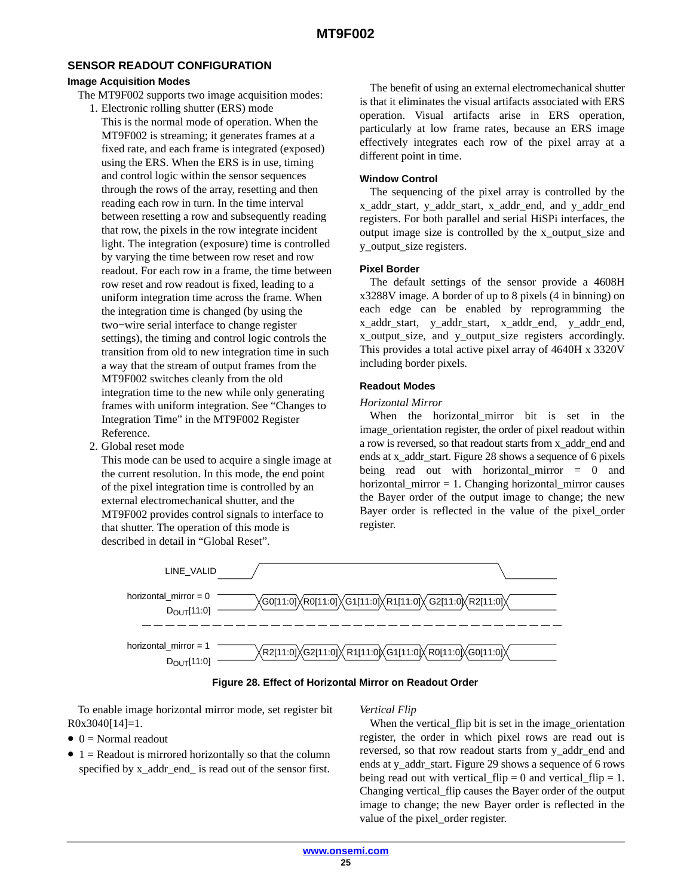## **SENSOR READOUT CONFIGURATION**

#### **Image Acquisition Modes**

- The MT9F002 supports two image acquisition modes:
	- 1. Electronic rolling shutter (ERS) mode This is the normal mode of operation. When the MT9F002 is streaming; it generates frames at a fixed rate, and each frame is integrated (exposed) using the ERS. When the ERS is in use, timing and control logic within the sensor sequences through the rows of the array, resetting and then reading each row in turn. In the time interval between resetting a row and subsequently reading that row, the pixels in the row integrate incident light. The integration (exposure) time is controlled by varying the time between row reset and row readout. For each row in a frame, the time between row reset and row readout is fixed, leading to a uniform integration time across the frame. When the integration time is changed (by using the two−wire serial interface to change register settings), the timing and control logic controls the transition from old to new integration time in such a way that the stream of output frames from the MT9F002 switches cleanly from the old integration time to the new while only generating frames with uniform integration. See "Changes to Integration Time" in the MT9F002 Register Reference.
	- 2. Global reset mode

This mode can be used to acquire a single image at the current resolution. In this mode, the end point of the pixel integration time is controlled by an external electromechanical shutter, and the MT9F002 provides control signals to interface to that shutter. The operation of this mode is described in detail in "Global Reset".

The benefit of using an external electromechanical shutter is that it eliminates the visual artifacts associated with ERS operation. Visual artifacts arise in ERS operation, particularly at low frame rates, because an ERS image effectively integrates each row of the pixel array at a different point in time.

#### **Window Control**

The sequencing of the pixel array is controlled by the x\_addr\_start, y\_addr\_start, x\_addr\_end, and y\_addr\_end registers. For both parallel and serial HiSPi interfaces, the output image size is controlled by the x\_output\_size and y\_output\_size registers.

#### **Pixel Border**

The default settings of the sensor provide a 4608H x3288V image. A border of up to 8 pixels (4 in binning) on each edge can be enabled by reprogramming the x\_addr\_start, y\_addr\_start, x\_addr\_end, y\_addr\_end, x\_output\_size, and y\_output\_size registers accordingly. This provides a total active pixel array of 4640H x 3320V including border pixels.

#### **Readout Modes**

#### *Horizontal Mirror*

When the horizontal\_mirror bit is set in the image\_orientation register, the order of pixel readout within a row is reversed, so that readout starts from x\_addr\_end and ends at x\_addr\_start. Figure 28 shows a sequence of 6 pixels being read out with horizontal\_mirror = 0 and horizontal\_mirror = 1. Changing horizontal\_mirror causes the Bayer order of the output image to change; the new Bayer order is reflected in the value of the pixel\_order register.



**Figure 28. Effect of Horizontal Mirror on Readout Order**

To enable image horizontal mirror mode, set register bit R0x3040[14]=1.

## $\bullet$  0 = Normal readout

 $\bullet$  1 = Readout is mirrored horizontally so that the column specified by x\_addr\_end\_ is read out of the sensor first.

## *Vertical Flip*

When the vertical flip bit is set in the image orientation register, the order in which pixel rows are read out is reversed, so that row readout starts from y\_addr\_end and ends at y\_addr\_start. Figure [29](#page-25-0) shows a sequence of 6 rows being read out with vertical\_flip = 0 and vertical\_flip = 1. Changing vertical\_flip causes the Bayer order of the output image to change; the new Bayer order is reflected in the value of the pixel order register.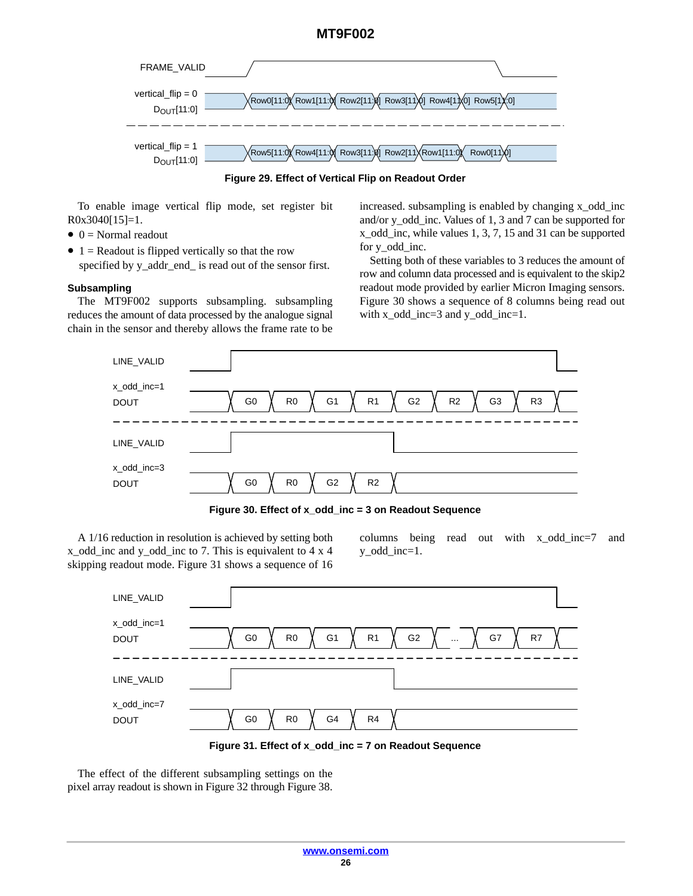<span id="page-25-0"></span>

**Figure 29. Effect of Vertical Flip on Readout Order**

To enable image vertical flip mode, set register bit R0x3040[15]=1.

- $\bullet$  0 = Normal readout
- 1 = Readout is flipped vertically so that the row specified by y\_addr\_end\_ is read out of the sensor first.

# **Subsampling**

The MT9F002 supports subsampling. subsampling reduces the amount of data processed by the analogue signal chain in the sensor and thereby allows the frame rate to be increased. subsampling is enabled by changing x\_odd\_inc and/or y\_odd\_inc. Values of 1, 3 and 7 can be supported for x\_odd\_inc, while values 1, 3, 7, 15 and 31 can be supported for y\_odd\_inc.

Setting both of these variables to 3 reduces the amount of row and column data processed and is equivalent to the skip2 readout mode provided by earlier Micron Imaging sensors. Figure 30 shows a sequence of 8 columns being read out with x\_odd\_inc=3 and y\_odd\_inc=1.



**Figure 30. Effect of x\_odd\_inc = 3 on Readout Sequence**

A 1/16 reduction in resolution is achieved by setting both x\_odd\_inc and y\_odd\_inc to 7. This is equivalent to 4 x 4 skipping readout mode. Figure 31 shows a sequence of 16 columns being read out with x\_odd\_inc=7 and y\_odd\_inc=1.





The effect of the different subsampling settings on the pixel array readout is shown in Figure [32](#page-26-0) through Figure [38.](#page-29-0)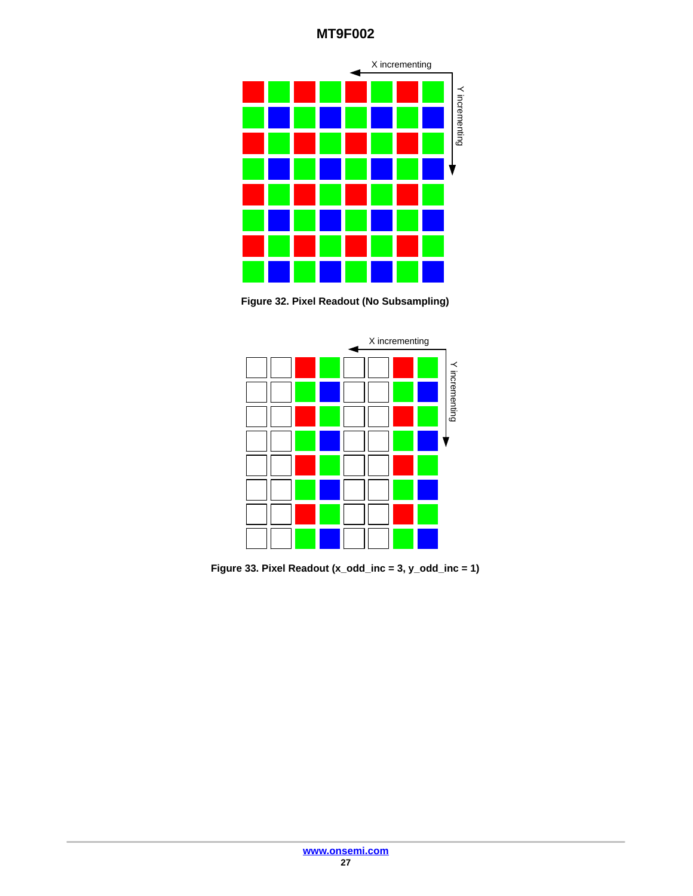<span id="page-26-0"></span>

**Figure 32. Pixel Readout (No Subsampling)**



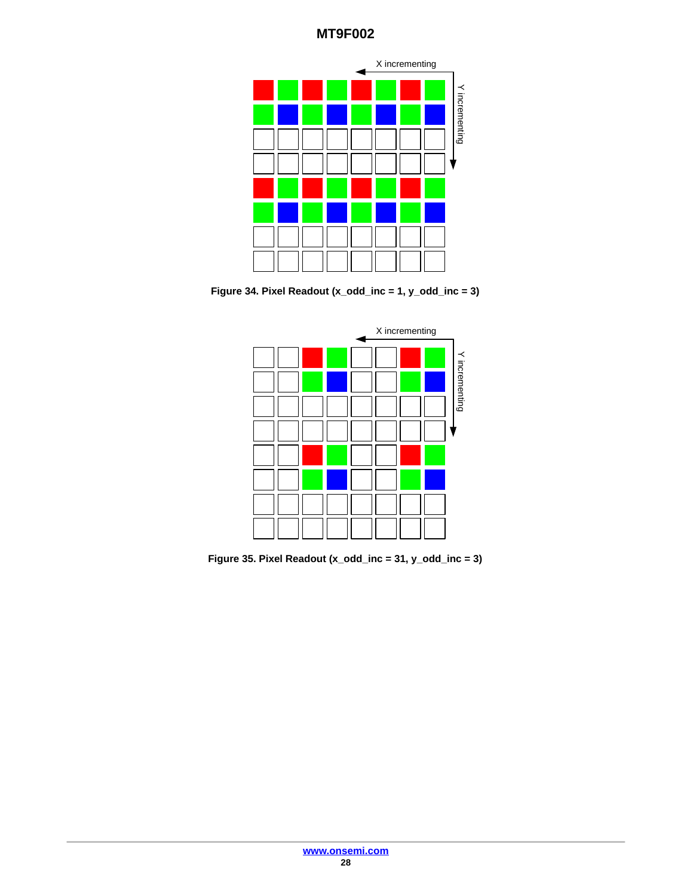

**Figure 34. Pixel Readout (x\_odd\_inc = 1, y\_odd\_inc = 3)**



**Figure 35. Pixel Readout (x\_odd\_inc = 31, y\_odd\_inc = 3)**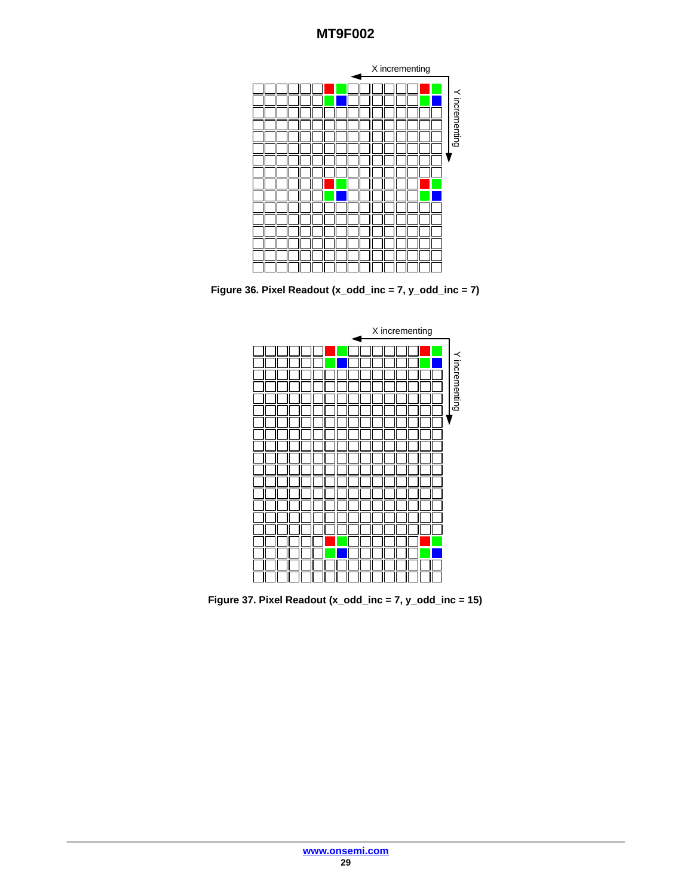

**Figure 36. Pixel Readout (x\_odd\_inc = 7, y\_odd\_inc = 7)**



**Figure 37. Pixel Readout (x\_odd\_inc = 7, y\_odd\_inc = 15)**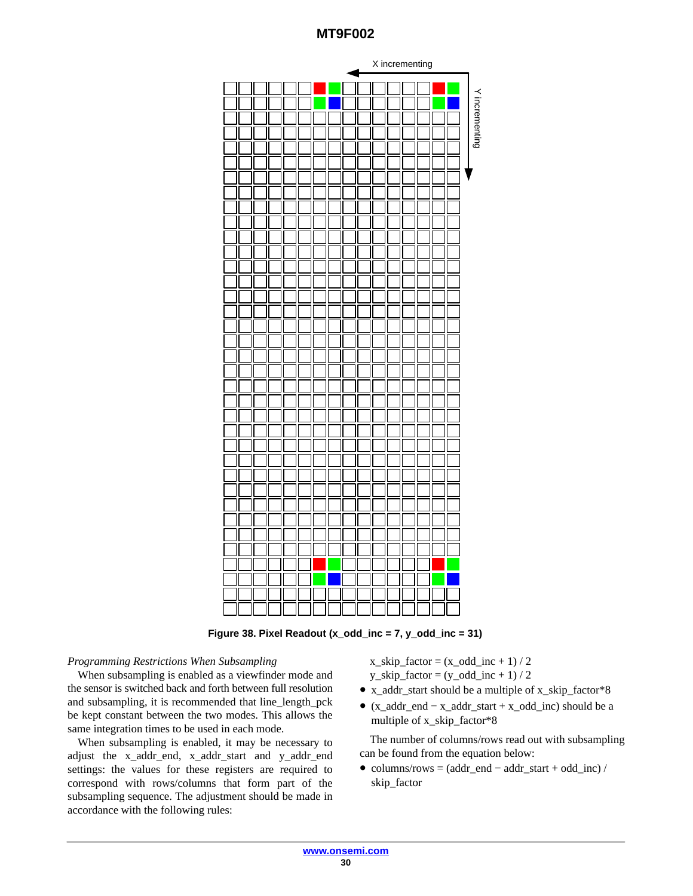<span id="page-29-0"></span>

**Figure 38. Pixel Readout (x\_odd\_inc = 7, y\_odd\_inc = 31)**

## *Programming Restrictions When Subsampling*

When subsampling is enabled as a viewfinder mode and the sensor is switched back and forth between full resolution and subsampling, it is recommended that line\_length\_pck be kept constant between the two modes. This allows the same integration times to be used in each mode.

When subsampling is enabled, it may be necessary to adjust the x\_addr\_end, x\_addr\_start and y\_addr\_end settings: the values for these registers are required to correspond with rows/columns that form part of the subsampling sequence. The adjustment should be made in accordance with the following rules:

 $x$ <sub>skip</sub>\_factor =  $(x$ <sub>odd\_inc</sub> + 1) / 2  $y$ <sub>skip</sub>\_factor =  $(y$ <sub>odd\_inc</sub> + 1) / 2

- x\_addr\_start should be a multiple of x\_skip\_factor\*8
- (x\_addr\_end − x\_addr\_start + x\_odd\_inc) should be a multiple of x\_skip\_factor\*8

The number of columns/rows read out with subsampling can be found from the equation below:

• columns/rows =  $(addr\_end - addr\_start + odd\_inc)$  / skip\_factor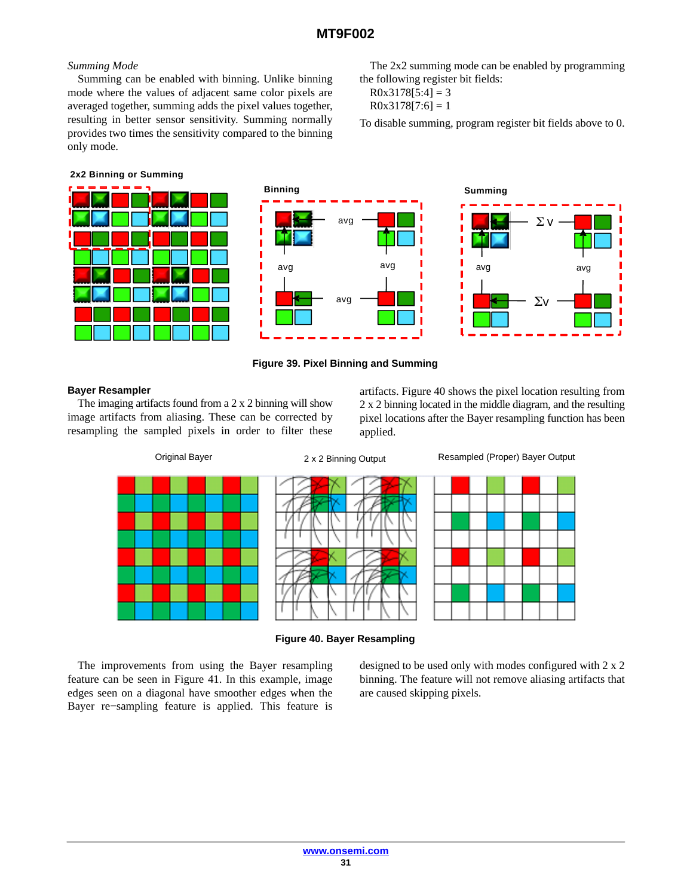# *Summing Mode*

Summing can be enabled with binning. Unlike binning mode where the values of adjacent same color pixels are averaged together, summing adds the pixel values together, resulting in better sensor sensitivity. Summing normally provides two times the sensitivity compared to the binning only mode.

#### **2x2 Binning or Summing**







The 2x2 summing mode can be enabled by programming

To disable summing, program register bit fields above to 0.

**Summing**

the following register bit fields:

 $R0x3178[5:4] = 3$  $R0x3178[7:6] = 1$ 

## **Figure 39. Pixel Binning and Summing**

#### **Bayer Resampler**

The imaging artifacts found from a 2 x 2 binning will show image artifacts from aliasing. These can be corrected by resampling the sampled pixels in order to filter these

artifacts. Figure 40 shows the pixel location resulting from 2 x 2 binning located in the middle diagram, and the resulting pixel locations after the Bayer resampling function has been applied.



**Figure 40. Bayer Resampling**

The improvements from using the Bayer resampling feature can be seen in Figure [41.](#page-31-0) In this example, image edges seen on a diagonal have smoother edges when the Bayer re−sampling feature is applied. This feature is

designed to be used only with modes configured with 2 x 2 binning. The feature will not remove aliasing artifacts that are caused skipping pixels.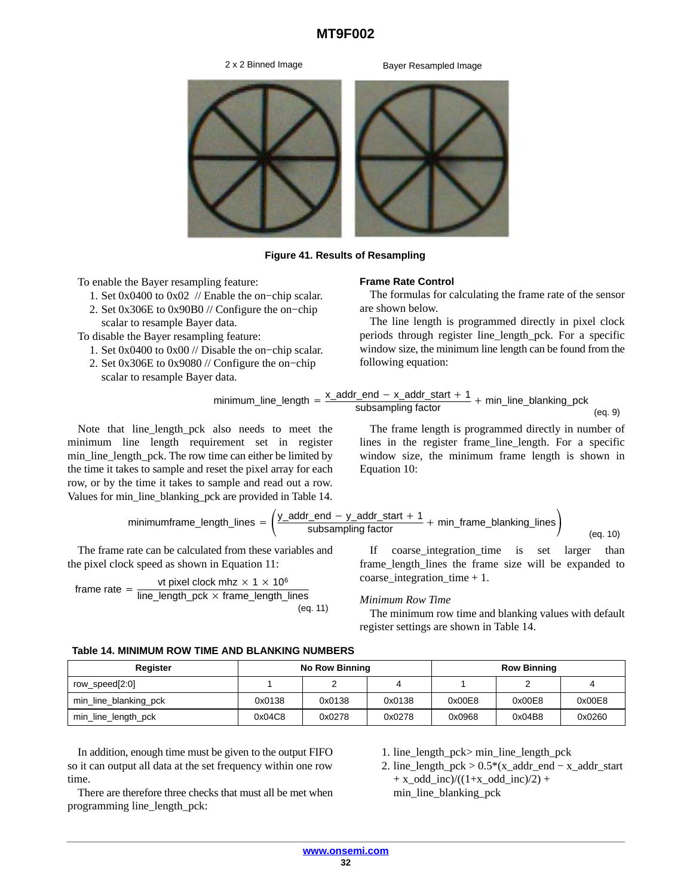2 x 2 Binned Image Bayer Resampled Image

<span id="page-31-0"></span>

**Figure 41. Results of Resampling**

To enable the Bayer resampling feature:

- 1. Set 0x0400 to 0x02 // Enable the on−chip scalar.
- 2. Set 0x306E to 0x90B0 // Configure the on−chip scalar to resample Bayer data.

To disable the Bayer resampling feature:

- 1. Set 0x0400 to 0x00 // Disable the on−chip scalar.
- 2. Set 0x306E to 0x9080 // Configure the on−chip

scalar to resample Bayer data.

#### **Frame Rate Control**

The formulas for calculating the frame rate of the sensor are shown below.

The line length is programmed directly in pixel clock periods through register line\_length\_pck. For a specific window size, the minimum line length can be found from the following equation:

$$
minimum\_line\_length = \frac{x\_addr\_end - x\_addr\_start + 1}{subsampling factor} + min\_line\_blanking\_pek
$$
\n
$$
(eq. 9)
$$

Note that line\_length\_pck also needs to meet the minimum line length requirement set in register min\_line\_length\_pck. The row time can either be limited by the time it takes to sample and reset the pixel array for each row, or by the time it takes to sample and read out a row. Values for min\_line\_blanking\_pck are provided in Table 14.

$$
minimum frame_length\_lines = \left(\frac{y\_addr\_end - y\_addr\_start + 1}{subsampling factor} + min\_frame\_blanking\_lines\right)
$$
\n
$$
(eq. 10)
$$

The frame rate can be calculated from these variables and the pixel clock speed as shown in Equation 11:

frame rate = 
$$
\frac{\text{vt pixel clock mhz} \times 1 \times 10^6}{\text{line\_length\_pck} \times \text{frame\_length\_lines}}
$$
 (eq. 11)

lines in the register frame\_line\_length. For a specific window size, the minimum frame length is shown in Equation 10:

The frame length is programmed directly in number of

If coarse-integration\_time is set larger than frame\_length-lines the frame size will be expanded to coarse-integration\_time 
$$
+1
$$
.

## *Minimum Row Time*

The minimum row time and blanking values with default register settings are shown in Table 14.

#### **Table 14. MINIMUM ROW TIME AND BLANKING NUMBERS**

| Register              | <b>No Row Binning</b> |        |        |        | <b>Row Binning</b> |        |
|-----------------------|-----------------------|--------|--------|--------|--------------------|--------|
| row_speed[2:0]        |                       |        |        |        |                    |        |
| min_line_blanking_pck | 0x0138                | 0x0138 | 0x0138 | 0x00E8 | 0x00E8             | 0x00E8 |
| min_line_length_pck   | 0x04C8                | 0x0278 | 0x0278 | 0x0968 | 0x04B8             | 0x0260 |

In addition, enough time must be given to the output FIFO so it can output all data at the set frequency within one row time.

There are therefore three checks that must all be met when programming line\_length\_pck:

- 1. line\_length\_pck> min\_line\_length\_pck
- 2. line\_length\_pck > 0.5\*(x\_addr\_end − x\_addr\_start  $+x\_odd\_inc$ / $((1+x\_odd\_inc)/2)$  + min\_line\_blanking\_pck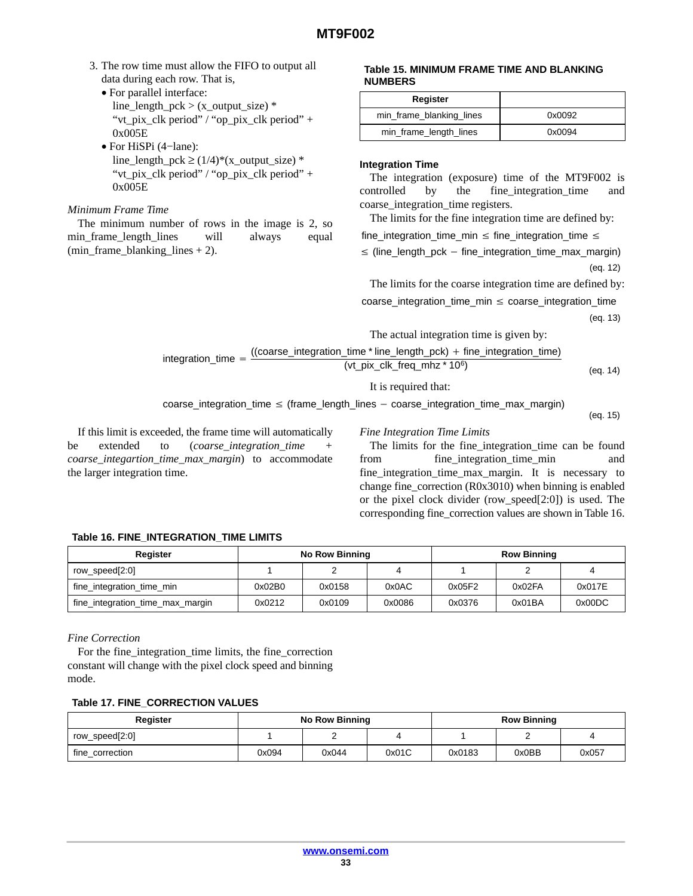- 3. The row time must allow the FIFO to output all data during each row. That is,
	- For parallel interface: line\_length\_pck >  $(x_$ \_output\_size)  $*$ "vt\_pix\_clk period" / "op\_pix\_clk period" + 0x005E
	- For HiSPi (4−lane): line\_length\_pck  $\geq$  (1/4)\*(x\_output\_size) \* "vt\_pix\_clk period" / "op\_pix\_clk period" + 0x005E

#### *Minimum Frame Time*

The minimum number of rows in the image is 2, so min\_frame\_length\_lines will always equal (min\_frame\_blanking\_lines + 2).

#### **Table 15. MINIMUM FRAME TIME AND BLANKING NUMBERS**

| Register                 |        |
|--------------------------|--------|
| min_frame_blanking_lines | 0x0092 |
| min_frame_length_lines   | 0x0094 |

## **Integration Time**

The integration (exposure) time of the MT9F002 is controlled by the fine integration time and coarse\_integration\_time registers.

The limits for the fine integration time are defined by:

 $fine\_integration\_time\_min \leq fine\_integration\_time \leq$ 

(eq. 12)  $\leq$  (line\_length\_pck – fine\_integration\_time\_max\_margin)

The limits for the coarse integration time are defined by:

 $coarse\_integration\_time\_min \le coarse\_integration\_time$ 

(eq. 13)

The actual integration time is given by:

$$
integration\_time = \frac{((coarse\_integration\_time * line\_length\_pck) + fine\_integration\_time)}{(at - pix - clk \cdot frac\_mk * 106)}
$$

 $(vt$ <sub>p</sub>ix<sub>c</sub>clk\_freq\_mhz \* 10<sup>6</sup>) (eq. 14)

It is required that:

 $coarse\_integration\_time \leq (frame\_length\_lines - coarse\_integration\_time\_max\_margin)$ 

(eq. 15)

If this limit is exceeded, the frame time will automatically be extended to (*coarse\_integration\_time + coarse\_integartion\_time\_max\_margin*) to accommodate the larger integration time.

#### *Fine Integration Time Limits*

The limits for the fine\_integration\_time can be found from fine\_integration\_time\_min and fine\_integration\_time\_max\_margin. It is necessary to change fine\_correction (R0x3010) when binning is enabled or the pixel clock divider (row\_speed[2:0]) is used. The corresponding fine\_correction values are shown in Table 16.

## **Table 16. FINE\_INTEGRATION\_TIME LIMITS**

| Register                         | <b>No Row Binning</b> |        |        | <b>Row Binning</b> |        |        |
|----------------------------------|-----------------------|--------|--------|--------------------|--------|--------|
| row_speed[2:0]                   |                       |        |        |                    |        |        |
| fine_integration_time_min        | 0x02B0                | 0x0158 | 0x0AC  | 0x05F2             | 0x02FA | 0x017E |
| fine_integration_time_max_margin | 0x0212                | 0x0109 | 0x0086 | 0x0376             | 0x01BA | 0x00DC |

*Fine Correction*

For the fine\_integration\_time limits, the fine\_correction constant will change with the pixel clock speed and binning mode.

## **Table 17. FINE\_CORRECTION VALUES**

| Register        | <b>No Row Binning</b> |       |       |        | <b>Row Binning</b> |       |
|-----------------|-----------------------|-------|-------|--------|--------------------|-------|
| row_speed[2:0]  |                       |       |       |        |                    |       |
| fine correction | 0x094                 | 0x044 | 0x01C | 0x0183 | 0x0BB              | 0x057 |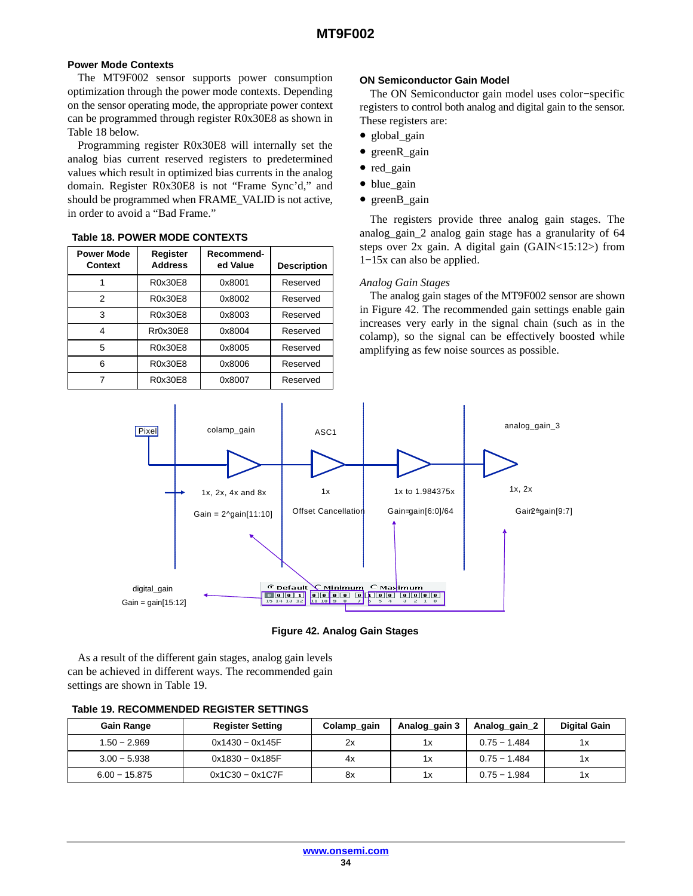## <span id="page-33-0"></span>**Power Mode Contexts**

The MT9F002 sensor supports power consumption optimization through the power mode contexts. Depending on the sensor operating mode, the appropriate power context can be programmed through register R0x30E8 as shown in Table 18 below.

Programming register R0x30E8 will internally set the analog bias current reserved registers to predetermined values which result in optimized bias currents in the analog domain. Register R0x30E8 is not "Frame Sync'd," and should be programmed when FRAME\_VALID is not active, in order to avoid a "Bad Frame."

| <b>Power Mode</b><br><b>Context</b> | Register<br><b>Address</b> | Recommend-<br>ed Value | <b>Description</b> |
|-------------------------------------|----------------------------|------------------------|--------------------|
|                                     | R0x30E8                    | 0x8001                 | Reserved           |
| 2                                   | R0x30E8                    | 0x8002                 | Reserved           |
| 3                                   | R0x30E8                    | 0x8003                 | Reserved           |
| 4                                   | Rr0x30E8                   | 0x8004                 | Reserved           |
| 5                                   | R0x30E8                    | 0x8005                 | Reserved           |
| 6                                   | R0x30E8                    | 0x8006                 | Reserved           |
|                                     | R0x30E8                    | 0x8007                 | Reserved           |

# **Table 18. POWER MODE CONTEXTS**

#### **ON Semiconductor Gain Model**

The ON Semiconductor gain model uses color−specific registers to control both analog and digital gain to the sensor. These registers are:

- global\_gain
- greenR\_gain
- red\_gain
- blue gain
- greenB\_gain

The registers provide three analog gain stages. The analog\_gain\_2 analog gain stage has a granularity of 64 steps over 2x gain. A digital gain (GAIN<15:12>) from 1−15x can also be applied.

#### *Analog Gain Stages*

The analog gain stages of the MT9F002 sensor are shown in Figure 42. The recommended gain settings enable gain increases very early in the signal chain (such as in the colamp), so the signal can be effectively boosted while amplifying as few noise sources as possible.



**Figure 42. Analog Gain Stages**

As a result of the different gain stages, analog gain levels can be achieved in different ways. The recommended gain settings are shown in Table 19.

| <b>Gain Range</b> | <b>Register Setting</b> | Colamp_gain | Analog_gain 3 | Analog gain 2  | <b>Digital Gain</b> |
|-------------------|-------------------------|-------------|---------------|----------------|---------------------|
| $1.50 - 2.969$    | 0x1430 - 0x145F         | 2x          | 1х            | $0.75 - 1.484$ | 1x                  |
| $3.00 - 5.938$    | 0x1830 - 0x185F         | 4x          | 1х            | $0.75 - 1.484$ | 1х                  |
| $6.00 - 15.875$   | $0x1C30 - 0x1C7F$       | 8x          | 1х            | $0.75 - 1.984$ | 1х                  |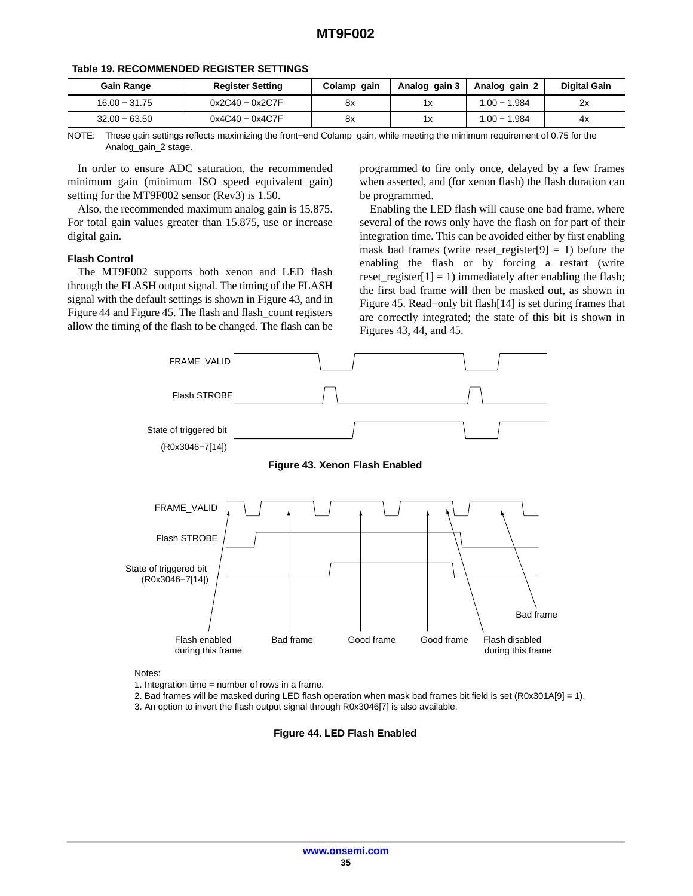| <b>Gain Range</b> | <b>Register Setting</b> | Colamp_gain | Analog_gain 3 | Analog gain 2  | <b>Digital Gain</b> |
|-------------------|-------------------------|-------------|---------------|----------------|---------------------|
| $16.00 - 31.75$   | $0x2C40 - 0x2C7F$       | 8x          | 1x            | $1.00 - 1.984$ | 2x                  |
| $32.00 - 63.50$   | $0x4C40 - 0x4C7F$       | 8x          | 1х            | $1.00 - 1.984$ | 4х                  |

#### **Table [19](#page-33-0). RECOMMENDED REGISTER SETTINGS**

NOTE: These gain settings reflects maximizing the front−end Colamp\_gain, while meeting the minimum requirement of 0.75 for the Analog\_gain\_2 stage.

In order to ensure ADC saturation, the recommended minimum gain (minimum ISO speed equivalent gain) setting for the MT9F002 sensor (Rev3) is 1.50.

Also, the recommended maximum analog gain is 15.875. For total gain values greater than 15.875, use or increase digital gain.

#### **Flash Control**

The MT9F002 supports both xenon and LED flash through the FLASH output signal. The timing of the FLASH signal with the default settings is shown in Figure 43, and in Figure 44 and Figure [45](#page-35-0). The flash and flash count registers allow the timing of the flash to be changed. The flash can be

programmed to fire only once, delayed by a few frames when asserted, and (for xenon flash) the flash duration can be programmed.

Enabling the LED flash will cause one bad frame, where several of the rows only have the flash on for part of their integration time. This can be avoided either by first enabling mask bad frames (write reset\_register[9] = 1) before the enabling the flash or by forcing a restart (write reset\_register[1] = 1) immediately after enabling the flash; the first bad frame will then be masked out, as shown in Figure [45](#page-35-0). Read−only bit flash[14] is set during frames that are correctly integrated; the state of this bit is shown in Figures 43, 44, and [45](#page-35-0).



Notes:

1. Integration time = number of rows in a frame.

2. Bad frames will be masked during LED flash operation when mask bad frames bit field is set (R0x301A[9] = 1). 3. An option to invert the flash output signal through R0x3046[7] is also available.

**Figure 44. LED Flash Enabled**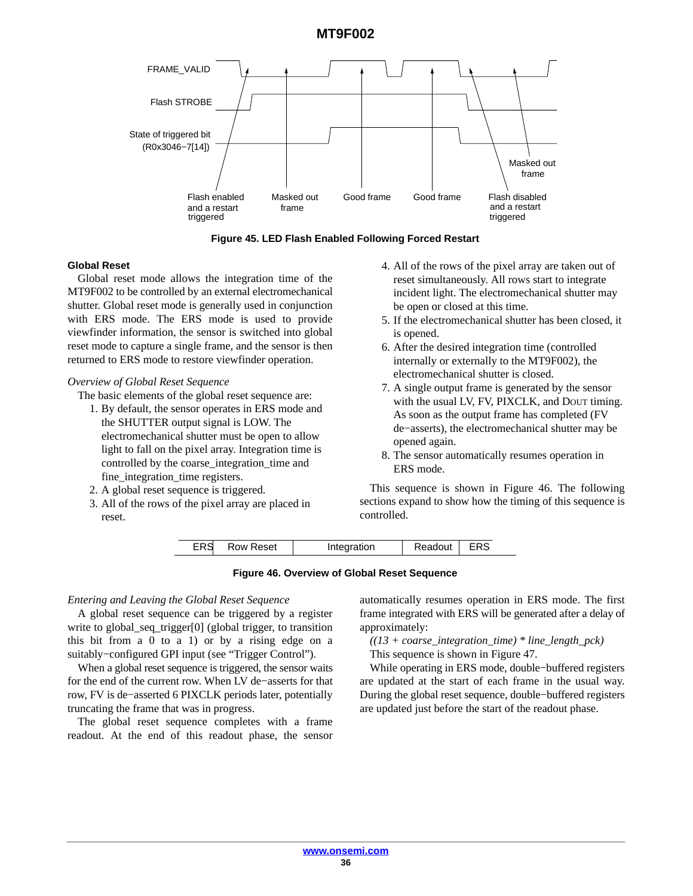<span id="page-35-0"></span>

**Figure 45. LED Flash Enabled Following Forced Restart**

#### **Global Reset**

Global reset mode allows the integration time of the MT9F002 to be controlled by an external electromechanical shutter. Global reset mode is generally used in conjunction with ERS mode. The ERS mode is used to provide viewfinder information, the sensor is switched into global reset mode to capture a single frame, and the sensor is then returned to ERS mode to restore viewfinder operation.

#### *Overview of Global Reset Sequence*

The basic elements of the global reset sequence are:

- 1. By default, the sensor operates in ERS mode and the SHUTTER output signal is LOW. The electromechanical shutter must be open to allow light to fall on the pixel array. Integration time is controlled by the coarse\_integration\_time and fine\_integration\_time registers.
- 2. A global reset sequence is triggered.
- 3. All of the rows of the pixel array are placed in reset.
- 4. All of the rows of the pixel array are taken out of reset simultaneously. All rows start to integrate incident light. The electromechanical shutter may be open or closed at this time.
- 5. If the electromechanical shutter has been closed, it is opened.
- 6. After the desired integration time (controlled internally or externally to the MT9F002), the electromechanical shutter is closed.
- 7. A single output frame is generated by the sensor with the usual LV, FV, PIXCLK, and Dour timing. As soon as the output frame has completed (FV de−asserts), the electromechanical shutter may be opened again.
- 8. The sensor automatically resumes operation in ERS mode.

This sequence is shown in Figure 46. The following sections expand to show how the timing of this sequence is controlled.

| <b>ERS</b><br>Readout<br><b>CDC</b><br><b>Row Reset</b><br>Integration |
|------------------------------------------------------------------------|
|------------------------------------------------------------------------|

#### **Figure 46. Overview of Global Reset Sequence**

#### *Entering and Leaving the Global Reset Sequence*

A global reset sequence can be triggered by a register write to global\_seq\_trigger[0] (global trigger, to transition this bit from a 0 to a 1) or by a rising edge on a suitably−configured GPI input (see "Trigger Control").

When a global reset sequence is triggered, the sensor waits for the end of the current row. When LV de−asserts for that row, FV is de−asserted 6 PIXCLK periods later, potentially truncating the frame that was in progress.

The global reset sequence completes with a frame readout. At the end of this readout phase, the sensor

automatically resumes operation in ERS mode. The first frame integrated with ERS will be generated after a delay of approximately:

*((13 + coarse\_integration\_time) \* line\_length\_pck)* This sequence is shown in Figure [47.](#page-36-0)

While operating in ERS mode, double−buffered registers are updated at the start of each frame in the usual way. During the global reset sequence, double−buffered registers are updated just before the start of the readout phase.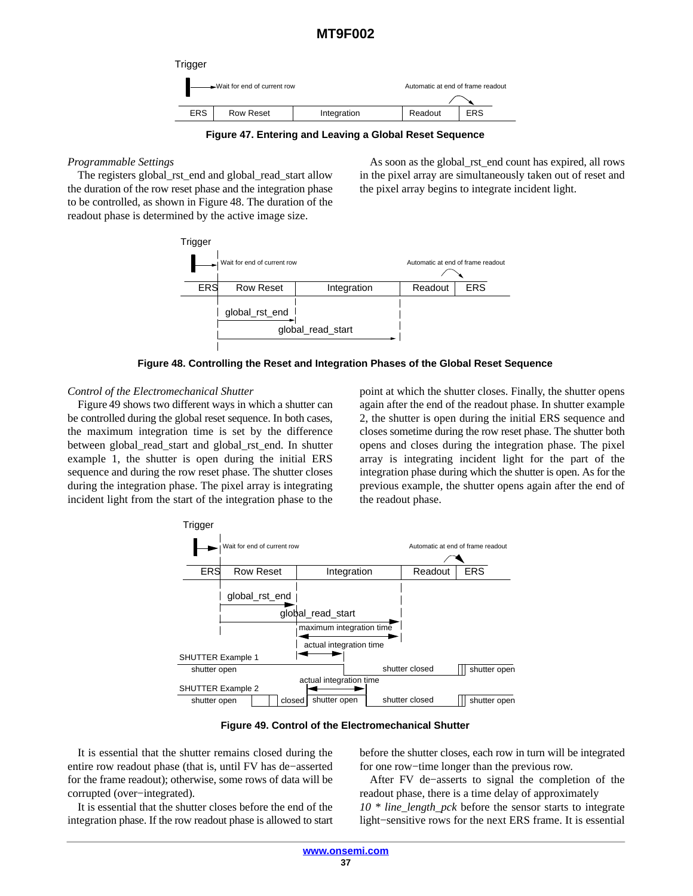

**Figure 47. Entering and Leaving a Global Reset Sequence**

# <span id="page-36-0"></span>*Programmable Settings*

The registers global rst\_end and global\_read\_start allow the duration of the row reset phase and the integration phase to be controlled, as shown in Figure 48. The duration of the readout phase is determined by the active image size.

As soon as the global\_rst\_end count has expired, all rows in the pixel array are simultaneously taken out of reset and the pixel array begins to integrate incident light.



**Figure 48. Controlling the Reset and Integration Phases of the Global Reset Sequence**

# *Control of the Electromechanical Shutter*

Figure 49 shows two different ways in which a shutter can be controlled during the global reset sequence. In both cases, the maximum integration time is set by the difference between global\_read\_start and global\_rst\_end. In shutter example 1, the shutter is open during the initial ERS sequence and during the row reset phase. The shutter closes during the integration phase. The pixel array is integrating incident light from the start of the integration phase to the point at which the shutter closes. Finally, the shutter opens again after the end of the readout phase. In shutter example 2, the shutter is open during the initial ERS sequence and closes sometime during the row reset phase. The shutter both opens and closes during the integration phase. The pixel array is integrating incident light for the part of the integration phase during which the shutter is open. As for the previous example, the shutter opens again after the end of the readout phase.



**Figure 49. Control of the Electromechanical Shutter**

It is essential that the shutter remains closed during the entire row readout phase (that is, until FV has de−asserted for the frame readout); otherwise, some rows of data will be corrupted (over−integrated).

It is essential that the shutter closes before the end of the integration phase. If the row readout phase is allowed to start

before the shutter closes, each row in turn will be integrated for one row−time longer than the previous row.

After FV de−asserts to signal the completion of the readout phase, there is a time delay of approximately *10 \* line\_length\_pck* before the sensor starts to integrate light−sensitive rows for the next ERS frame. It is essential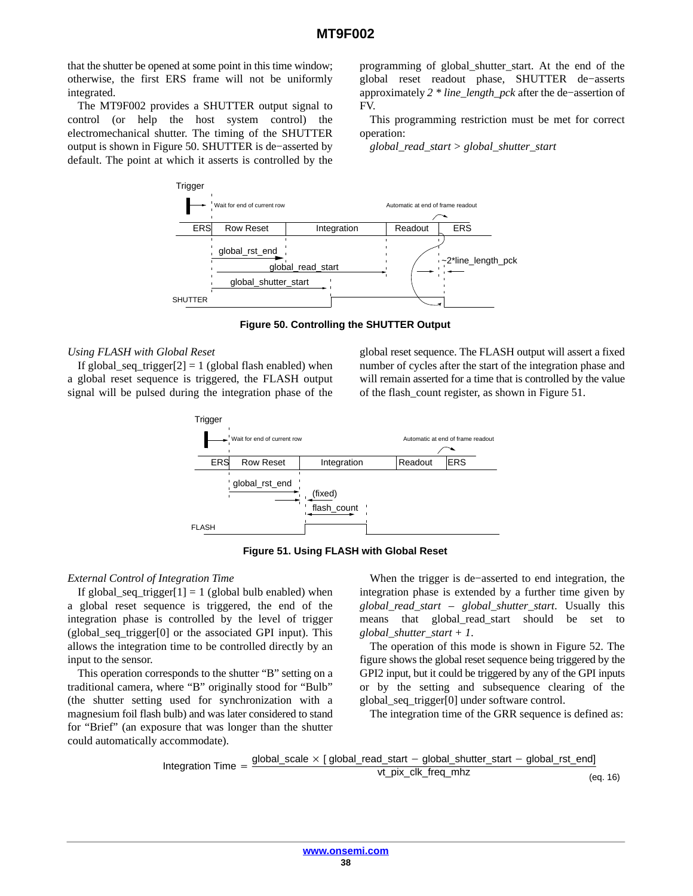that the shutter be opened at some point in this time window; otherwise, the first ERS frame will not be uniformly integrated.

The MT9F002 provides a SHUTTER output signal to control (or help the host system control) the electromechanical shutter. The timing of the SHUTTER output is shown in Figure 50. SHUTTER is de−asserted by default. The point at which it asserts is controlled by the

programming of global\_shutter\_start. At the end of the global reset readout phase, SHUTTER de−asserts approximately *2 \* line\_length\_pck* after the de−assertion of FV.

This programming restriction must be met for correct operation:

*global\_read\_start > global\_shutter\_start*



**Figure 50. Controlling the SHUTTER Output**

#### *Using FLASH with Global Reset*

If global\_seq\_trigger[2] = 1 (global flash enabled) when a global reset sequence is triggered, the FLASH output signal will be pulsed during the integration phase of the

global reset sequence. The FLASH output will assert a fixed number of cycles after the start of the integration phase and will remain asserted for a time that is controlled by the value of the flash\_count register, as shown in Figure 51.





## *External Control of Integration Time*

If global\_seq\_trigger[1] = 1 (global bulb enabled) when a global reset sequence is triggered, the end of the integration phase is controlled by the level of trigger  $(global, seq, trigger[0] or the associated GPI input). This$ allows the integration time to be controlled directly by an input to the sensor.

This operation corresponds to the shutter "B" setting on a traditional camera, where "B" originally stood for "Bulb" (the shutter setting used for synchronization with a magnesium foil flash bulb) and was later considered to stand for "Brief" (an exposure that was longer than the shutter could automatically accommodate).

When the trigger is de−asserted to end integration, the integration phase is extended by a further time given by *global\_read\_start – global\_shutter\_start*. Usually this means that global\_read\_start should be set to *global\_shutter\_start + 1*.

The operation of this mode is shown in Figure [52.](#page-38-0) The figure shows the global reset sequence being triggered by the GPI2 input, but it could be triggered by any of the GPI inputs or by the setting and subsequence clearing of the global\_seq\_trigger[0] under software control.

The integration time of the GRR sequence is defined as:

Integration Time  $=$  $global\_scale \times [global\_read\_start - global\_shutter\_start - global\_rst\_end]$ vt\_pix\_clk\_freq\_mhz (eq. 16)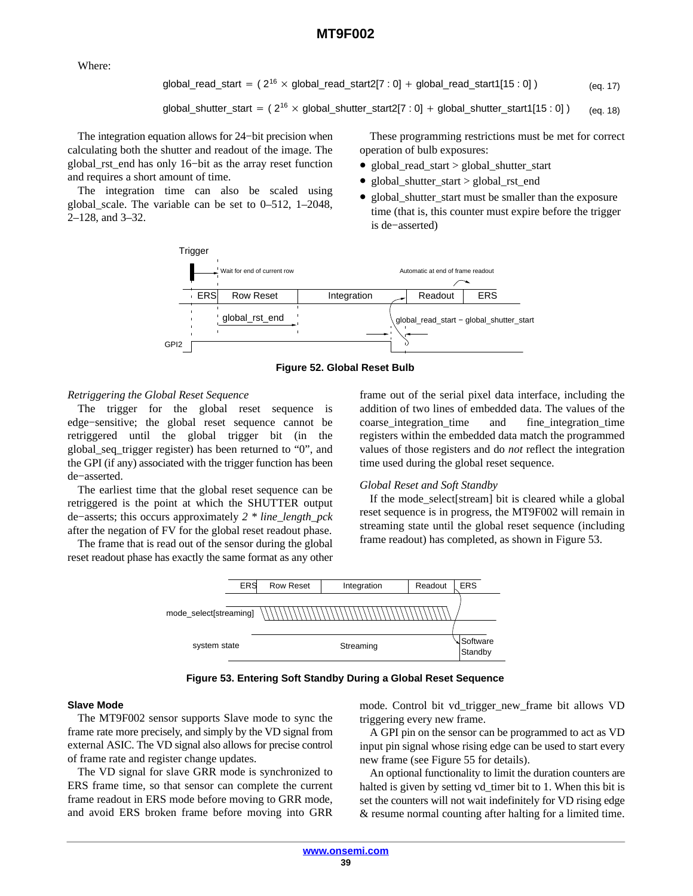<span id="page-38-0"></span>Where:

$$
global\_read\_start = (2^{16} \times global\_read\_start2[7:0] + global\_read\_start1[15:0])
$$
 (eq. 17)

global\_shutter\_start = 
$$
(2^{16} \times \text{global\_shutter\_start2}[7:0] + \text{global\_shutter\_start1}[15:0])
$$
 (eq. 18)

The integration equation allows for 24−bit precision when calculating both the shutter and readout of the image. The global rst end has only 16−bit as the array reset function and requires a short amount of time.

The integration time can also be scaled using global\_scale. The variable can be set to 0–512, 1–2048, 2–128, and 3–32.

These programming restrictions must be met for correct operation of bulb exposures:

- global\_read\_start > global\_shutter\_start
- global\_shutter\_start > global\_rst\_end
- global\_shutter\_start must be smaller than the exposure time (that is, this counter must expire before the trigger is de−asserted)





#### *Retriggering the Global Reset Sequence*

The trigger for the global reset sequence is edge−sensitive; the global reset sequence cannot be retriggered until the global trigger bit (in the global\_seq\_trigger register) has been returned to "0", and the GPI (if any) associated with the trigger function has been de−asserted.

The earliest time that the global reset sequence can be retriggered is the point at which the SHUTTER output de−asserts; this occurs approximately *2 \* line\_length\_pck* after the negation of FV for the global reset readout phase.

The frame that is read out of the sensor during the global reset readout phase has exactly the same format as any other frame out of the serial pixel data interface, including the addition of two lines of embedded data. The values of the coarse\_integration\_time and fine\_integration\_time registers within the embedded data match the programmed values of those registers and do *not* reflect the integration time used during the global reset sequence.

#### *Global Reset and Soft Standby*

If the mode\_select[stream] bit is cleared while a global reset sequence is in progress, the MT9F002 will remain in streaming state until the global reset sequence (including frame readout) has completed, as shown in Figure 53.



**Figure 53. Entering Soft Standby During a Global Reset Sequence**

#### **Slave Mode**

The MT9F002 sensor supports Slave mode to sync the frame rate more precisely, and simply by the VD signal from external ASIC. The VD signal also allows for precise control of frame rate and register change updates.

The VD signal for slave GRR mode is synchronized to ERS frame time, so that sensor can complete the current frame readout in ERS mode before moving to GRR mode, and avoid ERS broken frame before moving into GRR mode. Control bit vd\_trigger\_new\_frame bit allows VD triggering every new frame.

A GPI pin on the sensor can be programmed to act as VD input pin signal whose rising edge can be used to start every new frame (see Figure [55](#page-40-0) for details).

An optional functionality to limit the duration counters are halted is given by setting vd\_timer bit to 1. When this bit is set the counters will not wait indefinitely for VD rising edge & resume normal counting after halting for a limited time.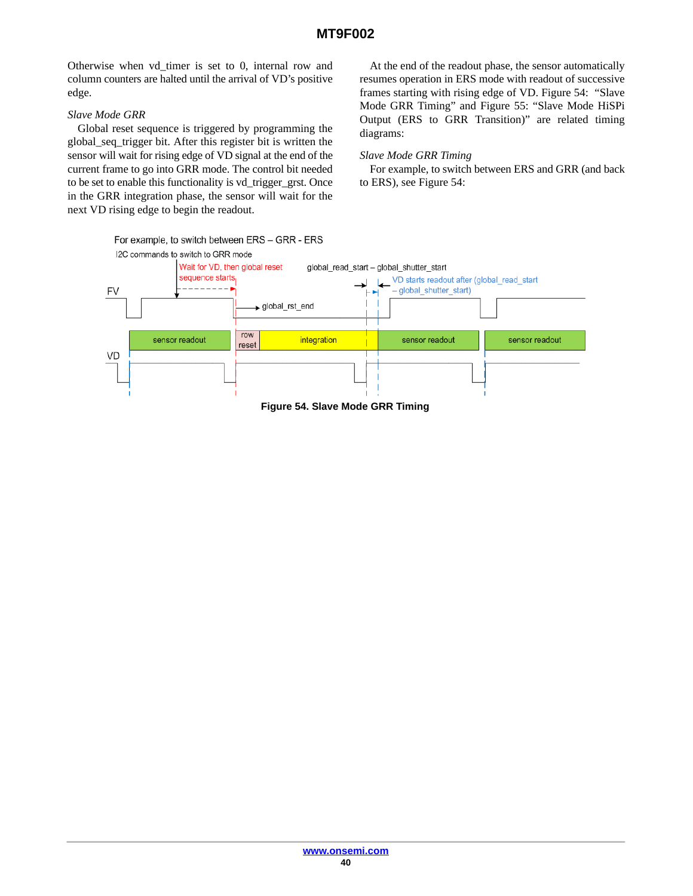Otherwise when vd\_timer is set to 0, internal row and column counters are halted until the arrival of VD's positive edge.

# *Slave Mode GRR*

Global reset sequence is triggered by programming the global\_seq\_trigger bit. After this register bit is written the sensor will wait for rising edge of VD signal at the end of the current frame to go into GRR mode. The control bit needed to be set to enable this functionality is vd\_trigger\_grst. Once in the GRR integration phase, the sensor will wait for the next VD rising edge to begin the readout.

At the end of the readout phase, the sensor automatically resumes operation in ERS mode with readout of successive frames starting with rising edge of VD. Figure 54: "Slave Mode GRR Timing" and Figure [55](#page-40-0): "Slave Mode HiSPi Output (ERS to GRR Transition)" are related timing diagrams:

# *Slave Mode GRR Timing*

For example, to switch between ERS and GRR (and back to ERS), see Figure 54:

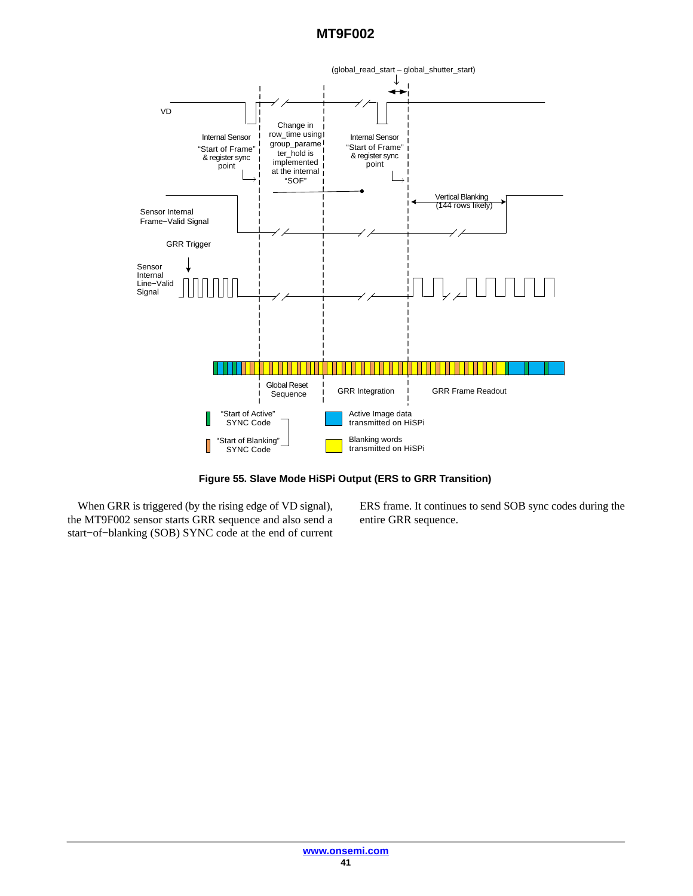<span id="page-40-0"></span>

**Figure 55. Slave Mode HiSPi Output (ERS to GRR Transition)**

When GRR is triggered (by the rising edge of VD signal), the MT9F002 sensor starts GRR sequence and also send a start−of−blanking (SOB) SYNC code at the end of current

ERS frame. It continues to send SOB sync codes during the entire GRR sequence.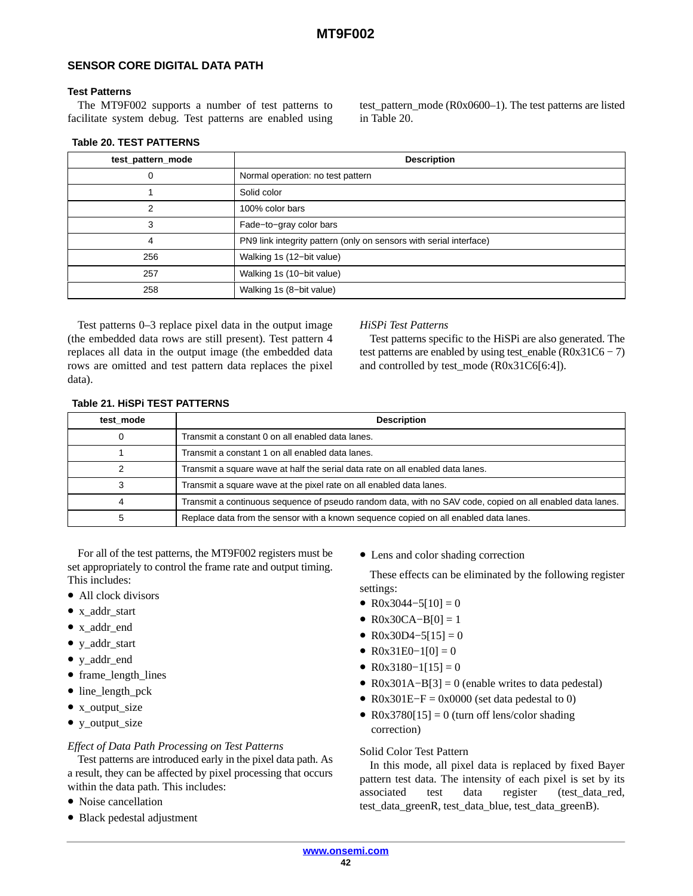## **SENSOR CORE DIGITAL DATA PATH**

#### **Test Patterns**

The MT9F002 supports a number of test patterns to facilitate system debug. Test patterns are enabled using test\_pattern\_mode (R0x0600–1). The test patterns are listed in Table 20.

#### **Table 20. TEST PATTERNS**

| test_pattern_mode | <b>Description</b>                                                 |
|-------------------|--------------------------------------------------------------------|
| 0                 | Normal operation: no test pattern                                  |
|                   | Solid color                                                        |
| っ                 | 100% color bars                                                    |
| 3                 | Fade-to-gray color bars                                            |
| 4                 | PN9 link integrity pattern (only on sensors with serial interface) |
| 256               | Walking 1s (12-bit value)                                          |
| 257               | Walking 1s (10-bit value)                                          |
| 258               | Walking 1s (8-bit value)                                           |

Test patterns 0–3 replace pixel data in the output image (the embedded data rows are still present). Test pattern 4 replaces all data in the output image (the embedded data rows are omitted and test pattern data replaces the pixel data).

#### *HiSPi Test Patterns*

Test patterns specific to the HiSPi are also generated. The test patterns are enabled by using test\_enable  $(R0x31C6 - 7)$ and controlled by test\_mode (R0x31C6[6:4]).

| test mode | <b>Description</b>                                                                                        |
|-----------|-----------------------------------------------------------------------------------------------------------|
|           | Transmit a constant 0 on all enabled data lanes.                                                          |
|           | Transmit a constant 1 on all enabled data lanes.                                                          |
|           | Transmit a square wave at half the serial data rate on all enabled data lanes.                            |
|           | Transmit a square wave at the pixel rate on all enabled data lanes.                                       |
|           | Transmit a continuous sequence of pseudo random data, with no SAV code, copied on all enabled data lanes. |
|           | Replace data from the sensor with a known sequence copied on all enabled data lanes.                      |

#### **Table 21. HiSPi TEST PATTERNS**

For all of the test patterns, the MT9F002 registers must be set appropriately to control the frame rate and output timing. This includes:

- All clock divisors
- x addr start
- x\_addr\_end
- y\_addr\_start
- y\_addr\_end
- frame length lines
- line\_length\_pck
- x output size
- y\_output\_size

## *Effect of Data Path Processing on Test Patterns*

Test patterns are introduced early in the pixel data path. As a result, they can be affected by pixel processing that occurs within the data path. This includes:

- Noise cancellation
- Black pedestal adjustment

• Lens and color shading correction

These effects can be eliminated by the following register settings:

- R0x3044–5[10] = 0
- $R0x30CA-B[0] = 1$
- R0x30D4–5[15] = 0
- R0x31E0–1[0] = 0
- R0x3180–1[15] = 0
- R0x301A–B[3] = 0 (enable writes to data pedestal)
- R0x301E–F = 0x0000 (set data pedestal to 0)
- R0x3780[15] = 0 (turn off lens/color shading correction)

## Solid Color Test Pattern

In this mode, all pixel data is replaced by fixed Bayer pattern test data. The intensity of each pixel is set by its associated test data register (test\_data\_red, test\_data\_greenR, test\_data\_blue, test\_data\_greenB).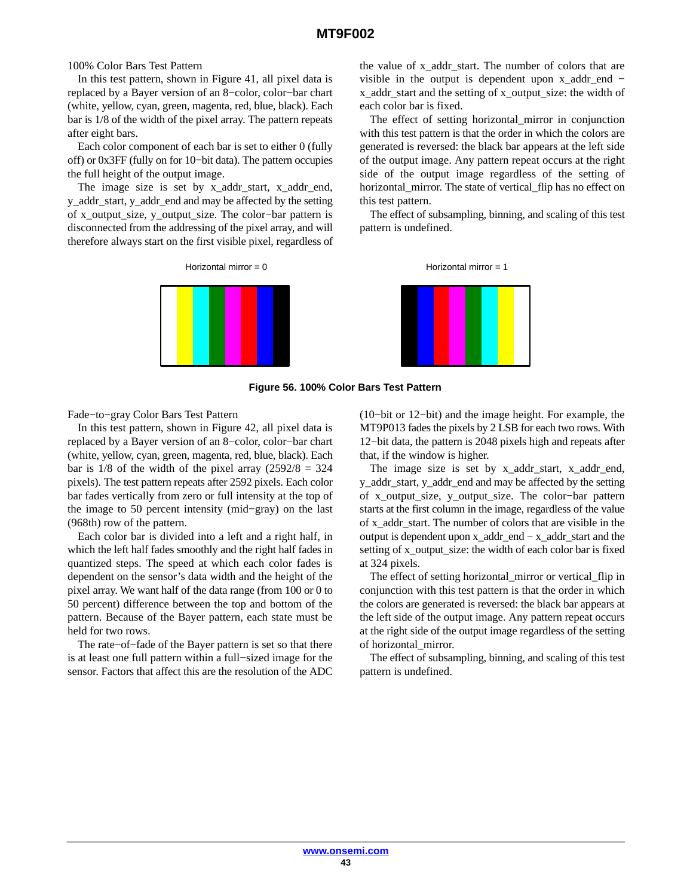#### 100% Color Bars Test Pattern

In this test pattern, shown in Figure 41, all pixel data is replaced by a Bayer version of an 8−color, color−bar chart (white, yellow, cyan, green, magenta, red, blue, black). Each bar is 1/8 of the width of the pixel array. The pattern repeats after eight bars.

Each color component of each bar is set to either 0 (fully off) or 0x3FF (fully on for 10−bit data). The pattern occupies the full height of the output image.

The image size is set by x\_addr\_start, x\_addr\_end, y\_addr\_start, y\_addr\_end and may be affected by the setting of x\_output\_size, y\_output\_size. The color−bar pattern is disconnected from the addressing of the pixel array, and will therefore always start on the first visible pixel, regardless of





the value of x\_addr\_start. The number of colors that are visible in the output is dependent upon x\_addr\_end − x\_addr\_start and the setting of x\_output\_size: the width of each color bar is fixed.

The effect of setting horizontal\_mirror in conjunction with this test pattern is that the order in which the colors are generated is reversed: the black bar appears at the left side of the output image. Any pattern repeat occurs at the right side of the output image regardless of the setting of horizontal\_mirror. The state of vertical\_flip has no effect on this test pattern.

The effect of subsampling, binning, and scaling of this test pattern is undefined.

Horizontal mirror = 0 Horizontal mirror = 1





Fade−to−gray Color Bars Test Pattern

In this test pattern, shown in Figure 42, all pixel data is replaced by a Bayer version of an 8−color, color−bar chart (white, yellow, cyan, green, magenta, red, blue, black). Each bar is  $1/8$  of the width of the pixel array  $(2592/8 = 324)$ pixels). The test pattern repeats after 2592 pixels. Each color bar fades vertically from zero or full intensity at the top of the image to 50 percent intensity (mid−gray) on the last (968th) row of the pattern.

Each color bar is divided into a left and a right half, in which the left half fades smoothly and the right half fades in quantized steps. The speed at which each color fades is dependent on the sensor's data width and the height of the pixel array. We want half of the data range (from 100 or 0 to 50 percent) difference between the top and bottom of the pattern. Because of the Bayer pattern, each state must be held for two rows.

The rate−of−fade of the Bayer pattern is set so that there is at least one full pattern within a full−sized image for the sensor. Factors that affect this are the resolution of the ADC (10−bit or 12−bit) and the image height. For example, the MT9P013 fades the pixels by 2 LSB for each two rows. With 12−bit data, the pattern is 2048 pixels high and repeats after that, if the window is higher.

The image size is set by x\_addr\_start, x\_addr\_end, y\_addr\_start, y\_addr\_end and may be affected by the setting of x\_output\_size, y\_output\_size. The color−bar pattern starts at the first column in the image, regardless of the value of x\_addr\_start. The number of colors that are visible in the output is dependent upon x\_addr\_end − x\_addr\_start and the setting of x\_output\_size: the width of each color bar is fixed at 324 pixels.

The effect of setting horizontal\_mirror or vertical\_flip in conjunction with this test pattern is that the order in which the colors are generated is reversed: the black bar appears at the left side of the output image. Any pattern repeat occurs at the right side of the output image regardless of the setting of horizontal\_mirror.

The effect of subsampling, binning, and scaling of this test pattern is undefined.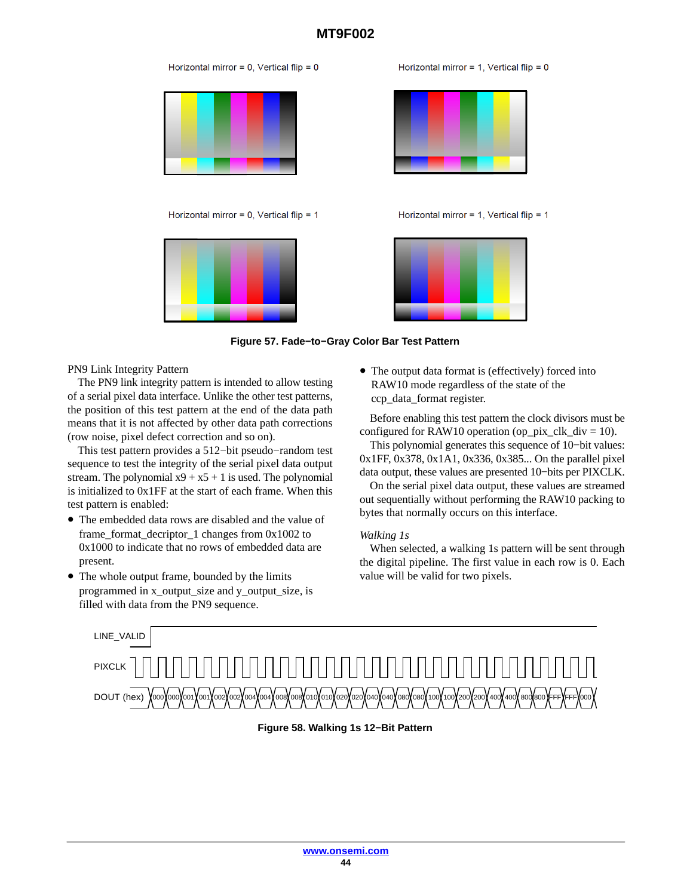

Horizontal mirror = 1. Vertical flip =  $0$ 



Horizontal mirror = 1, Vertical flip =  $1$ 



**Figure 57. Fade−to−Gray Color Bar Test Pattern**

PN9 Link Integrity Pattern

The PN9 link integrity pattern is intended to allow testing of a serial pixel data interface. Unlike the other test patterns, the position of this test pattern at the end of the data path means that it is not affected by other data path corrections (row noise, pixel defect correction and so on).

This test pattern provides a 512−bit pseudo−random test sequence to test the integrity of the serial pixel data output stream. The polynomial  $x9 + x5 + 1$  is used. The polynomial is initialized to 0x1FF at the start of each frame. When this test pattern is enabled:

- The embedded data rows are disabled and the value of frame\_format\_decriptor\_1 changes from 0x1002 to 0x1000 to indicate that no rows of embedded data are present.
- The whole output frame, bounded by the limits programmed in x\_output\_size and y\_output\_size, is filled with data from the PN9 sequence.

• The output data format is (effectively) forced into RAW10 mode regardless of the state of the ccp\_data\_format register.

Before enabling this test pattern the clock divisors must be configured for RAW10 operation (op\_pix\_clk\_div = 10).

This polynomial generates this sequence of 10−bit values: 0x1FF, 0x378, 0x1A1, 0x336, 0x385... On the parallel pixel data output, these values are presented 10−bits per PIXCLK.

On the serial pixel data output, these values are streamed out sequentially without performing the RAW10 packing to bytes that normally occurs on this interface.

## *Walking 1s*

When selected, a walking 1s pattern will be sent through the digital pipeline. The first value in each row is 0. Each value will be valid for two pixels.



## **Figure 58. Walking 1s 12−Bit Pattern**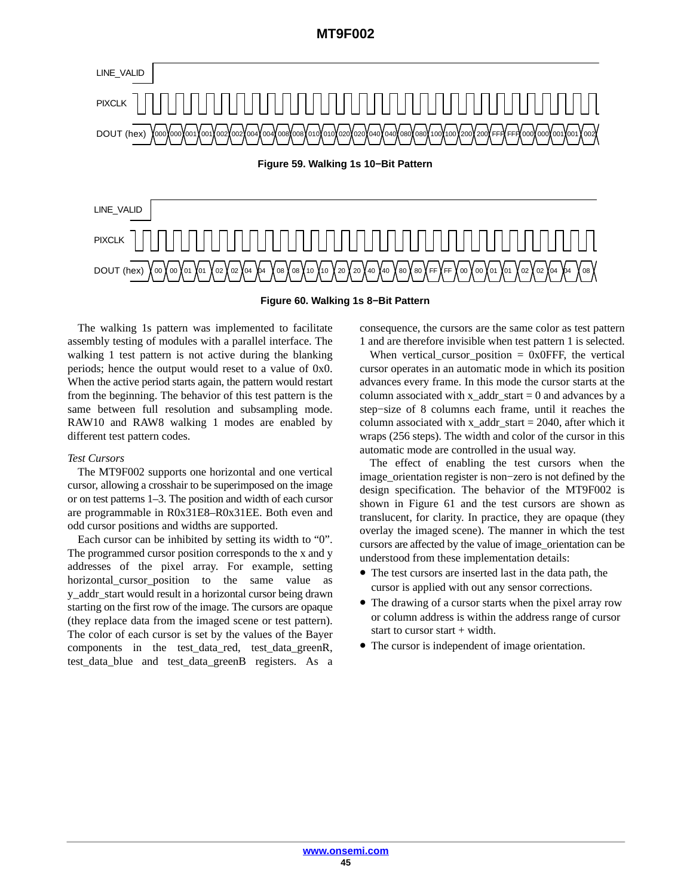

**Figure 60. Walking 1s 8−Bit Pattern**

The walking 1s pattern was implemented to facilitate assembly testing of modules with a parallel interface. The walking 1 test pattern is not active during the blanking periods; hence the output would reset to a value of 0x0. When the active period starts again, the pattern would restart from the beginning. The behavior of this test pattern is the same between full resolution and subsampling mode. RAW10 and RAW8 walking 1 modes are enabled by different test pattern codes.

#### *Test Cursors*

The MT9F002 supports one horizontal and one vertical cursor, allowing a crosshair to be superimposed on the image or on test patterns 1–3. The position and width of each cursor are programmable in R0x31E8–R0x31EE. Both even and odd cursor positions and widths are supported.

Each cursor can be inhibited by setting its width to "0". The programmed cursor position corresponds to the x and y addresses of the pixel array. For example, setting horizontal cursor position to the same value as y\_addr\_start would result in a horizontal cursor being drawn starting on the first row of the image. The cursors are opaque (they replace data from the imaged scene or test pattern). The color of each cursor is set by the values of the Bayer components in the test data red, test data greenR, test data blue and test data greenB registers. As a consequence, the cursors are the same color as test pattern 1 and are therefore invisible when test pattern 1 is selected.

When vertical\_cursor\_position =  $0x0$ FFF, the vertical cursor operates in an automatic mode in which its position advances every frame. In this mode the cursor starts at the column associated with  $x\_addr\_start = 0$  and advances by a step−size of 8 columns each frame, until it reaches the column associated with  $x$ \_addr\_start = 2040, after which it wraps (256 steps). The width and color of the cursor in this automatic mode are controlled in the usual way.

The effect of enabling the test cursors when the image\_orientation register is non−zero is not defined by the design specification. The behavior of the MT9F002 is shown in Figure [61](#page-45-0) and the test cursors are shown as translucent, for clarity. In practice, they are opaque (they overlay the imaged scene). The manner in which the test cursors are affected by the value of image\_orientation can be understood from these implementation details:

- The test cursors are inserted last in the data path, the cursor is applied with out any sensor corrections.
- The drawing of a cursor starts when the pixel array row or column address is within the address range of cursor start to cursor start  $+$  width.
- The cursor is independent of image orientation.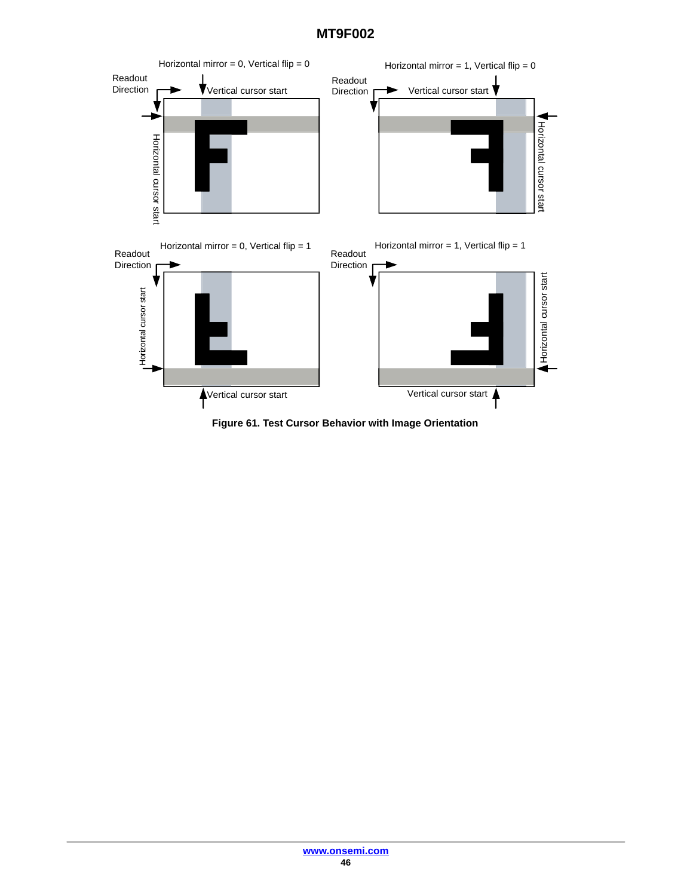<span id="page-45-0"></span>

**Figure 61. Test Cursor Behavior with Image Orientation**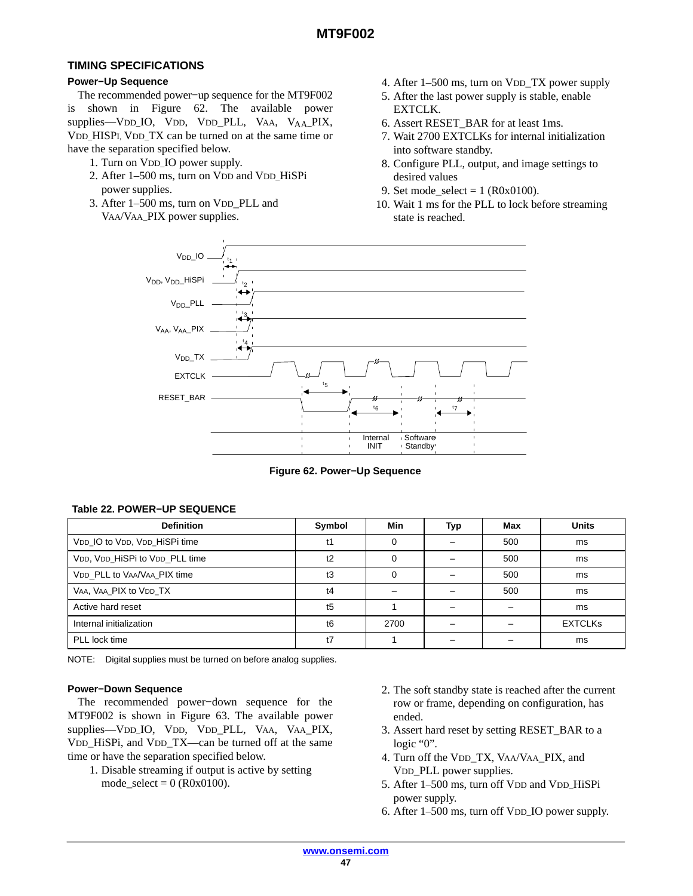# **TIMING SPECIFICATIONS**

# **Power−Up Sequence**

The recommended power−up sequence for the MT9F002 is shown in Figure 62. The available power supplies—VDD\_IO, VDD, VDD\_PLL, VAA, V<sub>AA</sub>\_PIX, VDD\_HISPI, VDD\_TX can be turned on at the same time or have the separation specified below.

- 1. Turn on VDD\_IO power supply.
- 2. After 1–500 ms, turn on VDD and VDD\_HiSPi power supplies.
- 3. After 1–500 ms, turn on VDD\_PLL and VAA/VAA\_PIX power supplies.
- 4. After 1–500 ms, turn on VDD\_TX power supply
- 5. After the last power supply is stable, enable EXTCLK.
- 6. Assert RESET\_BAR for at least 1ms.
- 7. Wait 2700 EXTCLKs for internal initialization into software standby.
- 8. Configure PLL, output, and image settings to desired values
- 9. Set mode  $select = 1 (R0x0100)$ .
- 10. Wait 1 ms for the PLL to lock before streaming state is reached.



**Figure 62. Power−Up Sequence**

## **Table 22. POWER−UP SEQUENCE**

| <b>Definition</b>              | Symbol         | Min      | Typ | Max | <b>Units</b>   |
|--------------------------------|----------------|----------|-----|-----|----------------|
| VDD IO to VDD, VDD HiSPi time  | t1             | $\Omega$ |     | 500 | ms             |
| VDD, VDD HiSPi to VDD PLL time | t2             | 0        |     | 500 | ms             |
| VDD PLL to VAA/VAA PIX time    | t3             | 0        |     | 500 | ms             |
| VAA, VAA PIX to VDD TX         | t4             |          |     | 500 | ms             |
| Active hard reset              | t5             |          |     |     | ms             |
| Internal initialization        | t <sub>6</sub> | 2700     |     |     | <b>EXTCLKs</b> |
| PLL lock time                  | t7             |          |     |     | ms             |

NOTE: Digital supplies must be turned on before analog supplies.

#### **Power−Down Sequence**

The recommended power−down sequence for the MT9F002 is shown in Figure [63.](#page-47-0) The available power supplies—VDD\_IO, VDD, VDD\_PLL, VAA, VAA\_PIX, VDD HiSPi, and VDD TX—can be turned off at the same time or have the separation specified below.

- 1. Disable streaming if output is active by setting  $mode\_select = 0 (R0x0100).$
- 2. The soft standby state is reached after the current row or frame, depending on configuration, has ended.
- 3. Assert hard reset by setting RESET\_BAR to a logic "0". 3. Assert hard reset by setting RESET\_BAR to a<br>logic "0".<br>4. Turn off the VDD\_TX, VAA/VAA\_PIX, and<br>VDD\_PLL power supplies.<br>5. After 1–500 ms, turn off VDD and VDD\_HiSPi
- 4. Turn off the VDD\_TX, VAA/VAA\_PIX, and VDD\_PLL power supplies.
- power supply. 4. Turn off the VDD\_TX, VAA/VAA\_PIX, and<br>VDD\_PLL power supplies.<br>5. After 1–500 ms, turn off VDD and VDD\_HiSPi<br>power supply.<br>6. After 1–500 ms, turn off VDD\_IO power supply.
-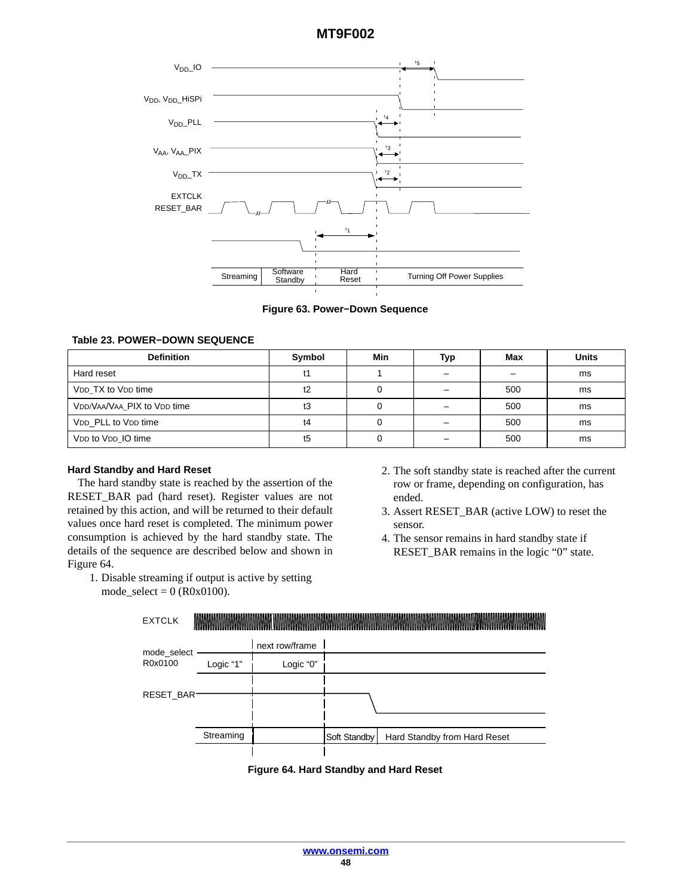<span id="page-47-0"></span>

#### **Figure 63. Power−Down Sequence**

#### **Table 23. POWER−DOWN SEQUENCE**

| <b>Definition</b>           | Symbol | Min | Typ | Max | <b>Units</b> |
|-----------------------------|--------|-----|-----|-----|--------------|
| Hard reset                  |        |     |     |     | ms           |
| VDD TX to VDD time          |        |     |     | 500 | ms           |
| VDD/VAA/VAA_PIX to VDD time | t3     |     |     | 500 | ms           |
| VDD PLL to VDD time         | t4     |     |     | 500 | ms           |
| VDD to VDD IO time          | t5     |     |     | 500 | ms           |

#### **Hard Standby and Hard Reset**

The hard standby state is reached by the assertion of the RESET\_BAR pad (hard reset). Register values are not retained by this action, and will be returned to their default values once hard reset is completed. The minimum power consumption is achieved by the hard standby state. The details of the sequence are described below and shown in Figure 64.

1. Disable streaming if output is active by setting mode\_select =  $0$  (R0x0100).

- 2. The soft standby state is reached after the current row or frame, depending on configuration, has ended.
- 3. Assert RESET\_BAR (active LOW) to reset the sensor.
- 4. The sensor remains in hard standby state if RESET\_BAR remains in the logic "0" state.



**Figure 64. Hard Standby and Hard Reset**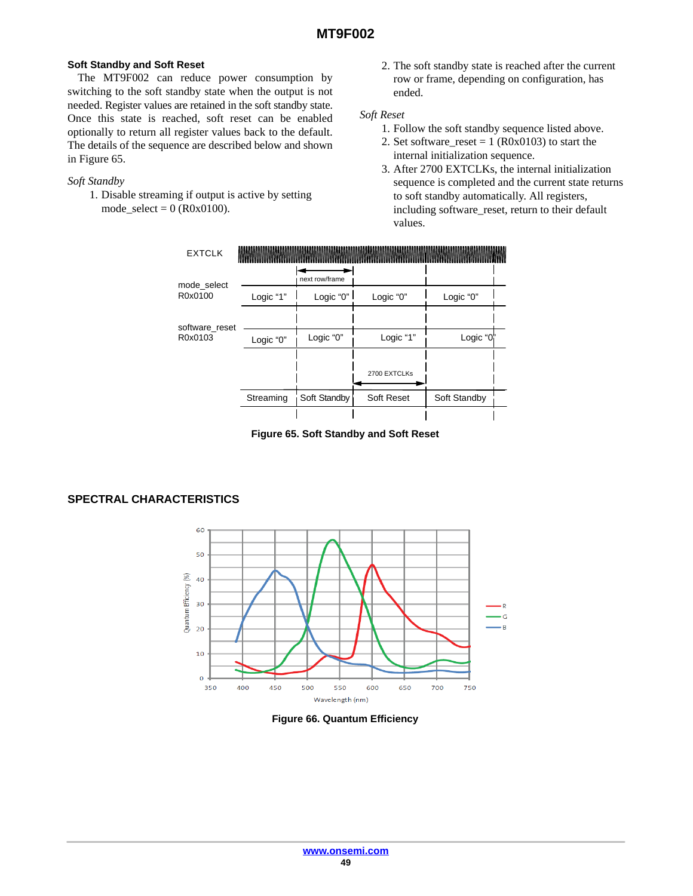## **Soft Standby and Soft Reset**

The MT9F002 can reduce power consumption by switching to the soft standby state when the output is not needed. Register values are retained in the soft standby state. Once this state is reached, soft reset can be enabled optionally to return all register values back to the default. The details of the sequence are described below and shown in Figure 65.

#### *Soft Standby*

1. Disable streaming if output is active by setting mode  $select = 0 (R0x0100)$ .

2. The soft standby state is reached after the current row or frame, depending on configuration, has ended.

#### *Soft Reset*

- 1. Follow the soft standby sequence listed above.
- 2. Set software\_reset =  $1 (R0x0103)$  to start the internal initialization sequence.
- 3. After 2700 EXTCLKs, the internal initialization sequence is completed and the current state returns to soft standby automatically. All registers, including software\_reset, return to their default values.



**Figure 65. Soft Standby and Soft Reset**

# **SPECTRAL CHARACTERISTICS**



**Figure 66. Quantum Efficiency**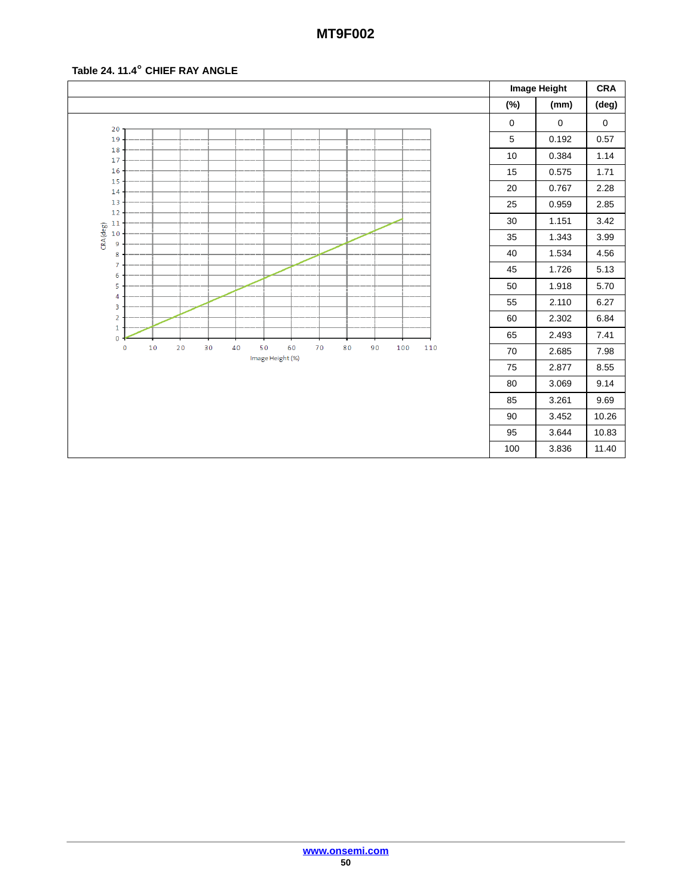# **Table 24. 11.4**- **CHIEF RAY ANGLE**

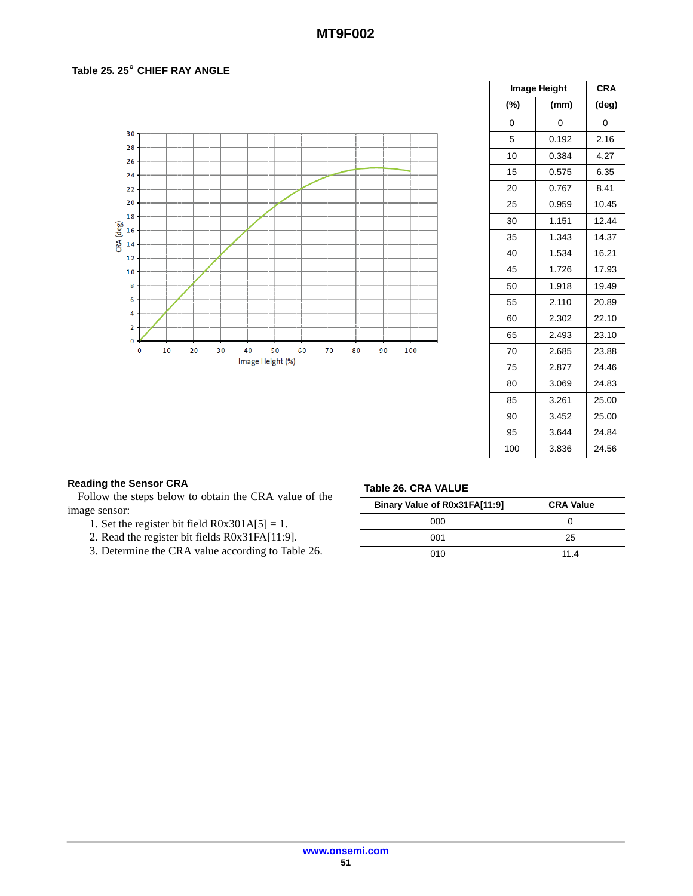# **Table 25. 25**- **CHIEF RAY ANGLE**



## **Reading the Sensor CRA**

Follow the steps below to obtain the CRA value of the image sensor:

- 1. Set the register bit field  $R0x301A[5] = 1$ .
- 2. Read the register bit fields R0x31FA[11:9].
- 3. Determine the CRA value according to Table 26.

#### **Table 26. CRA VALUE**

| Binary Value of R0x31FA[11:9] | <b>CRA Value</b> |
|-------------------------------|------------------|
| 000                           |                  |
| 001                           | 25               |
| 010                           | 11.4             |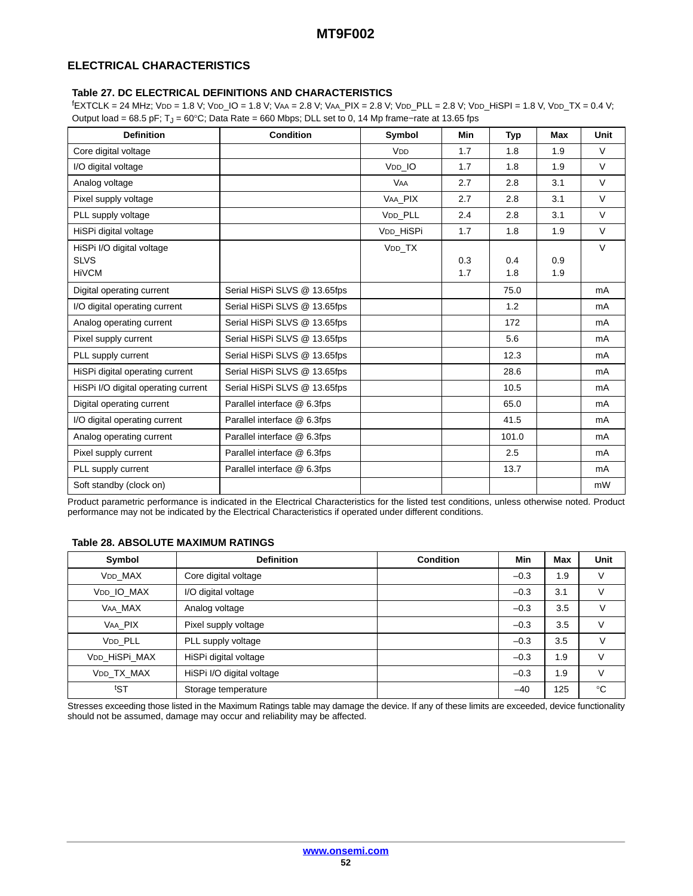# **ELECTRICAL CHARACTERISTICS**

#### **Table 27. DC ELECTRICAL DEFINITIONS AND CHARACTERISTICS**

f EXTCLK = 24 MHz; VDD = 1.8 V; VDD\_IO = 1.8 V; VAA = 2.8 V; VAA\_PIX = 2.8 V; VDD\_PLL = 2.8 V; VDD\_HiSPI = 1.8 V, VDD\_TX = 0.4 V; Output load = 68.5 pF; T<sub>J</sub> = 60°C; Data Rate = 660 Mbps; DLL set to 0, 14 Mp frame–rate at 13.65 fps

| <b>Definition</b>                   | <b>Condition</b>             | Symbol                | Min | Typ   | Max | Unit   |
|-------------------------------------|------------------------------|-----------------------|-----|-------|-----|--------|
| Core digital voltage                |                              | V <sub>DD</sub>       | 1.7 | 1.8   | 1.9 | $\vee$ |
| I/O digital voltage                 |                              | V <sub>DD</sub> IO    | 1.7 | 1.8   | 1.9 | $\vee$ |
| Analog voltage                      |                              | <b>VAA</b>            | 2.7 | 2.8   | 3.1 | $\vee$ |
| Pixel supply voltage                |                              | VAA PIX               | 2.7 | 2.8   | 3.1 | $\vee$ |
| PLL supply voltage                  |                              | V <sub>DD</sub> PLL   | 2.4 | 2.8   | 3.1 | $\vee$ |
| HiSPi digital voltage               |                              | V <sub>DD</sub> HiSPi | 1.7 | 1.8   | 1.9 | $\vee$ |
| HiSPi I/O digital voltage           |                              | V <sub>DD</sub> _TX   |     |       |     | $\vee$ |
| <b>SLVS</b>                         |                              |                       | 0.3 | 0.4   | 0.9 |        |
| <b>HiVCM</b>                        |                              |                       | 1.7 | 1.8   | 1.9 |        |
| Digital operating current           | Serial HiSPi SLVS @ 13.65fps |                       |     | 75.0  |     | mA     |
| I/O digital operating current       | Serial HiSPi SLVS @ 13.65fps |                       |     | 1.2   |     | mA     |
| Analog operating current            | Serial HiSPi SLVS @ 13.65fps |                       |     | 172   |     | mA     |
| Pixel supply current                | Serial HiSPi SLVS @ 13.65fps |                       |     | 5.6   |     | mA     |
| PLL supply current                  | Serial HiSPi SLVS @ 13.65fps |                       |     | 12.3  |     | mA     |
| HiSPi digital operating current     | Serial HiSPi SLVS @ 13.65fps |                       |     | 28.6  |     | mA     |
| HiSPi I/O digital operating current | Serial HiSPi SLVS @ 13.65fps |                       |     | 10.5  |     | mA     |
| Digital operating current           | Parallel interface @ 6.3fps  |                       |     | 65.0  |     | mA     |
| I/O digital operating current       | Parallel interface @ 6.3fps  |                       |     | 41.5  |     | mA     |
| Analog operating current            | Parallel interface @ 6.3fps  |                       |     | 101.0 |     | mA     |
| Pixel supply current                | Parallel interface @ 6.3fps  |                       |     | 2.5   |     | mA     |
| PLL supply current                  | Parallel interface @ 6.3fps  |                       |     | 13.7  |     | mA     |
| Soft standby (clock on)             |                              |                       |     |       |     | mW     |

Product parametric performance is indicated in the Electrical Characteristics for the listed test conditions, unless otherwise noted. Product performance may not be indicated by the Electrical Characteristics if operated under different conditions.

## **Table 28. ABSOLUTE MAXIMUM RATINGS**

| Symbol         | <b>Definition</b>         | <b>Condition</b> | Min    | Max | <b>Unit</b>  |
|----------------|---------------------------|------------------|--------|-----|--------------|
| <b>VDD MAX</b> | Core digital voltage      |                  | $-0.3$ | 1.9 | V            |
| VDD IO MAX     | I/O digital voltage       |                  | $-0.3$ | 3.1 | V            |
| VAA MAX        | Analog voltage            |                  | $-0.3$ | 3.5 | V            |
| VAA PIX        | Pixel supply voltage      |                  | $-0.3$ | 3.5 | V            |
| VDD PLL        | PLL supply voltage        |                  | $-0.3$ | 3.5 | V            |
| VDD HISPI MAX  | HiSPi digital voltage     |                  | $-0.3$ | 1.9 | V            |
| VDD TX MAX     | HiSPi I/O digital voltage |                  | $-0.3$ | 1.9 | $\vee$       |
| tST            | Storage temperature       |                  | $-40$  | 125 | $^{\circ}$ C |

Stresses exceeding those listed in the Maximum Ratings table may damage the device. If any of these limits are exceeded, device functionality should not be assumed, damage may occur and reliability may be affected.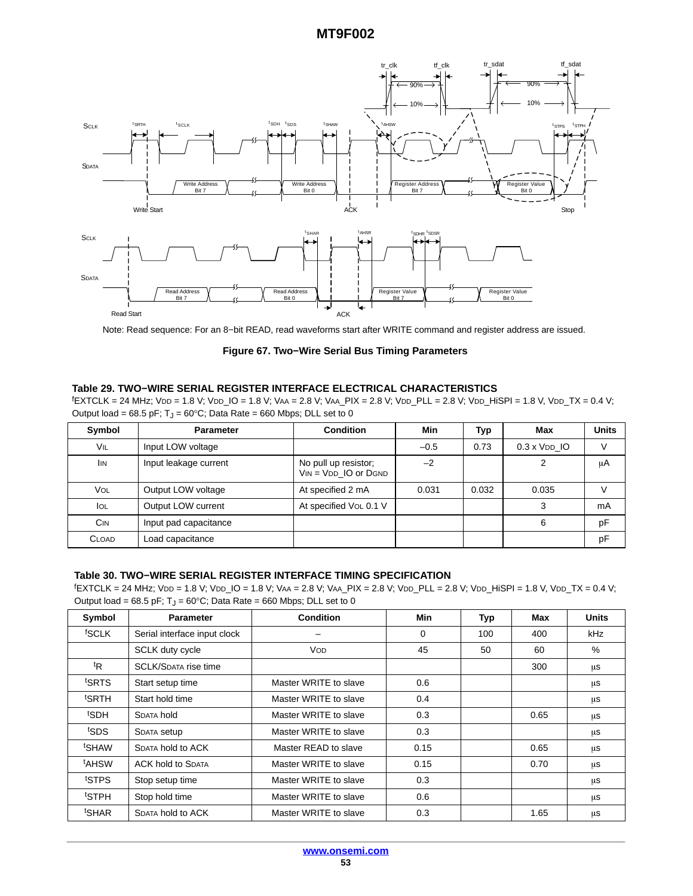<span id="page-52-0"></span>

Note: Read sequence: For an 8−bit READ, read waveforms start after WRITE command and register address are issued.

**Figure 67. Two−Wire Serial Bus Timing Parameters**

#### **Table 29. TWO−WIRE SERIAL REGISTER INTERFACE ELECTRICAL CHARACTERISTICS**

f EXTCLK = 24 MHz; VDD = 1.8 V; VDD\_IO = 1.8 V; VAA = 2.8 V; VAA\_PIX = 2.8 V; VDD\_PLL = 2.8 V; VDD\_HiSPI = 1.8 V, VDD\_TX = 0.4 V; Output load = 68.5 pF;  $T_J$  = 60°C; Data Rate = 660 Mbps; DLL set to 0

| Symbol       | <b>Parameter</b>      | <b>Condition</b>                                     | Min    | Typ   | Max                 | <b>Units</b> |
|--------------|-----------------------|------------------------------------------------------|--------|-------|---------------------|--------------|
| <b>VIL</b>   | Input LOW voltage     |                                                      | $-0.5$ | 0.73  | $0.3 \times$ VDD IO |              |
| <b>IIN</b>   | Input leakage current | No pull up resistor;<br>$V_{IN} = V_{DD}$ IO or DGND | $-2$   |       |                     | μA           |
| <b>VOL</b>   | Output LOW voltage    | At specified 2 mA                                    | 0.031  | 0.032 | 0.035               |              |
| <b>I</b> OL  | Output LOW current    | At specified VoL 0.1 V                               |        |       | 3                   | mA           |
| <b>CIN</b>   | Input pad capacitance |                                                      |        |       | 6                   | pF           |
| <b>CLOAD</b> | Load capacitance      |                                                      |        |       |                     | рF           |

#### **Table 30. TWO−WIRE SERIAL REGISTER INTERFACE TIMING SPECIFICATION**

f EXTCLK = 24 MHz; VDD = 1.8 V; VDD\_IO = 1.8 V; VAA = 2.8 V; VAA\_PIX = 2.8 V; VDD\_PLL = 2.8 V; VDD\_HiSPI = 1.8 V, VDD\_TX = 0.4 V; Output load = 68.5 pF;  $T_J$  = 60°C; Data Rate = 660 Mbps; DLL set to 0

| Symbol            | <b>Parameter</b>             | <b>Condition</b>      | Min      | <b>Typ</b> | Max  | <b>Units</b> |
|-------------------|------------------------------|-----------------------|----------|------------|------|--------------|
| <sup>f</sup> SCLK | Serial interface input clock |                       | $\Omega$ | 100        | 400  | kHz          |
|                   | SCLK duty cycle              | VOD                   | 45       | 50         | 60   | %            |
| tR                | <b>SCLK/SDATA rise time</b>  |                       |          |            | 300  | μS           |
| tSRTS             | Start setup time             | Master WRITE to slave | 0.6      |            |      | μS           |
| <sup>t</sup> SRTH | Start hold time              | Master WRITE to slave | 0.4      |            |      | μS           |
| <sup>t</sup> SDH  | <b>SDATA hold</b>            | Master WRITE to slave | 0.3      |            | 0.65 | μS           |
| <sup>t</sup> SDS  | SDATA setup                  | Master WRITE to slave | 0.3      |            |      | μS           |
| tSHAW             | SDATA hold to ACK            | Master READ to slave  | 0.15     |            | 0.65 | μS           |
| <sup>t</sup> AHSW | <b>ACK hold to SDATA</b>     | Master WRITE to slave | 0.15     |            | 0.70 | μS           |
| tstps             | Stop setup time              | Master WRITE to slave | 0.3      |            |      | μS           |
| tSTPH             | Stop hold time               | Master WRITE to slave | 0.6      |            |      | μS           |
| <sup>t</sup> SHAR | <b>SDATA hold to ACK</b>     | Master WRITE to slave | 0.3      |            | 1.65 | μs           |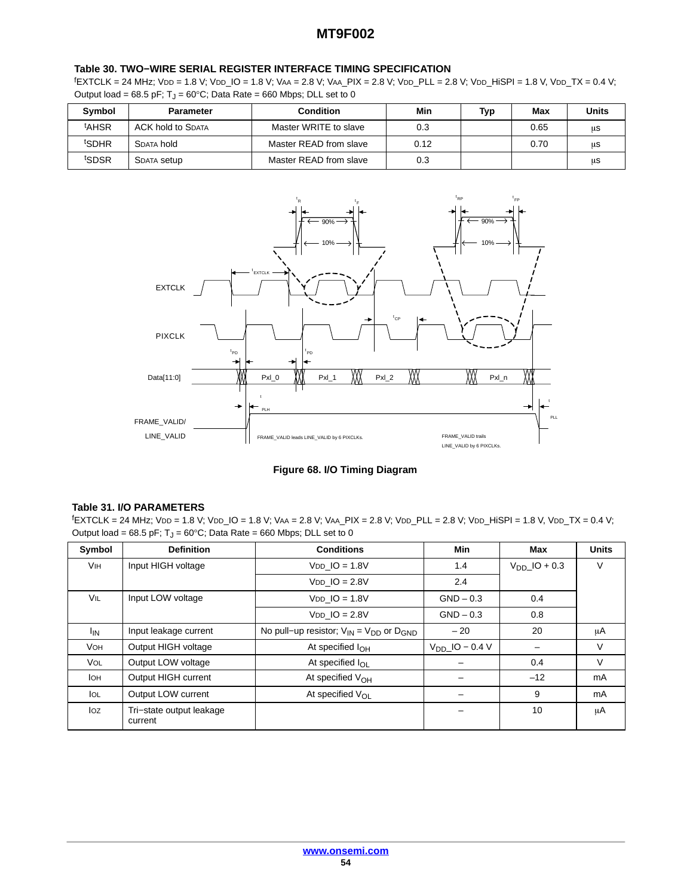#### **Table [30](#page-52-0). TWO−WIRE SERIAL REGISTER INTERFACE TIMING SPECIFICATION**

f EXTCLK = 24 MHz; VDD = 1.8 V; VDD\_IO = 1.8 V; VAA = 2.8 V; VAA\_PIX = 2.8 V; VDD\_PLL = 2.8 V; VDD\_HiSPI = 1.8 V, VDD\_TX = 0.4 V; Output load = 68.5 pF;  $T_J$  = 60°C; Data Rate = 660 Mbps; DLL set to 0

| Symbol            | <b>Parameter</b>         | Condition              | Min  | Typ | Max  | <b>Units</b> |
|-------------------|--------------------------|------------------------|------|-----|------|--------------|
| <sup>t</sup> AHSR | <b>ACK hold to SDATA</b> | Master WRITE to slave  | 0.3  |     | 0.65 | μS           |
| <sup>t</sup> SDHR | SDATA hold               | Master READ from slave | 0.12 |     | 0.70 | μS           |
| t <sub>SDSR</sub> | <b>SDATA Setup</b>       | Master READ from slave | 0.3  |     |      | μS           |



## **Figure 68. I/O Timing Diagram**

#### **Table 31. I/O PARAMETERS**

f EXTCLK = 24 MHz; VDD = 1.8 V; VDD\_IO = 1.8 V; VAA = 2.8 V; VAA\_PIX = 2.8 V; VDD\_PLL = 2.8 V; VDD\_HiSPI = 1.8 V, VDD\_TX = 0.4 V; Output load = 68.5 pF;  $T_J$  = 60°C; Data Rate = 660 Mbps; DLL set to 0

| Symbol          | <b>Definition</b>                   | <b>Conditions</b>                                   | Min              | Max               | <b>Units</b> |
|-----------------|-------------------------------------|-----------------------------------------------------|------------------|-------------------|--------------|
| <b>VIH</b>      | Input HIGH voltage                  | $VDD$ IO = 1.8V                                     | 1.4              | $V_{DD}$ IO + 0.3 | V            |
|                 |                                     | $VDD$ IO = 2.8V                                     | 2.4              |                   |              |
| VIL             | Input LOW voltage                   | $VDD$ IO = 1.8V                                     | $GND - 0.3$      | 0.4               |              |
|                 |                                     | $VDD$ $IO = 2.8V$                                   | $GND - 0.3$      | 0.8               |              |
| l <sub>IN</sub> | Input leakage current               | No pull-up resistor; $V_{IN} = V_{DD}$ or $D_{GND}$ | $-20$            | 20                | μA           |
| <b>VOH</b>      | Output HIGH voltage                 | At specified $I_{\text{OH}}$                        | $VDD$ IO – 0.4 V |                   | V            |
| <b>VOL</b>      | Output LOW voltage                  | At specified $I_{\Omega}$                           |                  | 0.4               | V            |
| <b>I</b> OH     | Output HIGH current                 | At specified $V_{OH}$                               |                  | $-12$             | mA           |
| lol             | Output LOW current                  | At specified $V_{\Omega}$                           |                  | 9                 | mA           |
| Ioz             | Tri-state output leakage<br>current |                                                     |                  | 10                | μA           |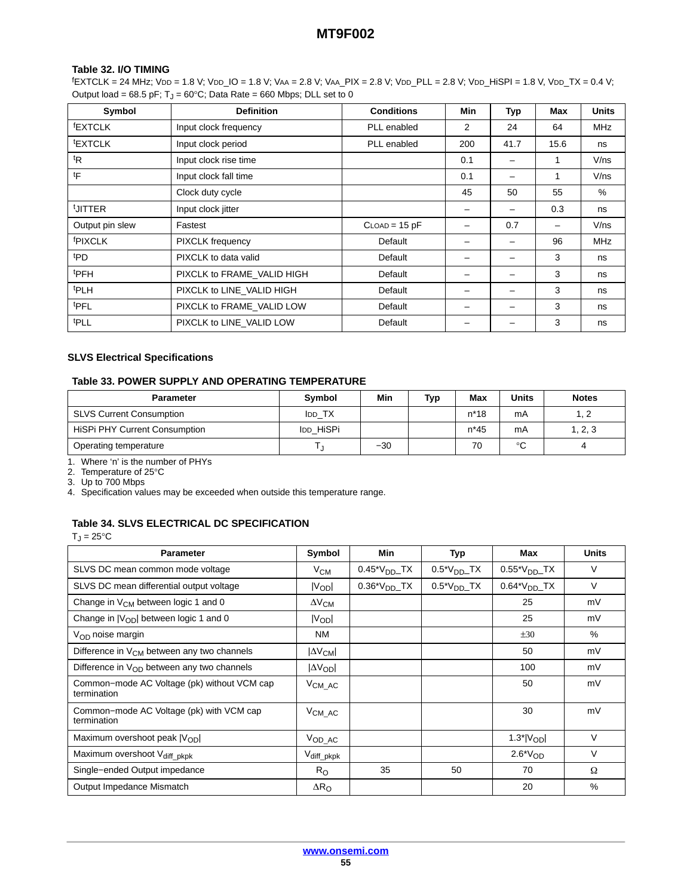#### **Table 32. I/O TIMING**

f EXTCLK = 24 MHz; VDD = 1.8 V; VDD\_IO = 1.8 V; VAA = 2.8 V; VAA\_PIX = 2.8 V; VDD\_PLL = 2.8 V; VDD\_HiSPI = 1.8 V, VDD\_TX = 0.4 V; Output load = 68.5 pF;  $T_J$  = 60°C; Data Rate = 660 Mbps; DLL set to 0

| Symbol              | <b>Definition</b>          | <b>Conditions</b>  | <b>Min</b> | Typ                      | Max  | <b>Units</b> |
|---------------------|----------------------------|--------------------|------------|--------------------------|------|--------------|
| <b>EXTCLK</b>       | Input clock frequency      | PLL enabled        | 2          | 24                       | 64   | <b>MHz</b>   |
| <b>EXTCLK</b>       | Input clock period         | PLL enabled        | 200        | 41.7                     | 15.6 | ns           |
| <sup>t</sup> R      | Input clock rise time      |                    | 0.1        |                          | 1    | V/ns         |
| tF                  | Input clock fall time      |                    | 0.1        | -                        | 1    | V/ns         |
|                     | Clock duty cycle           |                    | 45         | 50                       | 55   | %            |
| UITTER              | Input clock jitter         |                    | -          | —                        | 0.3  | ns           |
| Output pin slew     | Fastest                    | $C$ LOAD = 15 $pF$ |            | 0.7                      |      | V/ns         |
| <sup>f</sup> PIXCLK | PIXCLK frequency           | Default            | -          | $\overline{\phantom{0}}$ | 96   | <b>MHz</b>   |
| <sup>t</sup> PD     | PIXCLK to data valid       | Default            | -          | -                        | 3    | ns           |
| <b>tPFH</b>         | PIXCLK to FRAME_VALID HIGH | Default            | -          |                          | 3    | ns           |
| <sup>t</sup> PLH    | PIXCLK to LINE VALID HIGH  | Default            |            |                          | 3    | ns           |
| <b>tPFL</b>         | PIXCLK to FRAME VALID LOW  | Default            | -          | -                        | 3    | ns           |
| <b>tPLL</b>         | PIXCLK to LINE VALID LOW   | Default            |            |                          | 3    | ns           |

#### **SLVS Electrical Specifications**

## **Table 33. POWER SUPPLY AND OPERATING TEMPERATURE**

| <b>Parameter</b>                     | <b>Symbol</b> | Min   | Typ | Max    | <b>Units</b> | <b>Notes</b> |
|--------------------------------------|---------------|-------|-----|--------|--------------|--------------|
| <b>SLVS Current Consumption</b>      | <b>IDD TX</b> |       |     | $n*18$ | mA           |              |
| <b>HiSPi PHY Current Consumption</b> | IDD HISPI     |       |     | $n*45$ | mA           | 1, 2, 3      |
| Operating temperature                |               | $-30$ |     |        | $\circ$      |              |

1. Where 'n' is the number of PHYs

2. Temperature of 25°C

3. Up to 700 Mbps

4. Specification values may be exceeded when outside this temperature range.

# **Table 34. SLVS ELECTRICAL DC SPECIFICATION**

 $T_J = 25$ °C

| <b>Parameter</b>                                           | Symbol               | <b>Min</b>         | <b>Typ</b>       | Max                | <b>Units</b> |
|------------------------------------------------------------|----------------------|--------------------|------------------|--------------------|--------------|
| SLVS DC mean common mode voltage                           | $V_{CM}$             | $0.45^*V_{DD}$ TX  | $0.5^*V_{DD}$ TX | $0.55^*V_{DD}$ TX  | V            |
| SLVS DC mean differential output voltage                   | Vopl                 | $0.36^*V_{DD}$ .TX | $0.5^*V_{DD}$ TX | $0.64*VDDTX$       | V            |
| Change in V <sub>CM</sub> between logic 1 and 0            | $\Delta V_{CM}$      |                    |                  | 25                 | mV           |
| Change in $ V_{OD} $ between logic 1 and 0                 | $ V_{OD} $           |                    |                  | 25                 | mV           |
| $V_{OD}$ noise margin                                      | <b>NM</b>            |                    |                  | ±30                | $\%$         |
| Difference in $V_{CM}$ between any two channels            | $\Delta V_{CM}$      |                    |                  | 50                 | mV           |
| Difference in $V_{OD}$ between any two channels            | $ \Delta V_{OD} $    |                    |                  | 100                | mV           |
| Common-mode AC Voltage (pk) without VCM cap<br>termination | $V_{CM\_AC}$         |                    |                  | 50                 | mV           |
| Common-mode AC Voltage (pk) with VCM cap<br>termination    | $V_{CM\_AC}$         |                    |                  | 30                 | mV           |
| Maximum overshoot peak $ V_{OD} $                          | $V_{OD\_AC}$         |                    |                  | $1.3^*$ $V_{OD}$   | $\vee$       |
| Maximum overshoot Vdiff_pkpk                               | $\rm V_{diff\_pkpk}$ |                    |                  | $2.6^{\ast}V_{OD}$ | $\vee$       |
| Single-ended Output impedance                              | $R_{\rm O}$          | 35                 | 50               | 70                 | Ω            |
| Output Impedance Mismatch                                  | $\Delta R_{\rm O}$   |                    |                  | 20                 | %            |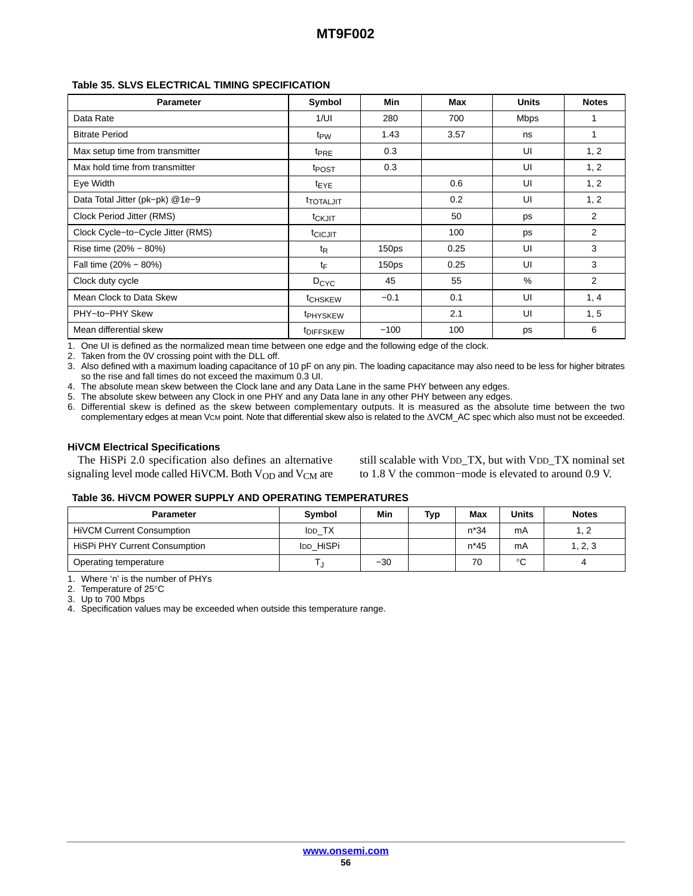#### **Table 35. SLVS ELECTRICAL TIMING SPECIFICATION**

| <b>Parameter</b>                  | Symbol                | Min               | Max  | <b>Units</b> | <b>Notes</b> |
|-----------------------------------|-----------------------|-------------------|------|--------------|--------------|
| Data Rate                         | 1/UI                  | 280               | 700  | <b>Mbps</b>  | 1            |
| <b>Bitrate Period</b>             | t <sub>PW</sub>       | 1.43              | 3.57 | ns           | 1            |
| Max setup time from transmitter   | <sup>t</sup> PRE      | 0.3               |      | UI           | 1, 2         |
| Max hold time from transmitter    | t <sub>POST</sub>     | 0.3               |      | UI           | 1, 2         |
| Eye Width                         | <sup>t</sup> EYE      |                   | 0.6  | UI           | 1, 2         |
| Data Total Jitter (pk-pk) @1e-9   | <b>TOTALJIT</b>       |                   | 0.2  | UI           | 1, 2         |
| Clock Period Jitter (RMS)         | t <sub>CKJIT</sub>    |                   | 50   | ps           | 2            |
| Clock Cycle-to-Cycle Jitter (RMS) | t <sub>CICJIT</sub>   |                   | 100  | ps           | 2            |
| Rise time (20% - 80%)             | $t_{\mathsf{R}}$      | 150 <sub>ps</sub> | 0.25 | UI           | 3            |
| Fall time (20% - 80%)             | tF                    | 150 <sub>ps</sub> | 0.25 | UI           | 3            |
| Clock duty cycle                  | D <sub>CYC</sub>      | 45                | 55   | $\%$         | 2            |
| Mean Clock to Data Skew           | t <sub>CHSKEW</sub>   | $-0.1$            | 0.1  | UI           | 1, 4         |
| PHY-to-PHY Skew                   | t <sub>PHYSKEW</sub>  |                   | 2.1  | UI           | 1, 5         |
| Mean differential skew            | <sup>t</sup> DIFFSKEW | $-100$            | 100  | ps           | 6            |

1. One UI is defined as the normalized mean time between one edge and the following edge of the clock.

2. Taken from the 0V crossing point with the DLL off.

3. Also defined with a maximum loading capacitance of 10 pF on any pin. The loading capacitance may also need to be less for higher bitrates so the rise and fall times do not exceed the maximum 0.3 UI.

4. The absolute mean skew between the Clock lane and any Data Lane in the same PHY between any edges.

5. The absolute skew between any Clock in one PHY and any Data lane in any other PHY between any edges.

6. Differential skew is defined as the skew between complementary outputs. It is measured as the absolute time between the two complementary edges at mean Vcm point. Note that differential skew also is related to the  $\Delta VCM$  AC spec which also must not be exceeded.

#### **HiVCM Electrical Specifications**

The HiSPi 2.0 specification also defines an alternative signaling level mode called HiVCM. Both  $V_{OD}$  and  $V_{CM}$  are

still scalable with VDD\_TX, but with VDD\_TX nominal set to 1.8 V the common−mode is elevated to around 0.9 V.

#### **Table 36. HiVCM POWER SUPPLY AND OPERATING TEMPERATURES**

| <b>Parameter</b>                     | Symbol         | Min   | Typ | Max    | <b>Units</b> | <b>Notes</b> |
|--------------------------------------|----------------|-------|-----|--------|--------------|--------------|
| <b>HiVCM Current Consumption</b>     | <b>I</b> DD TX |       |     | $n*34$ | mA           |              |
| <b>HiSPi PHY Current Consumption</b> | IDD HISPI      |       |     | $n*45$ | mA           | 1, 2, 3      |
| Operating temperature                |                | $-30$ |     | 70     | $\circ$      |              |

1. Where 'n' is the number of PHYs

2. Temperature of 25°C

3. Up to 700 Mbps

4. Specification values may be exceeded when outside this temperature range.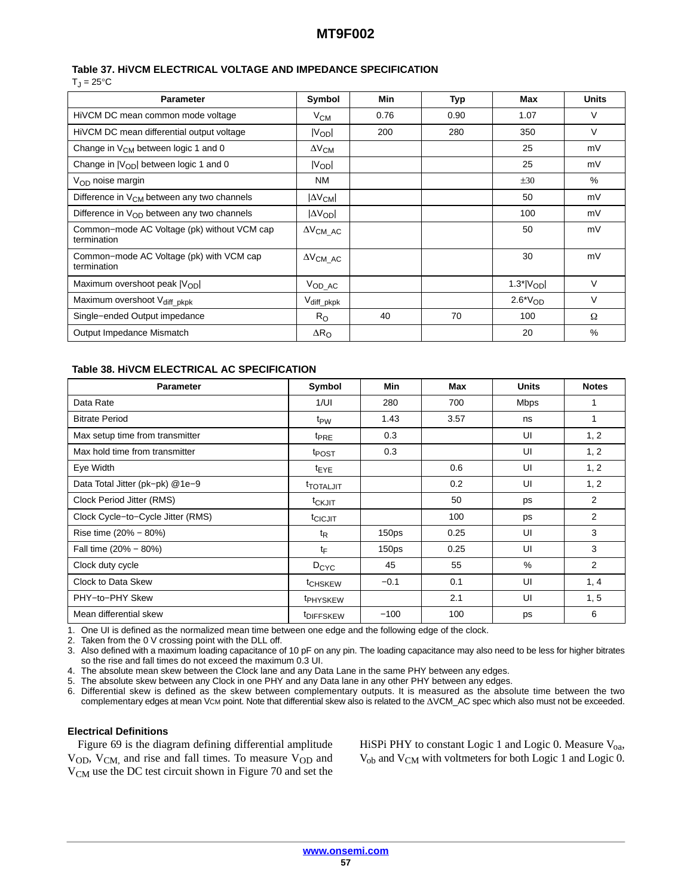#### **Table 37. HiVCM ELECTRICAL VOLTAGE AND IMPEDANCE SPECIFICATION**

 $T_J = 25$ °C

| <b>Parameter</b>                                           | Symbol                            | Min  | <b>Typ</b> | Max                | <b>Units</b> |
|------------------------------------------------------------|-----------------------------------|------|------------|--------------------|--------------|
| HiVCM DC mean common mode voltage                          | $V_{CM}$                          | 0.76 | 0.90       | 1.07               | V            |
| HiVCM DC mean differential output voltage                  | V <sub>OD</sub>                   | 200  | 280        | 350                | $\vee$       |
| Change in V <sub>CM</sub> between logic 1 and 0            | $\Delta V_{\text{CM}}$            |      |            | 25                 | mV           |
| Change in $ V_{OD} $ between logic 1 and 0                 | $ V_{OD} $                        |      |            | 25                 | mV           |
| $V_{OD}$ noise margin                                      | NM.                               |      |            | ±30                | $\%$         |
| Difference in $V_{CM}$ between any two channels            | $ \Delta V_{CM} $                 |      |            | 50                 | mV           |
| Difference in $V_{OD}$ between any two channels            | $ \Delta V_{OD} $                 |      |            | 100                | mV           |
| Common-mode AC Voltage (pk) without VCM cap<br>termination | $\Delta V_{\text{CM}\_\text{AC}}$ |      |            | 50                 | mV           |
| Common-mode AC Voltage (pk) with VCM cap<br>termination    | $\Delta V_{\text{CM}\_\text{AC}}$ |      |            | 30                 | mV           |
| Maximum overshoot peak $ V_{OD} $                          | $V_{OD\_AC}$                      |      |            | $1.3^*$ $ V_{OD} $ | $\vee$       |
| Maximum overshoot Vdiff_pkpk                               | V <sub>diff_pkpk</sub>            |      |            | $2.6*VOD$          | $\vee$       |
| Single-ended Output impedance                              | $R_{\rm O}$                       | 40   | 70         | 100                | Ω            |
| Output Impedance Mismatch                                  | $\Delta R_{\rm O}$                |      |            | 20                 | $\%$         |

#### **Table 38. HiVCM ELECTRICAL AC SPECIFICATION**

| <b>Parameter</b>                  | Symbol                  | Min               | Max  | <b>Units</b> | <b>Notes</b>   |
|-----------------------------------|-------------------------|-------------------|------|--------------|----------------|
| Data Rate                         | 1/UI                    | 280               | 700  | <b>Mbps</b>  |                |
| <b>Bitrate Period</b>             | t <sub>PW</sub>         | 1.43              | 3.57 | ns           | 1              |
| Max setup time from transmitter   | <b>t</b> <sub>PRE</sub> | 0.3               |      | UI           | 1, 2           |
| Max hold time from transmitter    | t <sub>POST</sub>       | 0.3               |      | UI           | 1, 2           |
| Eye Width                         | <sup>t</sup> EYE        |                   | 0.6  | UI           | 1, 2           |
| Data Total Jitter (pk-pk) @1e-9   | <b>TOTALJIT</b>         |                   | 0.2  | UI           | 1, 2           |
| Clock Period Jitter (RMS)         | t <sub>CKJIT</sub>      |                   | 50   | ps           | 2              |
| Clock Cycle-to-Cycle Jitter (RMS) | t <sub>CICJIT</sub>     |                   | 100  | ps           | $\overline{2}$ |
| Rise time (20% – 80%)             | $t_{\mathsf{R}}$        | 150 <sub>ps</sub> | 0.25 | UI           | 3              |
| Fall time (20% - 80%)             | tF                      | 150 <sub>ps</sub> | 0.25 | UI           | 3              |
| Clock duty cycle                  | $D_{\text{CYC}}$        | 45                | 55   | $\%$         | $\overline{2}$ |
| Clock to Data Skew                | t <sub>CHSKEW</sub>     | $-0.1$            | 0.1  | UI           | 1, 4           |
| PHY-to-PHY Skew                   | <sup>t</sup> PHYSKEW    |                   | 2.1  | UI           | 1, 5           |
| Mean differential skew            | <sup>t</sup> DIFFSKEW   | $-100$            | 100  | ps           | 6              |

1. One UI is defined as the normalized mean time between one edge and the following edge of the clock.

2. Taken from the 0 V crossing point with the DLL off.

3. Also defined with a maximum loading capacitance of 10 pF on any pin. The loading capacitance may also need to be less for higher bitrates so the rise and fall times do not exceed the maximum 0.3 UI.

4. The absolute mean skew between the Clock lane and any Data Lane in the same PHY between any edges.

5. The absolute skew between any Clock in one PHY and any Data lane in any other PHY between any edges.

6. Differential skew is defined as the skew between complementary outputs. It is measured as the absolute time between the two complementary edges at mean Vcm point. Note that differential skew also is related to the  $\Delta$ VCM\_AC spec which also must not be exceeded.

#### **Electrical Definitions**

Figure [69](#page-57-0) is the diagram defining differential amplitude V<sub>OD</sub>, V<sub>CM,</sub> and rise and fall times. To measure V<sub>OD</sub> and V<sub>CM</sub> use the DC test circuit shown in Figure [70](#page-57-0) and set the

HiSPi PHY to constant Logic 1 and Logic 0. Measure  $V_{oa}$ , V<sub>ob</sub> and V<sub>CM</sub> with voltmeters for both Logic 1 and Logic 0.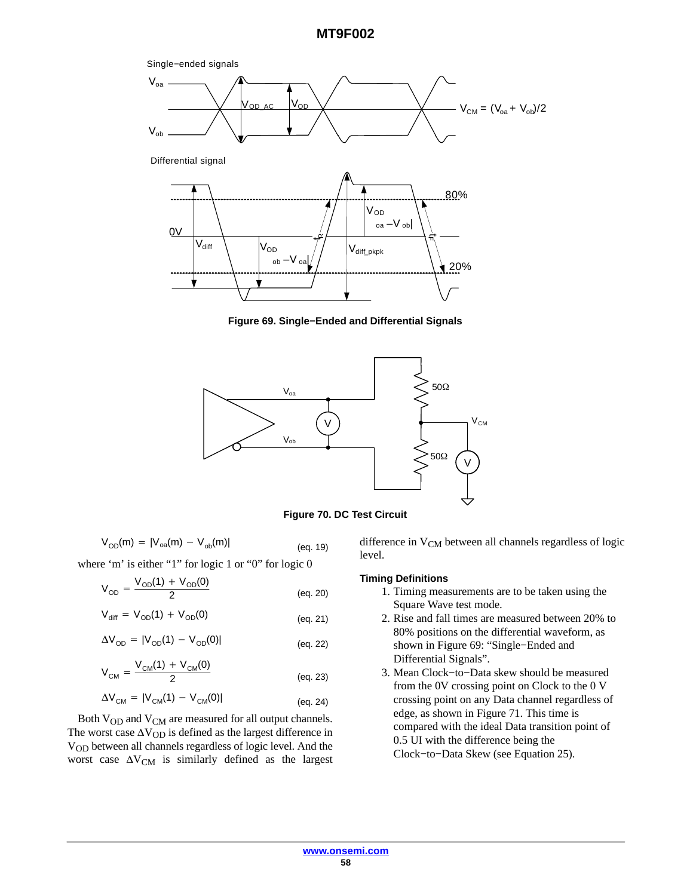<span id="page-57-0"></span>

**Figure 69. Single−Ended and Differential Signals**



**Figure 70. DC Test Circuit**

$$
V_{OD}(m) = |V_{oa}(m) - V_{ob}(m)|
$$
 (eq. 19)

where 'm' is either "1" for logic 1 or "0" for logic 0

$$
V_{OD} = \frac{V_{OD}(1) + V_{OD}(0)}{2}
$$
 (eq. 20)

$$
V_{\text{diff}} = V_{OD}(1) + V_{OD}(0) \tag{eq.21}
$$

$$
\Delta V_{OD} = |V_{OD}(1) - V_{OD}(0)|
$$
 (eq. 22)

$$
V_{CM} = \frac{V_{CM}(1) + V_{CM}(0)}{2}
$$
 (eq. 23)

$$
\Delta V_{CM} = |V_{CM}(1) - V_{CM}(0)|
$$
 (eq. 24)

Both V<sub>OD</sub> and V<sub>CM</sub> are measured for all output channels. The worst case  $\Delta V_{OD}$  is defined as the largest difference in VOD between all channels regardless of logic level. And the worst case  $\Delta V_{CM}$  is similarly defined as the largest

difference in  $V_{CM}$  between all channels regardless of logic level.

#### **Timing Definitions**

- 1. Timing measurements are to be taken using the Square Wave test mode.
- 2. Rise and fall times are measured between 20% to 80% positions on the differential waveform, as shown in Figure 69: "Single−Ended and Differential Signals".
- 3. Mean Clock−to−Data skew should be measured from the 0V crossing point on Clock to the 0 V crossing point on any Data channel regardless of edge, as shown in Figure [71.](#page-58-0) This time is compared with the ideal Data transition point of 0.5 UI with the difference being the Clock−to−Data Skew (see Equation 25).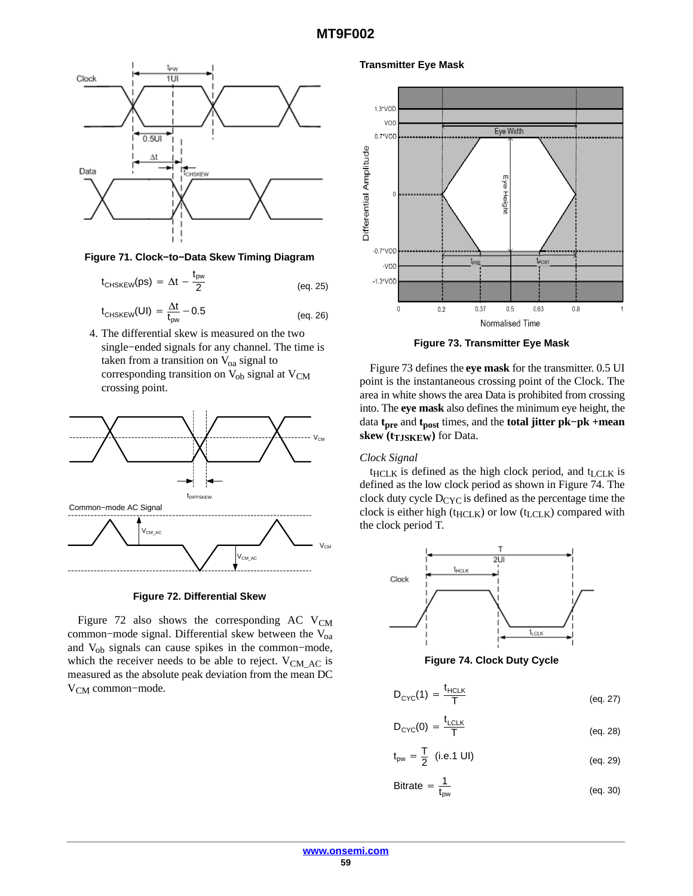<span id="page-58-0"></span>

**Figure 71. Clock−to−Data Skew Timing Diagram**

$$
t_{\text{CHSKEW}}(ps) = \Delta t - \frac{t_{\text{pw}}}{2}
$$
 (eq. 25)

$$
t_{\text{CHSKEW}}(UI) = \frac{\Delta t}{t_{\text{pw}}} - 0.5 \tag{eq. 26}
$$

4. The differential skew is measured on the two single−ended signals for any channel. The time is taken from a transition on  $V_{oa}$  signal to corresponding transition on  $V_{ob}$  signal at  $V_{CM}$ crossing point.



**Figure 72. Differential Skew**

Figure 72 also shows the corresponding AC  $V_{CM}$ common-mode signal. Differential skew between the V<sub>oa</sub> and Vob signals can cause spikes in the common−mode, which the receiver needs to be able to reject.  $V_{CMAC}$  is measured as the absolute peak deviation from the mean DC V<sub>CM</sub> common–mode.

**Transmitter Eye Mask**



**Figure 73. Transmitter Eye Mask**

Figure 73 defines the **eye mask** for the transmitter. 0.5 UI point is the instantaneous crossing point of the Clock. The area in white shows the area Data is prohibited from crossing into. The **eye mask** also defines the minimum eye height, the data **tpre** and **tpost** times, and the **total jitter pk−pk +mean skew (t<sub>TJSKEW</sub>) for Data.** 

#### *Clock Signal*

 $t$ <sub>HCLK</sub> is defined as the high clock period, and  $t$ <sub>LCLK</sub> is defined as the low clock period as shown in Figure 74. The clock duty cycle  $D_{CYC}$  is defined as the percentage time the clock is either high ( $t_{HCLK}$ ) or low ( $t_{LCLK}$ ) compared with the clock period T.



**Figure 74. Clock Duty Cycle**

$$
D_{\text{CYC}}(1) = \frac{t_{\text{HCLK}}}{T}
$$
 (eq. 27)

$$
D_{\text{CYC}}(0) = \frac{t_{\text{LCLK}}}{T}
$$
 (eq. 28)

$$
t_{\text{pw}} = \frac{T}{2}
$$
 (i.e.1 UI) (eq. 29)

$$
Bitrate = \frac{1}{t_{pw}} \tag{eq. 30}
$$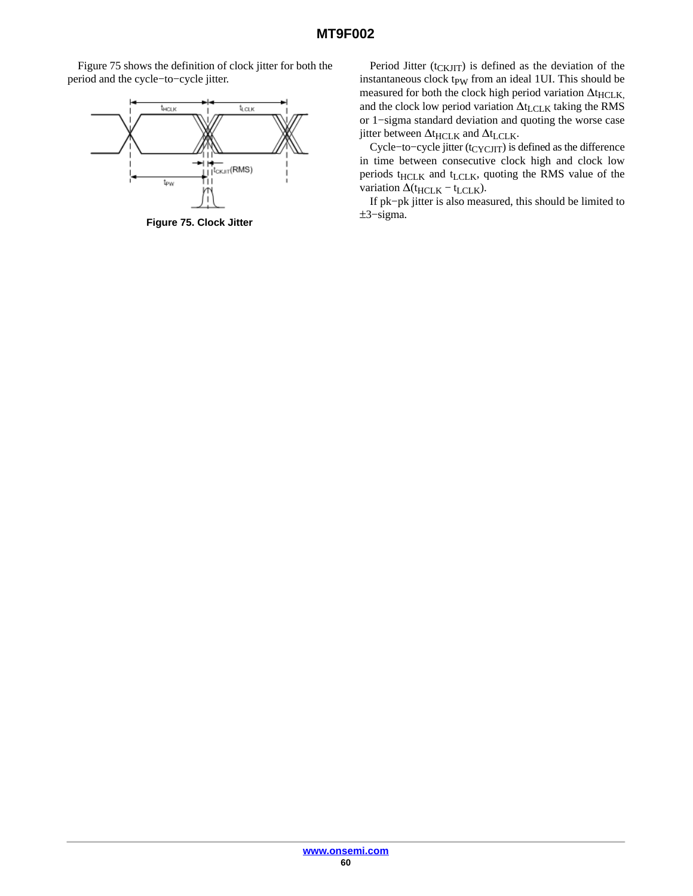Figure 75 shows the definition of clock jitter for both the period and the cycle−to−cycle jitter.



**Figure 75. Clock Jitter**

Period Jitter ( $t_{CKJIT}$ ) is defined as the deviation of the instantaneous clock tp<sub>W</sub> from an ideal 1UI. This should be measured for both the clock high period variation  $\Delta t$ <sub>HCLK</sub>, and the clock low period variation  $\Delta t_{LCLK}$  taking the RMS or 1−sigma standard deviation and quoting the worse case jitter between  $\Delta t_{\rm HCLK}$  and  $\Delta t_{\rm LCLK}.$ 

Cycle-to-cycle jitter (t<sub>CYCJIT</sub>) is defined as the difference in time between consecutive clock high and clock low periods  $t_{HCLK}$  and  $t_{LCLK}$ , quoting the RMS value of the variation  $\Delta$ ( $t$ <sub>HCLK</sub> –  $t$ <sub>LCLK</sub>).

If pk−pk jitter is also measured, this should be limited to ±3−sigma.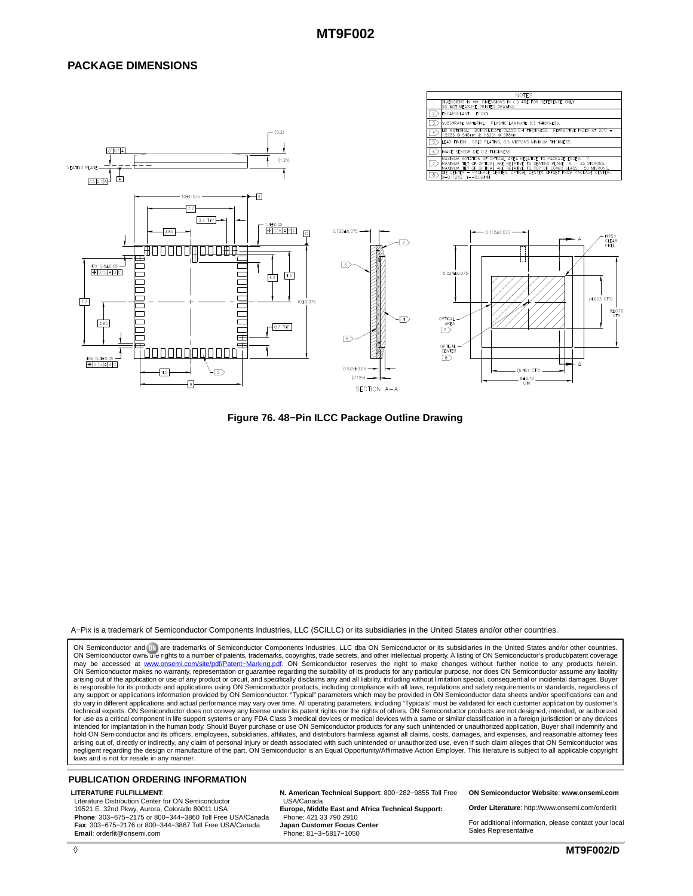#### **PACKAGE DIMENSIONS**



**Figure 76. 48−Pin ILCC Package Outline Drawing**

#### A−Pix is a trademark of Semiconductor Components Industries, LLC (SCILLC) or its subsidiaries in the United States and/or other countries.

ON Semiconductor and <sup>(1))</sup> are trademarks of Semiconductor Components Industries, LLC dba ON Semiconductor or its subsidiaries in the United States and/or other countries ON Semiconductor owns the rights to a number of patents, trademarks, copyrights, trade secrets, and other intellectual property. A listing of ON Semiconductor's product/patent coverage<br>may be accessed at <u>www.onsemi.com/si</u> ON Semiconductor makes no warranty, representation or guarantee regarding the suitability of its products for any particular purpose, nor does ON Semiconductor assume any liability arising out of the application or use of any product or circuit, and specifically disclaims any and all liability, including without limitation special, consequential or incidental damages. Buyer<br>is responsible for its pro for use as a critical component in life support systems or any FDA Class 3 medical devices or medical devices with a same or similar classification in a foreign jurisdiction or any devices<br>intended for implantation in the hold ON Semiconductor and its officers, employees, subsidiaries, affiliates, and distributors harmless against all claims, costs, damages, and expenses, and reasonable attorney fees arising out of, directly or indirectly, any claim of personal injury or death associated with such unintended or unauthorized use, even if such claim alleges that ON Semiconductor was<br>negligent regarding the design or manu laws and is not for resale in any manner.

#### **PUBLICATION ORDERING INFORMATION**

#### **LITERATURE FULFILLMENT**:

Literature Distribution Center for ON Semiconductor 19521 E. 32nd Pkwy, Aurora, Colorado 80011 USA **Phone**: 303−675−2175 or 800−344−3860 Toll Free USA/Canada **Fax**: 303−675−2176 or 800−344−3867 Toll Free USA/Canada **Email**: orderlit@onsemi.com

**N. American Technical Support**: 800−282−9855 Toll Free USA/Canada **Europe, Middle East and Africa Technical Support:**

Phone: 421 33 790 2910 **Japan Customer Focus Center** Phone: 81−3−5817−1050

**ON Semiconductor Website**: **www.onsemi.com**

**Order Literature**: http://www.onsemi.com/orderlit

For additional information, please contact your local Sales Representative